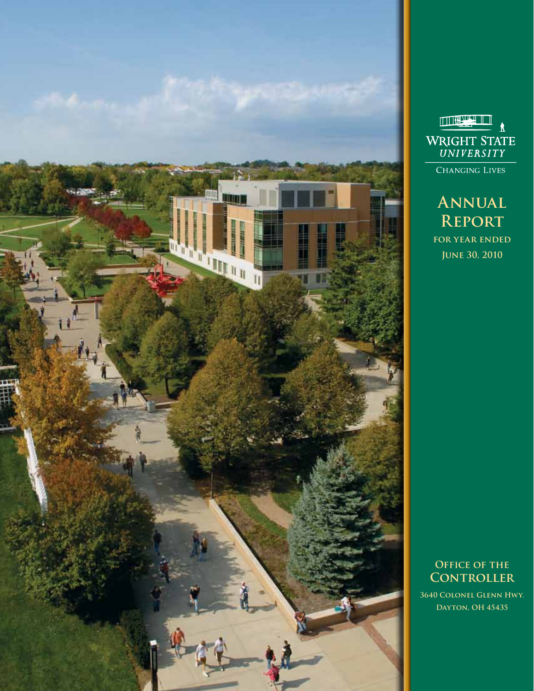



**Annual Report for year ended**

**June 30, 2010**

**OFFICE OF THE Controller 3640 Colonel Glenn Hwy.**

**Dayton, OH 45435**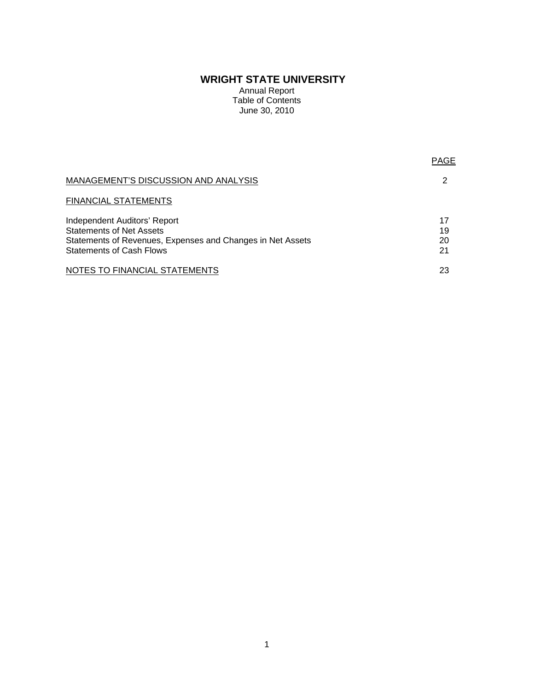# **WRIGHT STATE UNIVERSITY**

Annual Report Table of Contents June 30, 2010

| <b>MANAGEMENT'S DISCUSSION AND ANALYSIS</b>                                                                                   |                |
|-------------------------------------------------------------------------------------------------------------------------------|----------------|
| <b>FINANCIAL STATEMENTS</b>                                                                                                   |                |
| Independent Auditors' Report<br><b>Statements of Net Assets</b><br>Statements of Revenues, Expenses and Changes in Net Assets | 17<br>19<br>20 |
| <b>Statements of Cash Flows</b>                                                                                               | 21             |
| NOTES TO FINANCIAL STATEMENTS                                                                                                 | 23             |

PAGE AND RESERVE THE RESERVE THAT IS NOT THE RESERVE THAT IS NOT THE RESERVE THAT IS NOT THE RESERVE THAT IS NO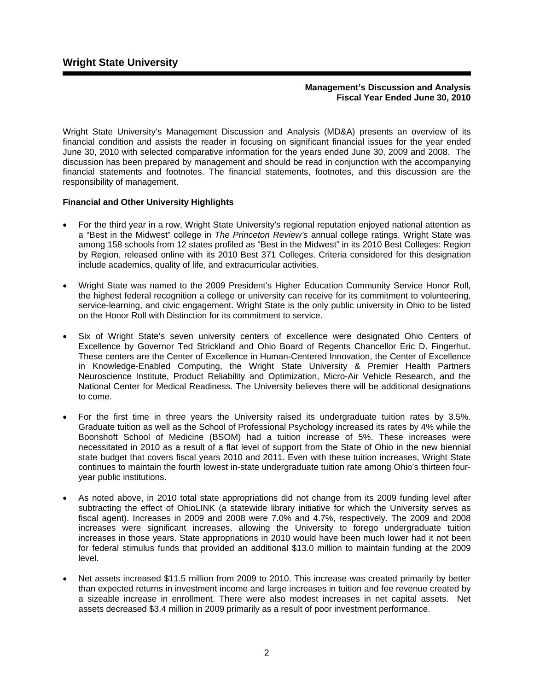# **Management's Discussion and Analysis Fiscal Year Ended June 30, 2010**

Wright State University's Management Discussion and Analysis (MD&A) presents an overview of its financial condition and assists the reader in focusing on significant financial issues for the year ended June 30, 2010 with selected comparative information for the years ended June 30, 2009 and 2008. The discussion has been prepared by management and should be read in conjunction with the accompanying financial statements and footnotes. The financial statements, footnotes, and this discussion are the responsibility of management.

# **Financial and Other University Highlights**

- For the third year in a row, Wright State University's regional reputation enjoyed national attention as a "Best in the Midwest" college in *The Princeton Review's* annual college ratings. Wright State was among 158 schools from 12 states profiled as "Best in the Midwest" in its 2010 Best Colleges: Region by Region, released online with its 2010 Best 371 Colleges. Criteria considered for this designation include academics, quality of life, and extracurricular activities.
- Wright State was named to the 2009 President's Higher Education Community Service Honor Roll, the highest federal recognition a college or university can receive for its commitment to volunteering, service-learning, and civic engagement. Wright State is the only public university in Ohio to be listed on the Honor Roll with Distinction for its commitment to service.
- Six of Wright State's seven university centers of excellence were designated Ohio Centers of Excellence by Governor Ted Strickland and Ohio Board of Regents Chancellor Eric D. Fingerhut. These centers are the Center of Excellence in Human-Centered Innovation, the Center of Excellence in Knowledge-Enabled Computing, the Wright State University & Premier Health Partners Neuroscience Institute, Product Reliability and Optimization, Micro-Air Vehicle Research, and the National Center for Medical Readiness. The University believes there will be additional designations to come.
- For the first time in three years the University raised its undergraduate tuition rates by 3.5%. Graduate tuition as well as the School of Professional Psychology increased its rates by 4% while the Boonshoft School of Medicine (BSOM) had a tuition increase of 5%. These increases were necessitated in 2010 as a result of a flat level of support from the State of Ohio in the new biennial state budget that covers fiscal years 2010 and 2011. Even with these tuition increases, Wright State continues to maintain the fourth lowest in-state undergraduate tuition rate among Ohio's thirteen fouryear public institutions.
- As noted above, in 2010 total state appropriations did not change from its 2009 funding level after subtracting the effect of OhioLINK (a statewide library initiative for which the University serves as fiscal agent). Increases in 2009 and 2008 were 7.0% and 4.7%, respectively. The 2009 and 2008 increases were significant increases, allowing the University to forego undergraduate tuition increases in those years. State appropriations in 2010 would have been much lower had it not been for federal stimulus funds that provided an additional \$13.0 million to maintain funding at the 2009 level.
- Net assets increased \$11.5 million from 2009 to 2010. This increase was created primarily by better than expected returns in investment income and large increases in tuition and fee revenue created by a sizeable increase in enrollment. There were also modest increases in net capital assets. Net assets decreased \$3.4 million in 2009 primarily as a result of poor investment performance.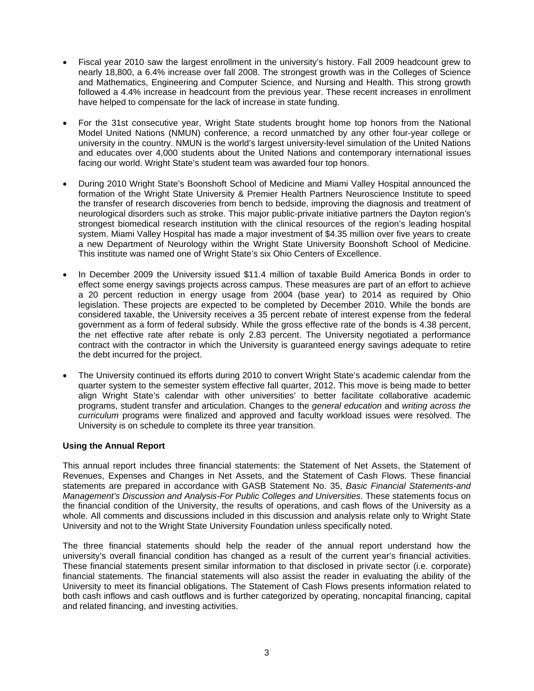- Fiscal year 2010 saw the largest enrollment in the university's history. Fall 2009 headcount grew to nearly 18,800, a 6.4% increase over fall 2008. The strongest growth was in the Colleges of Science and Mathematics, Engineering and Computer Science, and Nursing and Health. This strong growth followed a 4.4% increase in headcount from the previous year. These recent increases in enrollment have helped to compensate for the lack of increase in state funding.
- For the 31st consecutive year, Wright State students brought home top honors from the National Model United Nations (NMUN) conference, a record unmatched by any other four-year college or university in the country. NMUN is the world's largest university-level simulation of the United Nations and educates over 4,000 students about the United Nations and contemporary international issues facing our world. Wright State's student team was awarded four top honors.
- During 2010 Wright State's Boonshoft School of Medicine and Miami Valley Hospital announced the formation of the Wright State University & Premier Health Partners Neuroscience Institute to speed the transfer of research discoveries from bench to bedside, improving the diagnosis and treatment of neurological disorders such as stroke. This major public-private initiative partners the Dayton region's strongest biomedical research institution with the clinical resources of the region's leading hospital system. Miami Valley Hospital has made a major investment of \$4.35 million over five years to create a new Department of Neurology within the Wright State University Boonshoft School of Medicine. This institute was named one of Wright State's six Ohio Centers of Excellence.
- In December 2009 the University issued \$11.4 million of taxable Build America Bonds in order to effect some energy savings projects across campus. These measures are part of an effort to achieve a 20 percent reduction in energy usage from 2004 (base year) to 2014 as required by Ohio legislation. These projects are expected to be completed by December 2010. While the bonds are considered taxable, the University receives a 35 percent rebate of interest expense from the federal government as a form of federal subsidy. While the gross effective rate of the bonds is 4.38 percent, the net effective rate after rebate is only 2.83 percent. The University negotiated a performance contract with the contractor in which the University is guaranteed energy savings adequate to retire the debt incurred for the project.
- The University continued its efforts during 2010 to convert Wright State's academic calendar from the quarter system to the semester system effective fall quarter, 2012. This move is being made to better align Wright State's calendar with other universities' to better facilitate collaborative academic programs, student transfer and articulation. Changes to the *general education* and *writing across the curriculum* programs were finalized and approved and faculty workload issues were resolved. The University is on schedule to complete its three year transition.

# **Using the Annual Report**

This annual report includes three financial statements: the Statement of Net Assets, the Statement of Revenues, Expenses and Changes in Net Assets, and the Statement of Cash Flows. These financial statements are prepared in accordance with GASB Statement No. 35, *Basic Financial Statements-and Management's Discussion and Analysis-For Public Colleges and Universities*. These statements focus on the financial condition of the University, the results of operations, and cash flows of the University as a whole. All comments and discussions included in this discussion and analysis relate only to Wright State University and not to the Wright State University Foundation unless specifically noted.

The three financial statements should help the reader of the annual report understand how the university's overall financial condition has changed as a result of the current year's financial activities. These financial statements present similar information to that disclosed in private sector (i.e. corporate) financial statements. The financial statements will also assist the reader in evaluating the ability of the University to meet its financial obligations. The Statement of Cash Flows presents information related to both cash inflows and cash outflows and is further categorized by operating, noncapital financing, capital and related financing, and investing activities.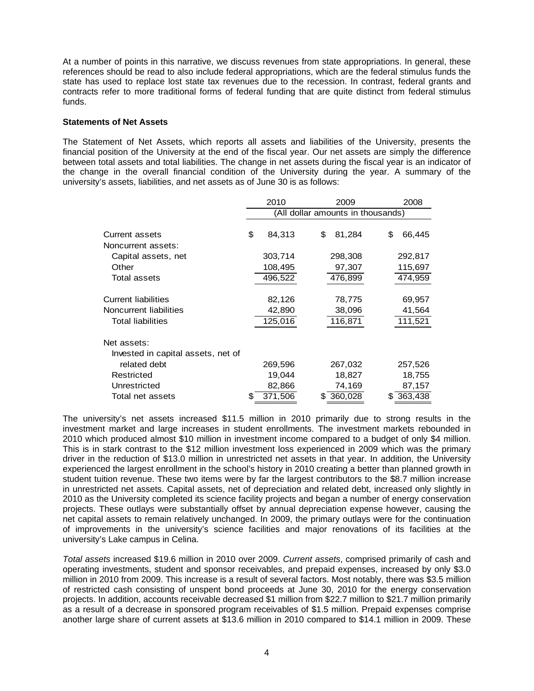At a number of points in this narrative, we discuss revenues from state appropriations. In general, these references should be read to also include federal appropriations, which are the federal stimulus funds the state has used to replace lost state tax revenues due to the recession. In contrast, federal grants and contracts refer to more traditional forms of federal funding that are quite distinct from federal stimulus funds.

### **Statements of Net Assets**

The Statement of Net Assets, which reports all assets and liabilities of the University, presents the financial position of the University at the end of the fiscal year. Our net assets are simply the difference between total assets and total liabilities. The change in net assets during the fiscal year is an indicator of the change in the overall financial condition of the University during the year. A summary of the university's assets, liabilities, and net assets as of June 30 is as follows:

|                                    |                                   | 2010    |    | 2008                   |    |           |  |  |  |  |
|------------------------------------|-----------------------------------|---------|----|------------------------|----|-----------|--|--|--|--|
|                                    | (All dollar amounts in thousands) |         |    |                        |    |           |  |  |  |  |
|                                    |                                   |         |    |                        |    |           |  |  |  |  |
| Current assets                     | \$                                | 84,313  | \$ | 81,284                 | \$ | 66,445    |  |  |  |  |
| Noncurrent assets:                 |                                   |         |    |                        |    |           |  |  |  |  |
| Capital assets, net                |                                   | 303,714 |    | 298,308                |    | 292,817   |  |  |  |  |
| Other                              |                                   | 108,495 |    | 97,307                 |    | 115,697   |  |  |  |  |
| <b>Total assets</b>                |                                   | 496,522 |    | 476,899                |    | 474,959   |  |  |  |  |
| Current liabilities                |                                   |         |    |                        |    |           |  |  |  |  |
|                                    |                                   | 82,126  |    | 78,775                 |    | 69,957    |  |  |  |  |
| Noncurrent liabilities             |                                   | 42,890  |    | 38,096                 |    | 41,564    |  |  |  |  |
| <b>Total liabilities</b>           |                                   | 125,016 |    | 116,871                |    | 111,521   |  |  |  |  |
| Net assets:                        |                                   |         |    |                        |    |           |  |  |  |  |
| Invested in capital assets, net of |                                   |         |    |                        |    |           |  |  |  |  |
| related debt                       |                                   | 269,596 |    | 267,032                |    | 257,526   |  |  |  |  |
| Restricted                         |                                   | 19,044  |    | 18,827                 |    | 18,755    |  |  |  |  |
| Unrestricted                       |                                   | 82,866  |    | 74,169                 |    | 87,157    |  |  |  |  |
| Total net assets                   | S                                 | 371,506 |    | $$ \overline{360,028}$ |    | \$363,438 |  |  |  |  |

The university's net assets increased \$11.5 million in 2010 primarily due to strong results in the investment market and large increases in student enrollments. The investment markets rebounded in 2010 which produced almost \$10 million in investment income compared to a budget of only \$4 million. This is in stark contrast to the \$12 million investment loss experienced in 2009 which was the primary driver in the reduction of \$13.0 million in unrestricted net assets in that year. In addition, the University experienced the largest enrollment in the school's history in 2010 creating a better than planned growth in student tuition revenue. These two items were by far the largest contributors to the \$8.7 million increase in unrestricted net assets. Capital assets, net of depreciation and related debt, increased only slightly in 2010 as the University completed its science facility projects and began a number of energy conservation projects. These outlays were substantially offset by annual depreciation expense however, causing the net capital assets to remain relatively unchanged. In 2009, the primary outlays were for the continuation of improvements in the university's science facilities and major renovations of its facilities at the university's Lake campus in Celina.

*Total assets* increased \$19.6 million in 2010 over 2009. *Current assets*, comprised primarily of cash and operating investments, student and sponsor receivables, and prepaid expenses, increased by only \$3.0 million in 2010 from 2009. This increase is a result of several factors. Most notably, there was \$3.5 million of restricted cash consisting of unspent bond proceeds at June 30, 2010 for the energy conservation projects. In addition, accounts receivable decreased \$1 million from \$22.7 million to \$21.7 million primarily as a result of a decrease in sponsored program receivables of \$1.5 million. Prepaid expenses comprise another large share of current assets at \$13.6 million in 2010 compared to \$14.1 million in 2009. These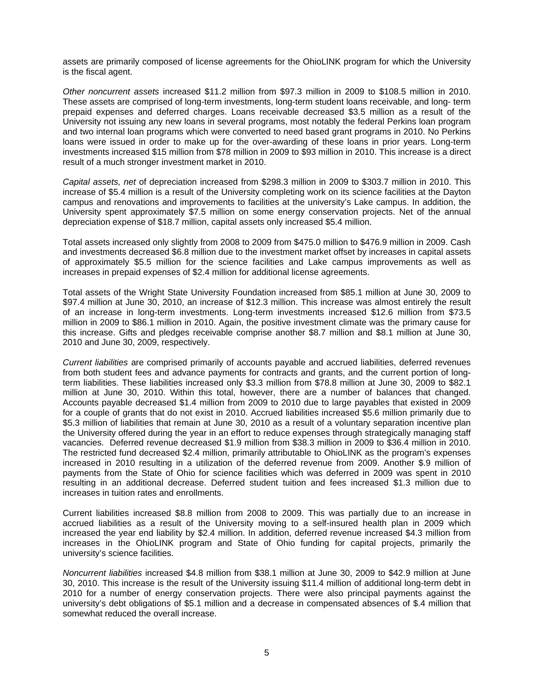assets are primarily composed of license agreements for the OhioLINK program for which the University is the fiscal agent.

*Other noncurrent assets* increased \$11.2 million from \$97.3 million in 2009 to \$108.5 million in 2010. These assets are comprised of long-term investments, long-term student loans receivable, and long- term prepaid expenses and deferred charges. Loans receivable decreased \$3.5 million as a result of the University not issuing any new loans in several programs, most notably the federal Perkins loan program and two internal loan programs which were converted to need based grant programs in 2010. No Perkins loans were issued in order to make up for the over-awarding of these loans in prior years. Long-term investments increased \$15 million from \$78 million in 2009 to \$93 million in 2010. This increase is a direct result of a much stronger investment market in 2010.

*Capital assets, net* of depreciation increased from \$298.3 million in 2009 to \$303.7 million in 2010. This increase of \$5.4 million is a result of the University completing work on its science facilities at the Dayton campus and renovations and improvements to facilities at the university's Lake campus. In addition, the University spent approximately \$7.5 million on some energy conservation projects. Net of the annual depreciation expense of \$18.7 million, capital assets only increased \$5.4 million.

Total assets increased only slightly from 2008 to 2009 from \$475.0 million to \$476.9 million in 2009. Cash and investments decreased \$6.8 million due to the investment market offset by increases in capital assets of approximately \$5.5 million for the science facilities and Lake campus improvements as well as increases in prepaid expenses of \$2.4 million for additional license agreements.

Total assets of the Wright State University Foundation increased from \$85.1 million at June 30, 2009 to \$97.4 million at June 30, 2010, an increase of \$12.3 million. This increase was almost entirely the result of an increase in long-term investments. Long-term investments increased \$12.6 million from \$73.5 million in 2009 to \$86.1 million in 2010. Again, the positive investment climate was the primary cause for this increase. Gifts and pledges receivable comprise another \$8.7 million and \$8.1 million at June 30, 2010 and June 30, 2009, respectively.

*Current liabilities* are comprised primarily of accounts payable and accrued liabilities, deferred revenues from both student fees and advance payments for contracts and grants, and the current portion of longterm liabilities. These liabilities increased only \$3.3 million from \$78.8 million at June 30, 2009 to \$82.1 million at June 30, 2010. Within this total, however, there are a number of balances that changed. Accounts payable decreased \$1.4 million from 2009 to 2010 due to large payables that existed in 2009 for a couple of grants that do not exist in 2010. Accrued liabilities increased \$5.6 million primarily due to \$5.3 million of liabilities that remain at June 30, 2010 as a result of a voluntary separation incentive plan the University offered during the year in an effort to reduce expenses through strategically managing staff vacancies. Deferred revenue decreased \$1.9 million from \$38.3 million in 2009 to \$36.4 million in 2010. The restricted fund decreased \$2.4 million, primarily attributable to OhioLINK as the program's expenses increased in 2010 resulting in a utilization of the deferred revenue from 2009. Another \$.9 million of payments from the State of Ohio for science facilities which was deferred in 2009 was spent in 2010 resulting in an additional decrease. Deferred student tuition and fees increased \$1.3 million due to increases in tuition rates and enrollments.

Current liabilities increased \$8.8 million from 2008 to 2009. This was partially due to an increase in accrued liabilities as a result of the University moving to a self-insured health plan in 2009 which increased the year end liability by \$2.4 million. In addition, deferred revenue increased \$4.3 million from increases in the OhioLINK program and State of Ohio funding for capital projects, primarily the university's science facilities.

*Noncurrent liabilities* increased \$4.8 million from \$38.1 million at June 30, 2009 to \$42.9 million at June 30, 2010. This increase is the result of the University issuing \$11.4 million of additional long-term debt in 2010 for a number of energy conservation projects. There were also principal payments against the university's debt obligations of \$5.1 million and a decrease in compensated absences of \$.4 million that somewhat reduced the overall increase.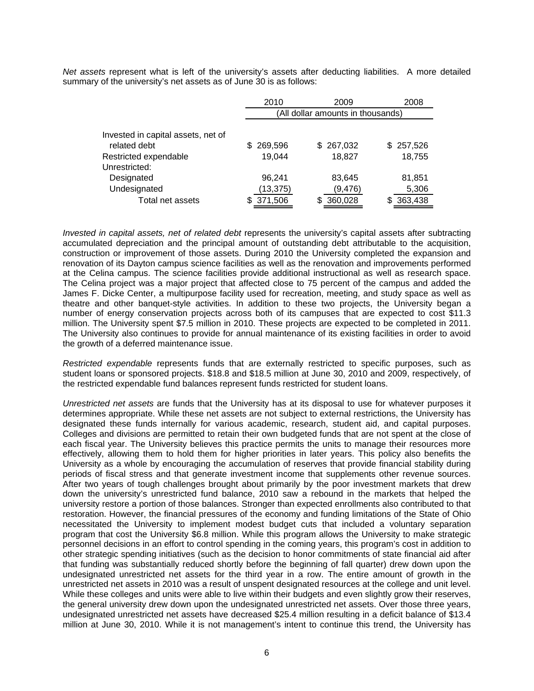*Net assets* represent what is left of the university's assets after deducting liabilities. A more detailed summary of the university's net assets as of June 30 is as follows:

|                                                    | 2010                              | 2009      | 2008      |  |  |  |  |  |
|----------------------------------------------------|-----------------------------------|-----------|-----------|--|--|--|--|--|
|                                                    | (All dollar amounts in thousands) |           |           |  |  |  |  |  |
| Invested in capital assets, net of<br>related debt | 269,596<br>SS.                    | \$267,032 | \$257,526 |  |  |  |  |  |
| Restricted expendable<br>Unrestricted:             | 19.044                            | 18,827    | 18,755    |  |  |  |  |  |
| Designated                                         | 96,241                            | 83,645    | 81,851    |  |  |  |  |  |
| Undesignated                                       | (13, 375)                         | (9, 476)  | 5,306     |  |  |  |  |  |
| Total net assets                                   | 371,506                           | 360,028   | 363,438   |  |  |  |  |  |

*Invested in capital assets, net of related debt* represents the university's capital assets after subtracting accumulated depreciation and the principal amount of outstanding debt attributable to the acquisition, construction or improvement of those assets. During 2010 the University completed the expansion and renovation of its Dayton campus science facilities as well as the renovation and improvements performed at the Celina campus. The science facilities provide additional instructional as well as research space. The Celina project was a major project that affected close to 75 percent of the campus and added the James F. Dicke Center, a multipurpose facility used for recreation, meeting, and study space as well as theatre and other banquet-style activities. In addition to these two projects, the University began a number of energy conservation projects across both of its campuses that are expected to cost \$11.3 million. The University spent \$7.5 million in 2010. These projects are expected to be completed in 2011. The University also continues to provide for annual maintenance of its existing facilities in order to avoid the growth of a deferred maintenance issue.

*Restricted expendable* represents funds that are externally restricted to specific purposes, such as student loans or sponsored projects. \$18.8 and \$18.5 million at June 30, 2010 and 2009, respectively, of the restricted expendable fund balances represent funds restricted for student loans.

*Unrestricted net assets* are funds that the University has at its disposal to use for whatever purposes it determines appropriate. While these net assets are not subject to external restrictions, the University has designated these funds internally for various academic, research, student aid, and capital purposes. Colleges and divisions are permitted to retain their own budgeted funds that are not spent at the close of each fiscal year. The University believes this practice permits the units to manage their resources more effectively, allowing them to hold them for higher priorities in later years. This policy also benefits the University as a whole by encouraging the accumulation of reserves that provide financial stability during periods of fiscal stress and that generate investment income that supplements other revenue sources. After two years of tough challenges brought about primarily by the poor investment markets that drew down the university's unrestricted fund balance, 2010 saw a rebound in the markets that helped the university restore a portion of those balances. Stronger than expected enrollments also contributed to that restoration. However, the financial pressures of the economy and funding limitations of the State of Ohio necessitated the University to implement modest budget cuts that included a voluntary separation program that cost the University \$6.8 million. While this program allows the University to make strategic personnel decisions in an effort to control spending in the coming years, this program's cost in addition to other strategic spending initiatives (such as the decision to honor commitments of state financial aid after that funding was substantially reduced shortly before the beginning of fall quarter) drew down upon the undesignated unrestricted net assets for the third year in a row. The entire amount of growth in the unrestricted net assets in 2010 was a result of unspent designated resources at the college and unit level. While these colleges and units were able to live within their budgets and even slightly grow their reserves, the general university drew down upon the undesignated unrestricted net assets. Over those three years, undesignated unrestricted net assets have decreased \$25.4 million resulting in a deficit balance of \$13.4 million at June 30, 2010. While it is not management's intent to continue this trend, the University has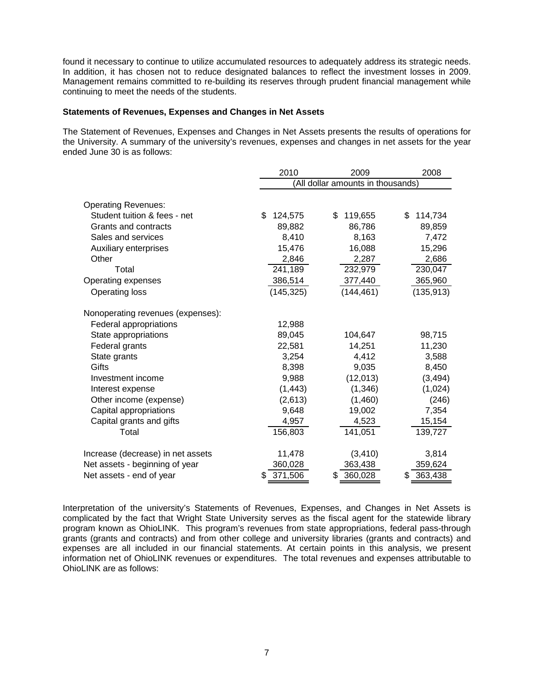found it necessary to continue to utilize accumulated resources to adequately address its strategic needs. In addition, it has chosen not to reduce designated balances to reflect the investment losses in 2009. Management remains committed to re-building its reserves through prudent financial management while continuing to meet the needs of the students.

# **Statements of Revenues, Expenses and Changes in Net Assets**

The Statement of Revenues, Expenses and Changes in Net Assets presents the results of operations for the University. A summary of the university's revenues, expenses and changes in net assets for the year ended June 30 is as follows:

|                                   | 2010                              |    | 2008       |    |            |  |  |
|-----------------------------------|-----------------------------------|----|------------|----|------------|--|--|
|                                   | (All dollar amounts in thousands) |    |            |    |            |  |  |
|                                   |                                   |    |            |    |            |  |  |
| <b>Operating Revenues:</b>        |                                   |    |            |    |            |  |  |
| Student tuition & fees - net      | \$<br>124,575                     | \$ | 119,655    | \$ | 114,734    |  |  |
| Grants and contracts              | 89,882                            |    | 86,786     |    | 89,859     |  |  |
| Sales and services                | 8,410                             |    | 8,163      |    | 7,472      |  |  |
| Auxiliary enterprises             | 15,476                            |    | 16,088     |    | 15,296     |  |  |
| Other                             | 2,846                             |    | 2,287      |    | 2,686      |  |  |
| Total                             | 241,189                           |    | 232,979    |    | 230,047    |  |  |
| Operating expenses                | 386,514                           |    | 377,440    |    | 365,960    |  |  |
| <b>Operating loss</b>             | (145, 325)                        |    | (144, 461) |    | (135, 913) |  |  |
| Nonoperating revenues (expenses): |                                   |    |            |    |            |  |  |
| <b>Federal appropriations</b>     | 12,988                            |    |            |    |            |  |  |
| State appropriations              | 89,045                            |    | 104,647    |    | 98,715     |  |  |
| Federal grants                    | 22,581                            |    | 14,251     |    | 11,230     |  |  |
| State grants                      | 3,254                             |    | 4,412      |    | 3,588      |  |  |
| Gifts                             | 8,398                             |    | 9,035      |    | 8,450      |  |  |
| Investment income                 | 9,988                             |    | (12, 013)  |    | (3, 494)   |  |  |
| Interest expense                  | (1, 443)                          |    | (1,346)    |    | (1,024)    |  |  |
| Other income (expense)            | (2,613)                           |    | (1,460)    |    | (246)      |  |  |
| Capital appropriations            | 9,648                             |    | 19,002     |    | 7,354      |  |  |
| Capital grants and gifts          | 4,957                             |    | 4,523      |    | 15,154     |  |  |
| Total                             | 156,803                           |    | 141,051    |    | 139,727    |  |  |
| Increase (decrease) in net assets | 11,478                            |    | (3, 410)   |    | 3,814      |  |  |
| Net assets - beginning of year    | 360,028                           |    | 363,438    |    | 359,624    |  |  |
| Net assets - end of year          | 371,506                           | \$ | 360,028    |    | 363,438    |  |  |

Interpretation of the university's Statements of Revenues, Expenses, and Changes in Net Assets is complicated by the fact that Wright State University serves as the fiscal agent for the statewide library program known as OhioLINK. This program's revenues from state appropriations, federal pass-through grants (grants and contracts) and from other college and university libraries (grants and contracts) and expenses are all included in our financial statements. At certain points in this analysis, we present information net of OhioLINK revenues or expenditures. The total revenues and expenses attributable to OhioLINK are as follows: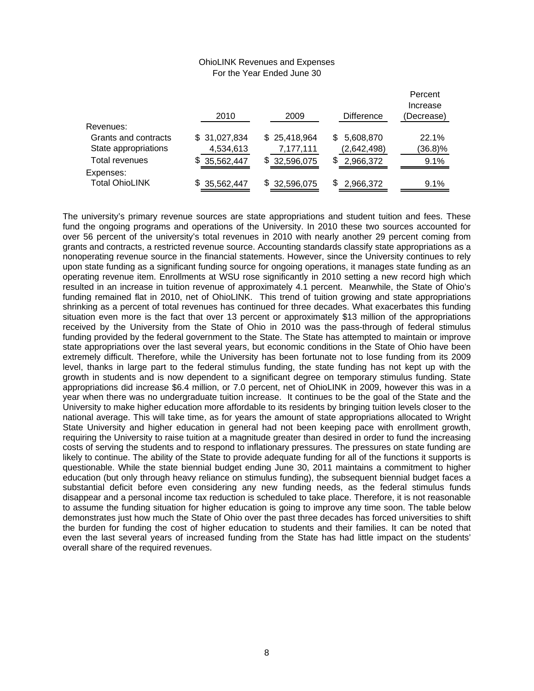## OhioLINK Revenues and Expenses For the Year Ended June 30

|                       | 2010         | 2009              | <b>Difference</b> | Percent<br>Increase<br>(Decrease) |
|-----------------------|--------------|-------------------|-------------------|-----------------------------------|
| Revenues:             |              |                   |                   |                                   |
| Grants and contracts  | \$31,027,834 | \$25,418,964      | 5,608,870<br>S.   | 22.1%                             |
| State appropriations  | 4,534,613    | 7,177,111         | (2,642,498)       | $(36.8)\%$                        |
| <b>Total revenues</b> | 35,562,447   | 32,596,075<br>SS. | S<br>2,966,372    | 9.1%                              |
| Expenses:             |              |                   |                   |                                   |
| <b>Total OhioLINK</b> | \$35,562,447 | \$32,596,075      | 2,966,372         | 9.1%                              |

The university's primary revenue sources are state appropriations and student tuition and fees. These fund the ongoing programs and operations of the University. In 2010 these two sources accounted for over 56 percent of the university's total revenues in 2010 with nearly another 29 percent coming from grants and contracts, a restricted revenue source. Accounting standards classify state appropriations as a nonoperating revenue source in the financial statements. However, since the University continues to rely upon state funding as a significant funding source for ongoing operations, it manages state funding as an operating revenue item. Enrollments at WSU rose significantly in 2010 setting a new record high which resulted in an increase in tuition revenue of approximately 4.1 percent. Meanwhile, the State of Ohio's funding remained flat in 2010, net of OhioLINK. This trend of tuition growing and state appropriations shrinking as a percent of total revenues has continued for three decades. What exacerbates this funding situation even more is the fact that over 13 percent or approximately \$13 million of the appropriations received by the University from the State of Ohio in 2010 was the pass-through of federal stimulus funding provided by the federal government to the State. The State has attempted to maintain or improve state appropriations over the last several years, but economic conditions in the State of Ohio have been extremely difficult. Therefore, while the University has been fortunate not to lose funding from its 2009 level, thanks in large part to the federal stimulus funding, the state funding has not kept up with the growth in students and is now dependent to a significant degree on temporary stimulus funding. State appropriations did increase \$6.4 million, or 7.0 percent, net of OhioLINK in 2009, however this was in a year when there was no undergraduate tuition increase. It continues to be the goal of the State and the University to make higher education more affordable to its residents by bringing tuition levels closer to the national average. This will take time, as for years the amount of state appropriations allocated to Wright State University and higher education in general had not been keeping pace with enrollment growth, requiring the University to raise tuition at a magnitude greater than desired in order to fund the increasing costs of serving the students and to respond to inflationary pressures. The pressures on state funding are likely to continue. The ability of the State to provide adequate funding for all of the functions it supports is questionable. While the state biennial budget ending June 30, 2011 maintains a commitment to higher education (but only through heavy reliance on stimulus funding), the subsequent biennial budget faces a substantial deficit before even considering any new funding needs, as the federal stimulus funds disappear and a personal income tax reduction is scheduled to take place. Therefore, it is not reasonable to assume the funding situation for higher education is going to improve any time soon. The table below demonstrates just how much the State of Ohio over the past three decades has forced universities to shift the burden for funding the cost of higher education to students and their families. It can be noted that even the last several years of increased funding from the State has had little impact on the students' overall share of the required revenues.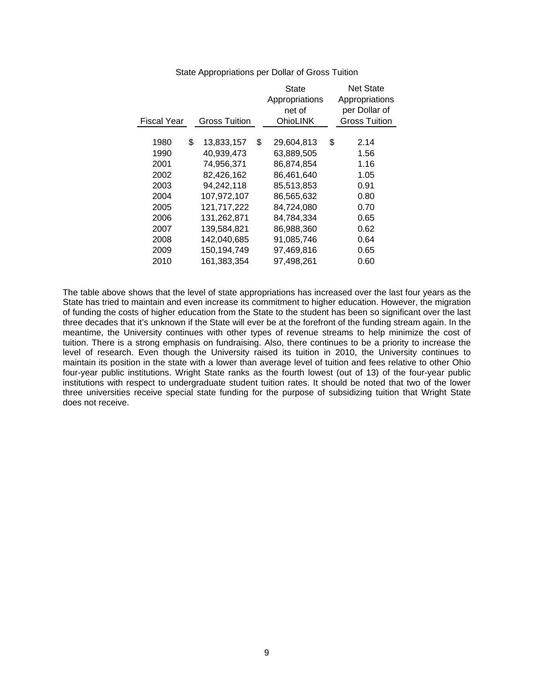|             |                      | <b>State</b>     | <b>Net State</b>     |
|-------------|----------------------|------------------|----------------------|
|             |                      | Appropriations   | Appropriations       |
|             |                      | net of           | per Dollar of        |
| Fiscal Year | <b>Gross Tuition</b> | <b>OhioLINK</b>  | <b>Gross Tuition</b> |
|             |                      |                  |                      |
| 1980        | \$<br>13,833,157     | \$<br>29,604,813 | \$<br>2.14           |
| 1990        | 40.939.473           | 63.889.505       | 1.56                 |
| 2001        | 74,956,371           | 86.874.854       | 1.16                 |
| 2002        | 82,426,162           | 86,461,640       | 1.05                 |
| 2003        | 94.242.118           | 85,513,853       | 0.91                 |
| 2004        | 107,972,107          | 86,565,632       | 0.80                 |
| 2005        | 121.717.222          | 84.724.080       | 0.70                 |
| 2006        | 131,262,871          | 84.784.334       | 0.65                 |
| 2007        | 139.584.821          | 86,988,360       | 0.62                 |
| 2008        | 142,040,685          | 91,085,746       | 0.64                 |
| 2009        | 150.194.749          | 97.469.816       | 0.65                 |
| 2010        | 161,383,354          | 97.498.261       | 0.60                 |
|             |                      |                  |                      |

# State Appropriations per Dollar of Gross Tuition

The table above shows that the level of state appropriations has increased over the last four years as the State has tried to maintain and even increase its commitment to higher education. However, the migration of funding the costs of higher education from the State to the student has been so significant over the last three decades that it's unknown if the State will ever be at the forefront of the funding stream again. In the meantime, the University continues with other types of revenue streams to help minimize the cost of tuition. There is a strong emphasis on fundraising. Also, there continues to be a priority to increase the level of research. Even though the University raised its tuition in 2010, the University continues to maintain its position in the state with a lower than average level of tuition and fees relative to other Ohio four-year public institutions. Wright State ranks as the fourth lowest (out of 13) of the four-year public institutions with respect to undergraduate student tuition rates. It should be noted that two of the lower three universities receive special state funding for the purpose of subsidizing tuition that Wright State does not receive.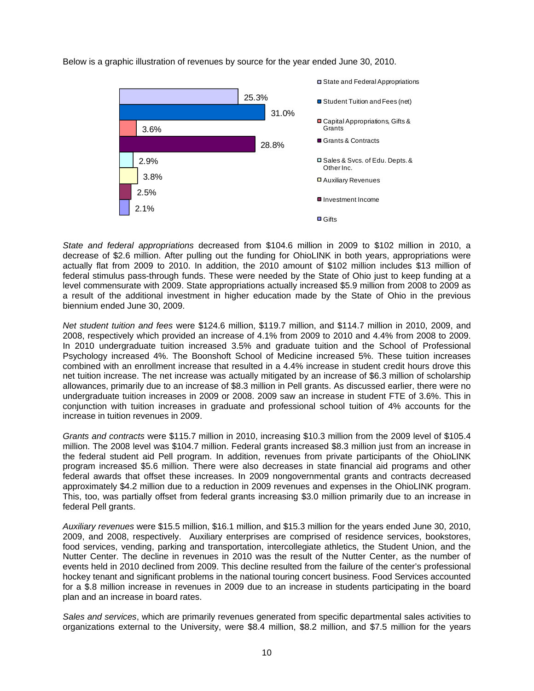Below is a graphic illustration of revenues by source for the year ended June 30, 2010.



*State and federal appropriations* decreased from \$104.6 million in 2009 to \$102 million in 2010, a decrease of \$2.6 million. After pulling out the funding for OhioLINK in both years, appropriations were actually flat from 2009 to 2010. In addition, the 2010 amount of \$102 million includes \$13 million of federal stimulus pass-through funds. These were needed by the State of Ohio just to keep funding at a level commensurate with 2009. State appropriations actually increased \$5.9 million from 2008 to 2009 as a result of the additional investment in higher education made by the State of Ohio in the previous biennium ended June 30, 2009.

*Net student tuition and fees* were \$124.6 million, \$119.7 million, and \$114.7 million in 2010, 2009, and 2008, respectively which provided an increase of 4.1% from 2009 to 2010 and 4.4% from 2008 to 2009. In 2010 undergraduate tuition increased 3.5% and graduate tuition and the School of Professional Psychology increased 4%. The Boonshoft School of Medicine increased 5%. These tuition increases combined with an enrollment increase that resulted in a 4.4% increase in student credit hours drove this net tuition increase. The net increase was actually mitigated by an increase of \$6.3 million of scholarship allowances, primarily due to an increase of \$8.3 million in Pell grants. As discussed earlier, there were no undergraduate tuition increases in 2009 or 2008. 2009 saw an increase in student FTE of 3.6%. This in conjunction with tuition increases in graduate and professional school tuition of 4% accounts for the increase in tuition revenues in 2009.

*Grants and contracts* were \$115.7 million in 2010, increasing \$10.3 million from the 2009 level of \$105.4 million. The 2008 level was \$104.7 million. Federal grants increased \$8.3 million just from an increase in the federal student aid Pell program. In addition, revenues from private participants of the OhioLINK program increased \$5.6 million. There were also decreases in state financial aid programs and other federal awards that offset these increases. In 2009 nongovernmental grants and contracts decreased approximately \$4.2 million due to a reduction in 2009 revenues and expenses in the OhioLINK program. This, too, was partially offset from federal grants increasing \$3.0 million primarily due to an increase in federal Pell grants.

*Auxiliary revenues* were \$15.5 million, \$16.1 million, and \$15.3 million for the years ended June 30, 2010, 2009, and 2008, respectively. Auxiliary enterprises are comprised of residence services, bookstores, food services, vending, parking and transportation, intercollegiate athletics, the Student Union, and the Nutter Center. The decline in revenues in 2010 was the result of the Nutter Center, as the number of events held in 2010 declined from 2009. This decline resulted from the failure of the center's professional hockey tenant and significant problems in the national touring concert business. Food Services accounted for a \$.8 million increase in revenues in 2009 due to an increase in students participating in the board plan and an increase in board rates.

*Sales and services*, which are primarily revenues generated from specific departmental sales activities to organizations external to the University, were \$8.4 million, \$8.2 million, and \$7.5 million for the years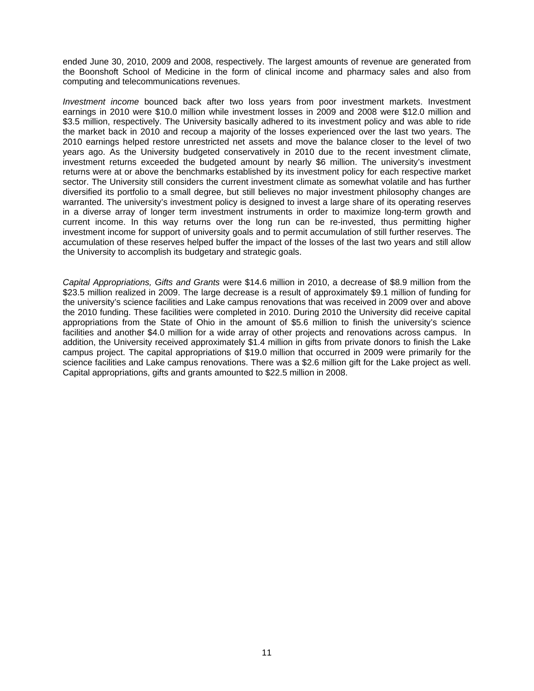ended June 30, 2010, 2009 and 2008, respectively. The largest amounts of revenue are generated from the Boonshoft School of Medicine in the form of clinical income and pharmacy sales and also from computing and telecommunications revenues.

*Investment income* bounced back after two loss years from poor investment markets. Investment earnings in 2010 were \$10.0 million while investment losses in 2009 and 2008 were \$12.0 million and \$3.5 million, respectively. The University basically adhered to its investment policy and was able to ride the market back in 2010 and recoup a majority of the losses experienced over the last two years. The 2010 earnings helped restore unrestricted net assets and move the balance closer to the level of two years ago. As the University budgeted conservatively in 2010 due to the recent investment climate, investment returns exceeded the budgeted amount by nearly \$6 million. The university's investment returns were at or above the benchmarks established by its investment policy for each respective market sector. The University still considers the current investment climate as somewhat volatile and has further diversified its portfolio to a small degree, but still believes no major investment philosophy changes are warranted. The university's investment policy is designed to invest a large share of its operating reserves in a diverse array of longer term investment instruments in order to maximize long-term growth and current income. In this way returns over the long run can be re-invested, thus permitting higher investment income for support of university goals and to permit accumulation of still further reserves. The accumulation of these reserves helped buffer the impact of the losses of the last two years and still allow the University to accomplish its budgetary and strategic goals.

*Capital Appropriations, Gifts and Grants* were \$14.6 million in 2010, a decrease of \$8.9 million from the \$23.5 million realized in 2009. The large decrease is a result of approximately \$9.1 million of funding for the university's science facilities and Lake campus renovations that was received in 2009 over and above the 2010 funding. These facilities were completed in 2010. During 2010 the University did receive capital appropriations from the State of Ohio in the amount of \$5.6 million to finish the university's science facilities and another \$4.0 million for a wide array of other projects and renovations across campus. In addition, the University received approximately \$1.4 million in gifts from private donors to finish the Lake campus project. The capital appropriations of \$19.0 million that occurred in 2009 were primarily for the science facilities and Lake campus renovations. There was a \$2.6 million gift for the Lake project as well. Capital appropriations, gifts and grants amounted to \$22.5 million in 2008.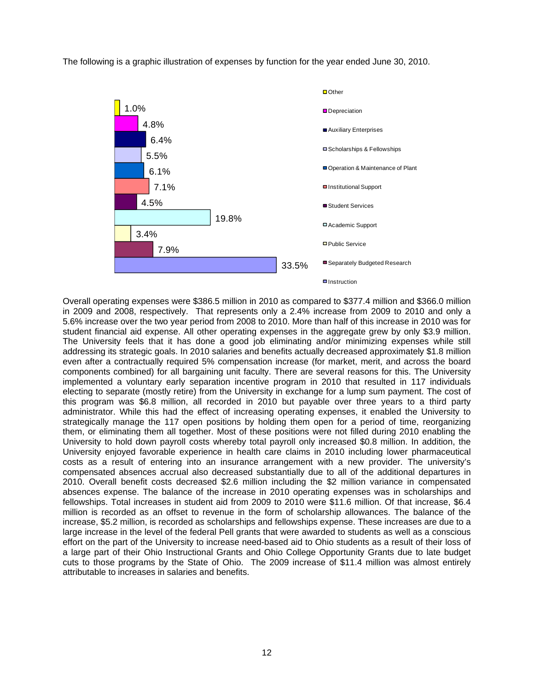The following is a graphic illustration of expenses by function for the year ended June 30, 2010.



Overall operating expenses were \$386.5 million in 2010 as compared to \$377.4 million and \$366.0 million in 2009 and 2008, respectively. That represents only a 2.4% increase from 2009 to 2010 and only a 5.6% increase over the two year period from 2008 to 2010. More than half of this increase in 2010 was for student financial aid expense. All other operating expenses in the aggregate grew by only \$3.9 million. The University feels that it has done a good job eliminating and/or minimizing expenses while still addressing its strategic goals. In 2010 salaries and benefits actually decreased approximately \$1.8 million even after a contractually required 5% compensation increase (for market, merit, and across the board components combined) for all bargaining unit faculty. There are several reasons for this. The University implemented a voluntary early separation incentive program in 2010 that resulted in 117 individuals electing to separate (mostly retire) from the University in exchange for a lump sum payment. The cost of this program was \$6.8 million, all recorded in 2010 but payable over three years to a third party administrator. While this had the effect of increasing operating expenses, it enabled the University to strategically manage the 117 open positions by holding them open for a period of time, reorganizing them, or eliminating them all together. Most of these positions were not filled during 2010 enabling the University to hold down payroll costs whereby total payroll only increased \$0.8 million. In addition, the University enjoyed favorable experience in health care claims in 2010 including lower pharmaceutical costs as a result of entering into an insurance arrangement with a new provider. The university's compensated absences accrual also decreased substantially due to all of the additional departures in 2010. Overall benefit costs decreased \$2.6 million including the \$2 million variance in compensated absences expense. The balance of the increase in 2010 operating expenses was in scholarships and fellowships. Total increases in student aid from 2009 to 2010 were \$11.6 million. Of that increase, \$6.4 million is recorded as an offset to revenue in the form of scholarship allowances. The balance of the increase, \$5.2 million, is recorded as scholarships and fellowships expense. These increases are due to a large increase in the level of the federal Pell grants that were awarded to students as well as a conscious effort on the part of the University to increase need-based aid to Ohio students as a result of their loss of a large part of their Ohio Instructional Grants and Ohio College Opportunity Grants due to late budget cuts to those programs by the State of Ohio. The 2009 increase of \$11.4 million was almost entirely attributable to increases in salaries and benefits.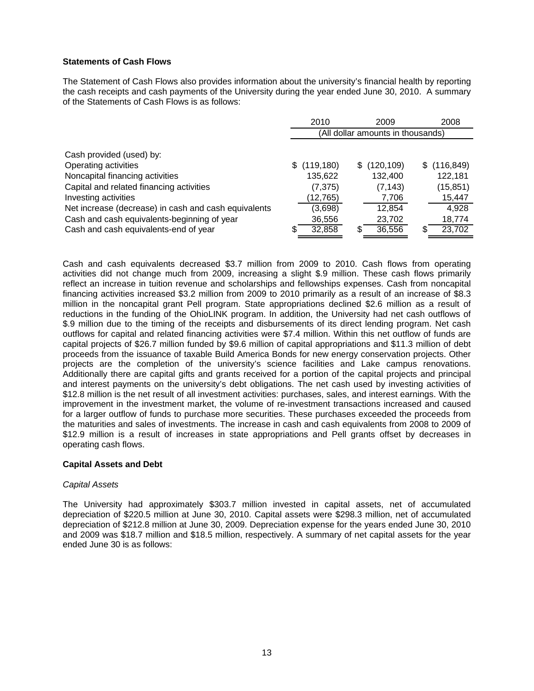# **Statements of Cash Flows**

The Statement of Cash Flows also provides information about the university's financial health by reporting the cash receipts and cash payments of the University during the year ended June 30, 2010. A summary of the Statements of Cash Flows is as follows:

|                                                      | 2010<br>2009                      |            |   |              | 2008 |            |  |
|------------------------------------------------------|-----------------------------------|------------|---|--------------|------|------------|--|
|                                                      | (All dollar amounts in thousands) |            |   |              |      |            |  |
|                                                      |                                   |            |   |              |      |            |  |
| Cash provided (used) by:                             |                                   |            |   |              |      |            |  |
| Operating activities                                 |                                   | (119, 180) |   | \$(120, 109) | SS.  | (116, 849) |  |
| Noncapital financing activities                      |                                   | 135,622    |   | 132,400      |      | 122,181    |  |
| Capital and related financing activities             |                                   | (7, 375)   |   | (7, 143)     |      | (15, 851)  |  |
| Investing activities                                 |                                   | (12, 765)  |   | 7,706        |      | 15,447     |  |
| Net increase (decrease) in cash and cash equivalents |                                   | (3,698)    |   | 12,854       |      | 4.928      |  |
| Cash and cash equivalents-beginning of year          |                                   | 36,556     |   | 23,702       |      | 18,774     |  |
| Cash and cash equivalents-end of year                | S                                 | 32,858     | S | 36,556       | \$   | 23,702     |  |

Cash and cash equivalents decreased \$3.7 million from 2009 to 2010. Cash flows from operating activities did not change much from 2009, increasing a slight \$.9 million. These cash flows primarily reflect an increase in tuition revenue and scholarships and fellowships expenses. Cash from noncapital financing activities increased \$3.2 million from 2009 to 2010 primarily as a result of an increase of \$8.3 million in the noncapital grant Pell program. State appropriations declined \$2.6 million as a result of reductions in the funding of the OhioLINK program. In addition, the University had net cash outflows of \$.9 million due to the timing of the receipts and disbursements of its direct lending program. Net cash outflows for capital and related financing activities were \$7.4 million. Within this net outflow of funds are capital projects of \$26.7 million funded by \$9.6 million of capital appropriations and \$11.3 million of debt proceeds from the issuance of taxable Build America Bonds for new energy conservation projects. Other projects are the completion of the university's science facilities and Lake campus renovations. Additionally there are capital gifts and grants received for a portion of the capital projects and principal and interest payments on the university's debt obligations. The net cash used by investing activities of \$12.8 million is the net result of all investment activities: purchases, sales, and interest earnings. With the improvement in the investment market, the volume of re-investment transactions increased and caused for a larger outflow of funds to purchase more securities. These purchases exceeded the proceeds from the maturities and sales of investments. The increase in cash and cash equivalents from 2008 to 2009 of \$12.9 million is a result of increases in state appropriations and Pell grants offset by decreases in operating cash flows.

## **Capital Assets and Debt**

## *Capital Assets*

The University had approximately \$303.7 million invested in capital assets, net of accumulated depreciation of \$220.5 million at June 30, 2010. Capital assets were \$298.3 million, net of accumulated depreciation of \$212.8 million at June 30, 2009. Depreciation expense for the years ended June 30, 2010 and 2009 was \$18.7 million and \$18.5 million, respectively. A summary of net capital assets for the year ended June 30 is as follows: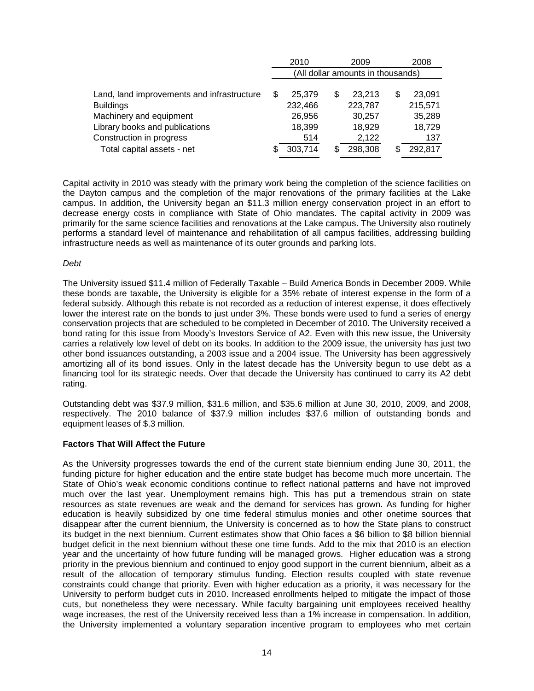|                                            |                                   | 2010    |   | 2008    |  |         |  |  |  |  |
|--------------------------------------------|-----------------------------------|---------|---|---------|--|---------|--|--|--|--|
|                                            | (All dollar amounts in thousands) |         |   |         |  |         |  |  |  |  |
|                                            |                                   |         |   |         |  |         |  |  |  |  |
| Land, land improvements and infrastructure |                                   | 25,379  | S | 23.213  |  | 23.091  |  |  |  |  |
| <b>Buildings</b>                           |                                   | 232,466 |   | 223,787 |  | 215,571 |  |  |  |  |
| Machinery and equipment                    |                                   | 26,956  |   | 30,257  |  | 35,289  |  |  |  |  |
| Library books and publications             |                                   | 18,399  |   | 18,929  |  | 18,729  |  |  |  |  |
| Construction in progress                   |                                   | 514     |   | 2,122   |  | 137     |  |  |  |  |
| Total capital assets - net                 |                                   | 303.714 |   | 298,308 |  | 292,817 |  |  |  |  |

Capital activity in 2010 was steady with the primary work being the completion of the science facilities on the Dayton campus and the completion of the major renovations of the primary facilities at the Lake campus. In addition, the University began an \$11.3 million energy conservation project in an effort to decrease energy costs in compliance with State of Ohio mandates. The capital activity in 2009 was primarily for the same science facilities and renovations at the Lake campus. The University also routinely performs a standard level of maintenance and rehabilitation of all campus facilities, addressing building infrastructure needs as well as maintenance of its outer grounds and parking lots.

### *Debt*

The University issued \$11.4 million of Federally Taxable – Build America Bonds in December 2009. While these bonds are taxable, the University is eligible for a 35% rebate of interest expense in the form of a federal subsidy. Although this rebate is not recorded as a reduction of interest expense, it does effectively lower the interest rate on the bonds to just under 3%. These bonds were used to fund a series of energy conservation projects that are scheduled to be completed in December of 2010. The University received a bond rating for this issue from Moody's Investors Service of A2. Even with this new issue, the University carries a relatively low level of debt on its books. In addition to the 2009 issue, the university has just two other bond issuances outstanding, a 2003 issue and a 2004 issue. The University has been aggressively amortizing all of its bond issues. Only in the latest decade has the University begun to use debt as a financing tool for its strategic needs. Over that decade the University has continued to carry its A2 debt rating.

Outstanding debt was \$37.9 million, \$31.6 million, and \$35.6 million at June 30, 2010, 2009, and 2008, respectively. The 2010 balance of \$37.9 million includes \$37.6 million of outstanding bonds and equipment leases of \$.3 million.

## **Factors That Will Affect the Future**

As the University progresses towards the end of the current state biennium ending June 30, 2011, the funding picture for higher education and the entire state budget has become much more uncertain. The State of Ohio's weak economic conditions continue to reflect national patterns and have not improved much over the last year. Unemployment remains high. This has put a tremendous strain on state resources as state revenues are weak and the demand for services has grown. As funding for higher education is heavily subsidized by one time federal stimulus monies and other onetime sources that disappear after the current biennium, the University is concerned as to how the State plans to construct its budget in the next biennium. Current estimates show that Ohio faces a \$6 billion to \$8 billion biennial budget deficit in the next biennium without these one time funds. Add to the mix that 2010 is an election year and the uncertainty of how future funding will be managed grows. Higher education was a strong priority in the previous biennium and continued to enjoy good support in the current biennium, albeit as a result of the allocation of temporary stimulus funding. Election results coupled with state revenue constraints could change that priority. Even with higher education as a priority, it was necessary for the University to perform budget cuts in 2010. Increased enrollments helped to mitigate the impact of those cuts, but nonetheless they were necessary. While faculty bargaining unit employees received healthy wage increases, the rest of the University received less than a 1% increase in compensation. In addition, the University implemented a voluntary separation incentive program to employees who met certain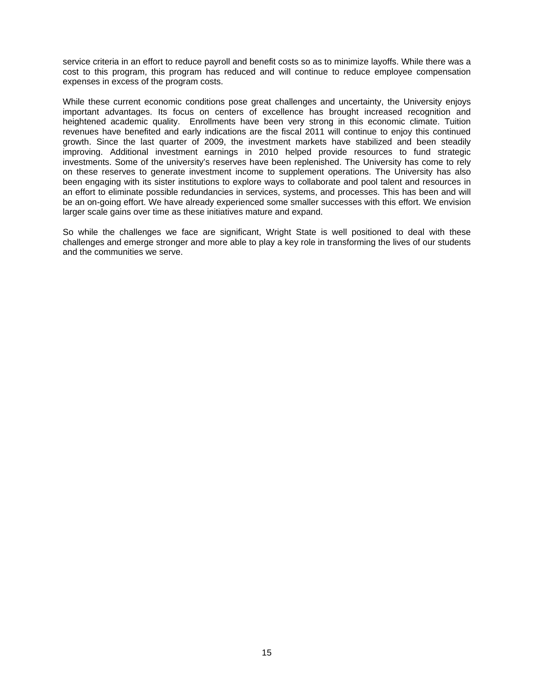service criteria in an effort to reduce payroll and benefit costs so as to minimize layoffs. While there was a cost to this program, this program has reduced and will continue to reduce employee compensation expenses in excess of the program costs.

While these current economic conditions pose great challenges and uncertainty, the University enjoys important advantages. Its focus on centers of excellence has brought increased recognition and heightened academic quality. Enrollments have been very strong in this economic climate. Tuition revenues have benefited and early indications are the fiscal 2011 will continue to enjoy this continued growth. Since the last quarter of 2009, the investment markets have stabilized and been steadily improving. Additional investment earnings in 2010 helped provide resources to fund strategic investments. Some of the university's reserves have been replenished. The University has come to rely on these reserves to generate investment income to supplement operations. The University has also been engaging with its sister institutions to explore ways to collaborate and pool talent and resources in an effort to eliminate possible redundancies in services, systems, and processes. This has been and will be an on-going effort. We have already experienced some smaller successes with this effort. We envision larger scale gains over time as these initiatives mature and expand.

So while the challenges we face are significant, Wright State is well positioned to deal with these challenges and emerge stronger and more able to play a key role in transforming the lives of our students and the communities we serve.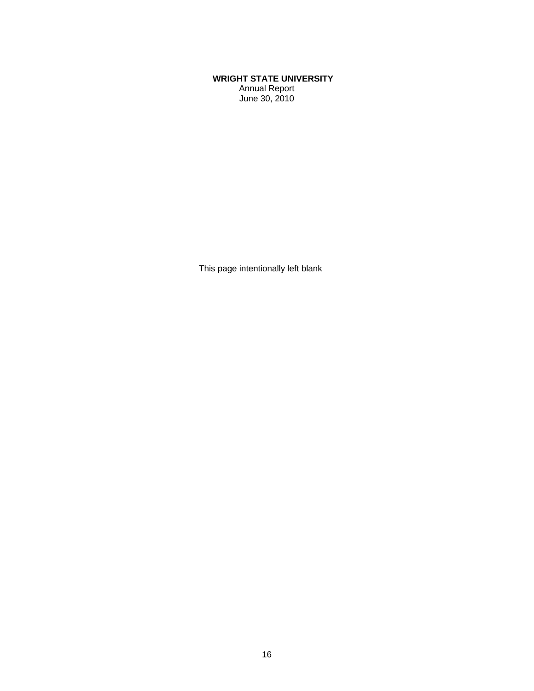# **WRIGHT STATE UNIVERSITY**  Annual Report

June 30, 2010

This page intentionally left blank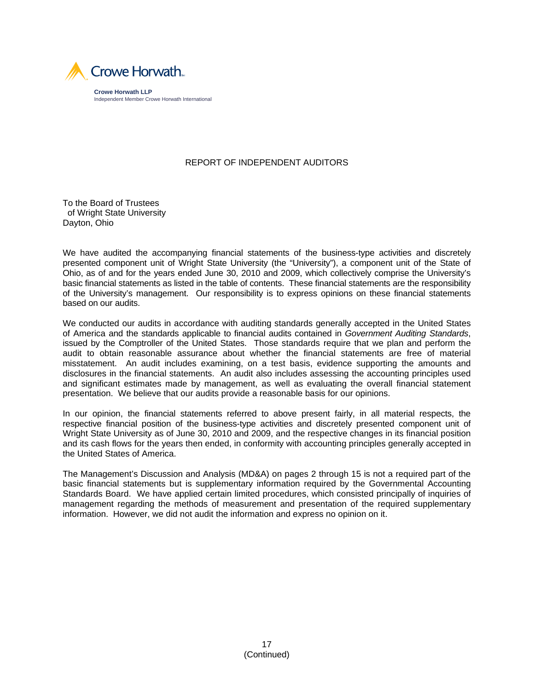

# REPORT OF INDEPENDENT AUDITORS

To the Board of Trustees of Wright State University Dayton, Ohio

We have audited the accompanying financial statements of the business-type activities and discretely presented component unit of Wright State University (the "University"), a component unit of the State of Ohio, as of and for the years ended June 30, 2010 and 2009, which collectively comprise the University's basic financial statements as listed in the table of contents. These financial statements are the responsibility of the University's management. Our responsibility is to express opinions on these financial statements based on our audits.

We conducted our audits in accordance with auditing standards generally accepted in the United States of America and the standards applicable to financial audits contained in *Government Auditing Standards*, issued by the Comptroller of the United States. Those standards require that we plan and perform the audit to obtain reasonable assurance about whether the financial statements are free of material misstatement. An audit includes examining, on a test basis, evidence supporting the amounts and disclosures in the financial statements. An audit also includes assessing the accounting principles used and significant estimates made by management, as well as evaluating the overall financial statement presentation. We believe that our audits provide a reasonable basis for our opinions.

In our opinion, the financial statements referred to above present fairly, in all material respects, the respective financial position of the business-type activities and discretely presented component unit of Wright State University as of June 30, 2010 and 2009, and the respective changes in its financial position and its cash flows for the years then ended, in conformity with accounting principles generally accepted in the United States of America.

The Management's Discussion and Analysis (MD&A) on pages 2 through 15 is not a required part of the basic financial statements but is supplementary information required by the Governmental Accounting Standards Board. We have applied certain limited procedures, which consisted principally of inquiries of management regarding the methods of measurement and presentation of the required supplementary information. However, we did not audit the information and express no opinion on it.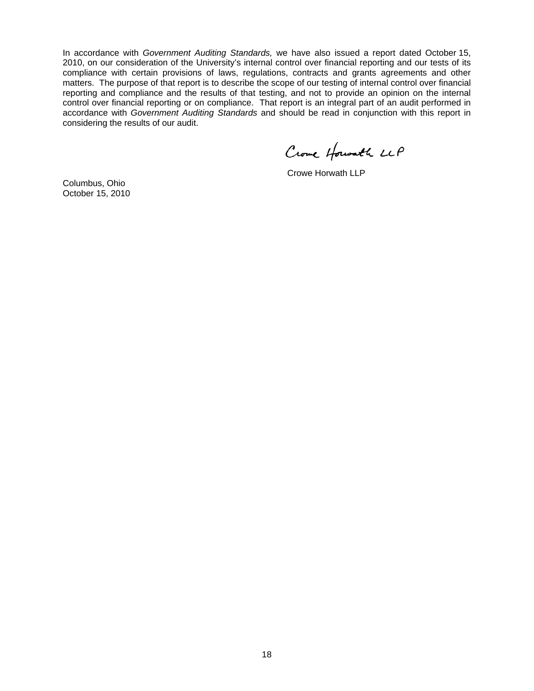In accordance with *Government Auditing Standards,* we have also issued a report dated October 15, 2010, on our consideration of the University's internal control over financial reporting and our tests of its compliance with certain provisions of laws, regulations, contracts and grants agreements and other matters. The purpose of that report is to describe the scope of our testing of internal control over financial reporting and compliance and the results of that testing, and not to provide an opinion on the internal control over financial reporting or on compliance. That report is an integral part of an audit performed in accordance with *Government Auditing Standards* and should be read in conjunction with this report in considering the results of our audit.

Crowe Howalk LLP

Crowe Horwath LLP

Columbus, Ohio October 15, 2010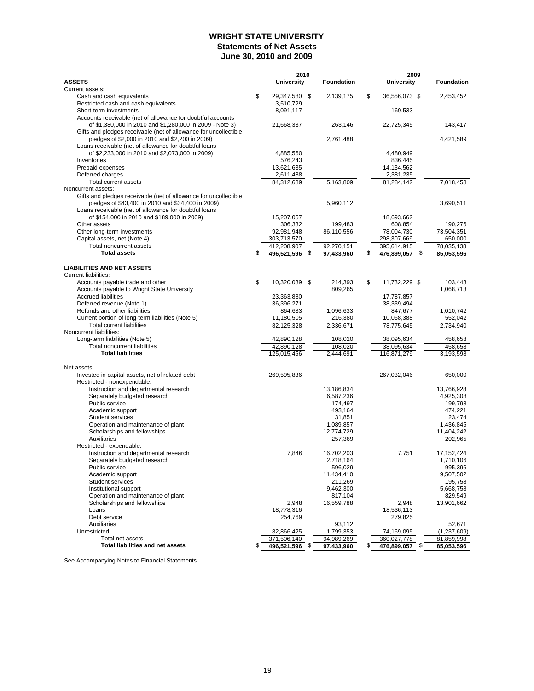# **WRIGHT STATE UNIVERSITY Statements of Net Assets June 30, 2010 and 2009**

| <b>ASSETS</b><br>Foundation<br>Foundation<br>University<br>University<br>Current assets:<br>\$<br>\$<br>29,347,580 \$<br>Cash and cash equivalents<br>2,139,175<br>36.556.073 \$<br>2,453,452<br>Restricted cash and cash equivalents<br>3,510,729<br>169,533<br>Short-term investments<br>8,091,117<br>Accounts receivable (net of allowance for doubtful accounts<br>of \$1,380,000 in 2010 and \$1,280,000 in 2009 - Note 3)<br>143,417<br>21,668,337<br>263,146<br>22,725,345<br>Gifts and pledges receivable (net of allowance for uncollectible<br>pledges of \$2,000 in 2010 and \$2,200 in 2009)<br>2,761,488<br>4,421,589<br>Loans receivable (net of allowance for doubtful loans<br>of \$2,233,000 in 2010 and \$2,073,000 in 2009)<br>4,885,560<br>4,480,949<br>Inventories<br>576,243<br>836,445<br>Prepaid expenses<br>14,134,562<br>13,621,635<br>Deferred charges<br>2,611,488<br>2,381,235<br>Total current assets<br>84,312,689<br>5,163,809<br>81,284,142<br>7,018,458<br>Noncurrent assets:<br>Gifts and pledges receivable (net of allowance for uncollectible<br>pledges of \$43,400 in 2010 and \$34,400 in 2009)<br>3,690,511<br>5,960,112<br>Loans receivable (net of allowance for doubtful loans<br>of \$154,000 in 2010 and \$189,000 in 2009)<br>15,207,057<br>18,693,662<br>Other assets<br>306,332<br>199,483<br>608,854<br>190,276<br>Other long-term investments<br>92,981,948<br>86,110,556<br>78,004,730<br>73,504,351<br>Capital assets, net (Note 4)<br>298,307,669<br>650,000<br>303,713,570<br><b>Total noncurrent assets</b><br>412,208,907<br>92,270,151<br>78,035,138<br>395,614,915<br><b>Total assets</b><br>\$<br>496,521,596 \$<br>476,899,057 \$<br>97,433,960<br>85,053,596<br><b>LIABILITIES AND NET ASSETS</b><br><b>Current liabilities:</b><br>\$<br>10,320,039 \$<br>\$<br>11,732,229 \$<br>103,443<br>Accounts payable trade and other<br>214,393<br>Accounts payable to Wright State University<br>809,265<br>1,068,713<br><b>Accrued liabilities</b><br>23,363,880<br>17,787,857<br>Deferred revenue (Note 1)<br>36,396,271<br>38,339,494<br>Refunds and other liabilities<br>864,633<br>1,096,633<br>847,677<br>1,010,742<br>Current portion of long-term liabilities (Note 5)<br>11,180,505<br>10,068,388<br>552,042<br>216,380<br><b>Total current liabilities</b><br>78,775,645<br>82,125,328<br>2,336,671<br>2,734,940<br>Noncurrent liabilities:<br>Long-term liabilities (Note 5)<br>42,890,128<br>458,658<br>108,020<br>38,095,634<br>Total noncurrent liabilities<br>42,890,128<br>108,020<br>38,095,634<br>458,658<br><b>Total liabilities</b><br>125,015,456<br>2,444,691<br>116,871,279<br>3,193,598<br>Net assets:<br>650,000<br>Invested in capital assets, net of related debt<br>269,595,836<br>267,032,046<br>Restricted - nonexpendable:<br>Instruction and departmental research<br>13,186,834<br>13,766,928<br>Separately budgeted research<br>6,587,236<br>4,925,308<br>Public service<br>174,497<br>199,798<br>Academic support<br>474,221<br>493,164<br>Student services<br>31,851<br>23,474<br>Operation and maintenance of plant<br>1,089,857<br>1,436,845<br>Scholarships and fellowships<br>12,774,729<br>11,404,242<br><b>Auxiliaries</b><br>257,369<br>202,965<br>Restricted - expendable:<br>Instruction and departmental research<br>7,846<br>7,751<br>17,152,424<br>16,702,203<br>Separately budgeted research<br>2,718,164<br>1,710,106<br>596,029<br>995,396<br>Public service<br>Academic support<br>9,507,502<br>11,434,410<br>Student services<br>211,269<br>195,758<br>5,668,758<br>Institutional support<br>9,462,300<br>Operation and maintenance of plant<br>817,104<br>829,549<br>Scholarships and fellowships<br>2,948<br>2,948<br>16,559,788<br>13,901,662<br>18,778,316<br>Loans<br>18,536,113<br>Debt service<br>254,769<br>279,825<br>Auxiliaries<br>93,112<br>52,671<br>Unrestricted<br>82,866,425<br>1,799,353<br>74,169,095<br>(1,237,609)<br>Total net assets<br>371,506,140<br>360,027,778<br>94,989,269<br>81,859,998<br><b>Total liabilities and net assets</b><br>\$<br>496,521,596 \$<br>\$<br>97,433,960<br>476,899,057 \$<br>85,053,596 |  | 2010 |  | 2009 |  |  |  |
|-----------------------------------------------------------------------------------------------------------------------------------------------------------------------------------------------------------------------------------------------------------------------------------------------------------------------------------------------------------------------------------------------------------------------------------------------------------------------------------------------------------------------------------------------------------------------------------------------------------------------------------------------------------------------------------------------------------------------------------------------------------------------------------------------------------------------------------------------------------------------------------------------------------------------------------------------------------------------------------------------------------------------------------------------------------------------------------------------------------------------------------------------------------------------------------------------------------------------------------------------------------------------------------------------------------------------------------------------------------------------------------------------------------------------------------------------------------------------------------------------------------------------------------------------------------------------------------------------------------------------------------------------------------------------------------------------------------------------------------------------------------------------------------------------------------------------------------------------------------------------------------------------------------------------------------------------------------------------------------------------------------------------------------------------------------------------------------------------------------------------------------------------------------------------------------------------------------------------------------------------------------------------------------------------------------------------------------------------------------------------------------------------------------------------------------------------------------------------------------------------------------------------------------------------------------------------------------------------------------------------------------------------------------------------------------------------------------------------------------------------------------------------------------------------------------------------------------------------------------------------------------------------------------------------------------------------------------------------------------------------------------------------------------------------------------------------------------------------------------------------------------------------------------------------------------------------------------------------------------------------------------------------------------------------------------------------------------------------------------------------------------------------------------------------------------------------------------------------------------------------------------------------------------------------------------------------------------------------------------------------------------------------------------------------------------------------------------------------------------------------------------------------------------------------------------------------------------------------------------------------------------------------------------------------------------------------------------------------------------------------------------------------------------------------------------------------------------------------------------------------------------------------------------|--|------|--|------|--|--|--|
|                                                                                                                                                                                                                                                                                                                                                                                                                                                                                                                                                                                                                                                                                                                                                                                                                                                                                                                                                                                                                                                                                                                                                                                                                                                                                                                                                                                                                                                                                                                                                                                                                                                                                                                                                                                                                                                                                                                                                                                                                                                                                                                                                                                                                                                                                                                                                                                                                                                                                                                                                                                                                                                                                                                                                                                                                                                                                                                                                                                                                                                                                                                                                                                                                                                                                                                                                                                                                                                                                                                                                                                                                                                                                                                                                                                                                                                                                                                                                                                                                                                                                                                                                           |  |      |  |      |  |  |  |
|                                                                                                                                                                                                                                                                                                                                                                                                                                                                                                                                                                                                                                                                                                                                                                                                                                                                                                                                                                                                                                                                                                                                                                                                                                                                                                                                                                                                                                                                                                                                                                                                                                                                                                                                                                                                                                                                                                                                                                                                                                                                                                                                                                                                                                                                                                                                                                                                                                                                                                                                                                                                                                                                                                                                                                                                                                                                                                                                                                                                                                                                                                                                                                                                                                                                                                                                                                                                                                                                                                                                                                                                                                                                                                                                                                                                                                                                                                                                                                                                                                                                                                                                                           |  |      |  |      |  |  |  |
|                                                                                                                                                                                                                                                                                                                                                                                                                                                                                                                                                                                                                                                                                                                                                                                                                                                                                                                                                                                                                                                                                                                                                                                                                                                                                                                                                                                                                                                                                                                                                                                                                                                                                                                                                                                                                                                                                                                                                                                                                                                                                                                                                                                                                                                                                                                                                                                                                                                                                                                                                                                                                                                                                                                                                                                                                                                                                                                                                                                                                                                                                                                                                                                                                                                                                                                                                                                                                                                                                                                                                                                                                                                                                                                                                                                                                                                                                                                                                                                                                                                                                                                                                           |  |      |  |      |  |  |  |
|                                                                                                                                                                                                                                                                                                                                                                                                                                                                                                                                                                                                                                                                                                                                                                                                                                                                                                                                                                                                                                                                                                                                                                                                                                                                                                                                                                                                                                                                                                                                                                                                                                                                                                                                                                                                                                                                                                                                                                                                                                                                                                                                                                                                                                                                                                                                                                                                                                                                                                                                                                                                                                                                                                                                                                                                                                                                                                                                                                                                                                                                                                                                                                                                                                                                                                                                                                                                                                                                                                                                                                                                                                                                                                                                                                                                                                                                                                                                                                                                                                                                                                                                                           |  |      |  |      |  |  |  |
|                                                                                                                                                                                                                                                                                                                                                                                                                                                                                                                                                                                                                                                                                                                                                                                                                                                                                                                                                                                                                                                                                                                                                                                                                                                                                                                                                                                                                                                                                                                                                                                                                                                                                                                                                                                                                                                                                                                                                                                                                                                                                                                                                                                                                                                                                                                                                                                                                                                                                                                                                                                                                                                                                                                                                                                                                                                                                                                                                                                                                                                                                                                                                                                                                                                                                                                                                                                                                                                                                                                                                                                                                                                                                                                                                                                                                                                                                                                                                                                                                                                                                                                                                           |  |      |  |      |  |  |  |
|                                                                                                                                                                                                                                                                                                                                                                                                                                                                                                                                                                                                                                                                                                                                                                                                                                                                                                                                                                                                                                                                                                                                                                                                                                                                                                                                                                                                                                                                                                                                                                                                                                                                                                                                                                                                                                                                                                                                                                                                                                                                                                                                                                                                                                                                                                                                                                                                                                                                                                                                                                                                                                                                                                                                                                                                                                                                                                                                                                                                                                                                                                                                                                                                                                                                                                                                                                                                                                                                                                                                                                                                                                                                                                                                                                                                                                                                                                                                                                                                                                                                                                                                                           |  |      |  |      |  |  |  |
|                                                                                                                                                                                                                                                                                                                                                                                                                                                                                                                                                                                                                                                                                                                                                                                                                                                                                                                                                                                                                                                                                                                                                                                                                                                                                                                                                                                                                                                                                                                                                                                                                                                                                                                                                                                                                                                                                                                                                                                                                                                                                                                                                                                                                                                                                                                                                                                                                                                                                                                                                                                                                                                                                                                                                                                                                                                                                                                                                                                                                                                                                                                                                                                                                                                                                                                                                                                                                                                                                                                                                                                                                                                                                                                                                                                                                                                                                                                                                                                                                                                                                                                                                           |  |      |  |      |  |  |  |
|                                                                                                                                                                                                                                                                                                                                                                                                                                                                                                                                                                                                                                                                                                                                                                                                                                                                                                                                                                                                                                                                                                                                                                                                                                                                                                                                                                                                                                                                                                                                                                                                                                                                                                                                                                                                                                                                                                                                                                                                                                                                                                                                                                                                                                                                                                                                                                                                                                                                                                                                                                                                                                                                                                                                                                                                                                                                                                                                                                                                                                                                                                                                                                                                                                                                                                                                                                                                                                                                                                                                                                                                                                                                                                                                                                                                                                                                                                                                                                                                                                                                                                                                                           |  |      |  |      |  |  |  |
|                                                                                                                                                                                                                                                                                                                                                                                                                                                                                                                                                                                                                                                                                                                                                                                                                                                                                                                                                                                                                                                                                                                                                                                                                                                                                                                                                                                                                                                                                                                                                                                                                                                                                                                                                                                                                                                                                                                                                                                                                                                                                                                                                                                                                                                                                                                                                                                                                                                                                                                                                                                                                                                                                                                                                                                                                                                                                                                                                                                                                                                                                                                                                                                                                                                                                                                                                                                                                                                                                                                                                                                                                                                                                                                                                                                                                                                                                                                                                                                                                                                                                                                                                           |  |      |  |      |  |  |  |
|                                                                                                                                                                                                                                                                                                                                                                                                                                                                                                                                                                                                                                                                                                                                                                                                                                                                                                                                                                                                                                                                                                                                                                                                                                                                                                                                                                                                                                                                                                                                                                                                                                                                                                                                                                                                                                                                                                                                                                                                                                                                                                                                                                                                                                                                                                                                                                                                                                                                                                                                                                                                                                                                                                                                                                                                                                                                                                                                                                                                                                                                                                                                                                                                                                                                                                                                                                                                                                                                                                                                                                                                                                                                                                                                                                                                                                                                                                                                                                                                                                                                                                                                                           |  |      |  |      |  |  |  |
|                                                                                                                                                                                                                                                                                                                                                                                                                                                                                                                                                                                                                                                                                                                                                                                                                                                                                                                                                                                                                                                                                                                                                                                                                                                                                                                                                                                                                                                                                                                                                                                                                                                                                                                                                                                                                                                                                                                                                                                                                                                                                                                                                                                                                                                                                                                                                                                                                                                                                                                                                                                                                                                                                                                                                                                                                                                                                                                                                                                                                                                                                                                                                                                                                                                                                                                                                                                                                                                                                                                                                                                                                                                                                                                                                                                                                                                                                                                                                                                                                                                                                                                                                           |  |      |  |      |  |  |  |
|                                                                                                                                                                                                                                                                                                                                                                                                                                                                                                                                                                                                                                                                                                                                                                                                                                                                                                                                                                                                                                                                                                                                                                                                                                                                                                                                                                                                                                                                                                                                                                                                                                                                                                                                                                                                                                                                                                                                                                                                                                                                                                                                                                                                                                                                                                                                                                                                                                                                                                                                                                                                                                                                                                                                                                                                                                                                                                                                                                                                                                                                                                                                                                                                                                                                                                                                                                                                                                                                                                                                                                                                                                                                                                                                                                                                                                                                                                                                                                                                                                                                                                                                                           |  |      |  |      |  |  |  |
|                                                                                                                                                                                                                                                                                                                                                                                                                                                                                                                                                                                                                                                                                                                                                                                                                                                                                                                                                                                                                                                                                                                                                                                                                                                                                                                                                                                                                                                                                                                                                                                                                                                                                                                                                                                                                                                                                                                                                                                                                                                                                                                                                                                                                                                                                                                                                                                                                                                                                                                                                                                                                                                                                                                                                                                                                                                                                                                                                                                                                                                                                                                                                                                                                                                                                                                                                                                                                                                                                                                                                                                                                                                                                                                                                                                                                                                                                                                                                                                                                                                                                                                                                           |  |      |  |      |  |  |  |
|                                                                                                                                                                                                                                                                                                                                                                                                                                                                                                                                                                                                                                                                                                                                                                                                                                                                                                                                                                                                                                                                                                                                                                                                                                                                                                                                                                                                                                                                                                                                                                                                                                                                                                                                                                                                                                                                                                                                                                                                                                                                                                                                                                                                                                                                                                                                                                                                                                                                                                                                                                                                                                                                                                                                                                                                                                                                                                                                                                                                                                                                                                                                                                                                                                                                                                                                                                                                                                                                                                                                                                                                                                                                                                                                                                                                                                                                                                                                                                                                                                                                                                                                                           |  |      |  |      |  |  |  |
|                                                                                                                                                                                                                                                                                                                                                                                                                                                                                                                                                                                                                                                                                                                                                                                                                                                                                                                                                                                                                                                                                                                                                                                                                                                                                                                                                                                                                                                                                                                                                                                                                                                                                                                                                                                                                                                                                                                                                                                                                                                                                                                                                                                                                                                                                                                                                                                                                                                                                                                                                                                                                                                                                                                                                                                                                                                                                                                                                                                                                                                                                                                                                                                                                                                                                                                                                                                                                                                                                                                                                                                                                                                                                                                                                                                                                                                                                                                                                                                                                                                                                                                                                           |  |      |  |      |  |  |  |
|                                                                                                                                                                                                                                                                                                                                                                                                                                                                                                                                                                                                                                                                                                                                                                                                                                                                                                                                                                                                                                                                                                                                                                                                                                                                                                                                                                                                                                                                                                                                                                                                                                                                                                                                                                                                                                                                                                                                                                                                                                                                                                                                                                                                                                                                                                                                                                                                                                                                                                                                                                                                                                                                                                                                                                                                                                                                                                                                                                                                                                                                                                                                                                                                                                                                                                                                                                                                                                                                                                                                                                                                                                                                                                                                                                                                                                                                                                                                                                                                                                                                                                                                                           |  |      |  |      |  |  |  |
|                                                                                                                                                                                                                                                                                                                                                                                                                                                                                                                                                                                                                                                                                                                                                                                                                                                                                                                                                                                                                                                                                                                                                                                                                                                                                                                                                                                                                                                                                                                                                                                                                                                                                                                                                                                                                                                                                                                                                                                                                                                                                                                                                                                                                                                                                                                                                                                                                                                                                                                                                                                                                                                                                                                                                                                                                                                                                                                                                                                                                                                                                                                                                                                                                                                                                                                                                                                                                                                                                                                                                                                                                                                                                                                                                                                                                                                                                                                                                                                                                                                                                                                                                           |  |      |  |      |  |  |  |
|                                                                                                                                                                                                                                                                                                                                                                                                                                                                                                                                                                                                                                                                                                                                                                                                                                                                                                                                                                                                                                                                                                                                                                                                                                                                                                                                                                                                                                                                                                                                                                                                                                                                                                                                                                                                                                                                                                                                                                                                                                                                                                                                                                                                                                                                                                                                                                                                                                                                                                                                                                                                                                                                                                                                                                                                                                                                                                                                                                                                                                                                                                                                                                                                                                                                                                                                                                                                                                                                                                                                                                                                                                                                                                                                                                                                                                                                                                                                                                                                                                                                                                                                                           |  |      |  |      |  |  |  |
|                                                                                                                                                                                                                                                                                                                                                                                                                                                                                                                                                                                                                                                                                                                                                                                                                                                                                                                                                                                                                                                                                                                                                                                                                                                                                                                                                                                                                                                                                                                                                                                                                                                                                                                                                                                                                                                                                                                                                                                                                                                                                                                                                                                                                                                                                                                                                                                                                                                                                                                                                                                                                                                                                                                                                                                                                                                                                                                                                                                                                                                                                                                                                                                                                                                                                                                                                                                                                                                                                                                                                                                                                                                                                                                                                                                                                                                                                                                                                                                                                                                                                                                                                           |  |      |  |      |  |  |  |
|                                                                                                                                                                                                                                                                                                                                                                                                                                                                                                                                                                                                                                                                                                                                                                                                                                                                                                                                                                                                                                                                                                                                                                                                                                                                                                                                                                                                                                                                                                                                                                                                                                                                                                                                                                                                                                                                                                                                                                                                                                                                                                                                                                                                                                                                                                                                                                                                                                                                                                                                                                                                                                                                                                                                                                                                                                                                                                                                                                                                                                                                                                                                                                                                                                                                                                                                                                                                                                                                                                                                                                                                                                                                                                                                                                                                                                                                                                                                                                                                                                                                                                                                                           |  |      |  |      |  |  |  |
|                                                                                                                                                                                                                                                                                                                                                                                                                                                                                                                                                                                                                                                                                                                                                                                                                                                                                                                                                                                                                                                                                                                                                                                                                                                                                                                                                                                                                                                                                                                                                                                                                                                                                                                                                                                                                                                                                                                                                                                                                                                                                                                                                                                                                                                                                                                                                                                                                                                                                                                                                                                                                                                                                                                                                                                                                                                                                                                                                                                                                                                                                                                                                                                                                                                                                                                                                                                                                                                                                                                                                                                                                                                                                                                                                                                                                                                                                                                                                                                                                                                                                                                                                           |  |      |  |      |  |  |  |
|                                                                                                                                                                                                                                                                                                                                                                                                                                                                                                                                                                                                                                                                                                                                                                                                                                                                                                                                                                                                                                                                                                                                                                                                                                                                                                                                                                                                                                                                                                                                                                                                                                                                                                                                                                                                                                                                                                                                                                                                                                                                                                                                                                                                                                                                                                                                                                                                                                                                                                                                                                                                                                                                                                                                                                                                                                                                                                                                                                                                                                                                                                                                                                                                                                                                                                                                                                                                                                                                                                                                                                                                                                                                                                                                                                                                                                                                                                                                                                                                                                                                                                                                                           |  |      |  |      |  |  |  |
|                                                                                                                                                                                                                                                                                                                                                                                                                                                                                                                                                                                                                                                                                                                                                                                                                                                                                                                                                                                                                                                                                                                                                                                                                                                                                                                                                                                                                                                                                                                                                                                                                                                                                                                                                                                                                                                                                                                                                                                                                                                                                                                                                                                                                                                                                                                                                                                                                                                                                                                                                                                                                                                                                                                                                                                                                                                                                                                                                                                                                                                                                                                                                                                                                                                                                                                                                                                                                                                                                                                                                                                                                                                                                                                                                                                                                                                                                                                                                                                                                                                                                                                                                           |  |      |  |      |  |  |  |
|                                                                                                                                                                                                                                                                                                                                                                                                                                                                                                                                                                                                                                                                                                                                                                                                                                                                                                                                                                                                                                                                                                                                                                                                                                                                                                                                                                                                                                                                                                                                                                                                                                                                                                                                                                                                                                                                                                                                                                                                                                                                                                                                                                                                                                                                                                                                                                                                                                                                                                                                                                                                                                                                                                                                                                                                                                                                                                                                                                                                                                                                                                                                                                                                                                                                                                                                                                                                                                                                                                                                                                                                                                                                                                                                                                                                                                                                                                                                                                                                                                                                                                                                                           |  |      |  |      |  |  |  |
|                                                                                                                                                                                                                                                                                                                                                                                                                                                                                                                                                                                                                                                                                                                                                                                                                                                                                                                                                                                                                                                                                                                                                                                                                                                                                                                                                                                                                                                                                                                                                                                                                                                                                                                                                                                                                                                                                                                                                                                                                                                                                                                                                                                                                                                                                                                                                                                                                                                                                                                                                                                                                                                                                                                                                                                                                                                                                                                                                                                                                                                                                                                                                                                                                                                                                                                                                                                                                                                                                                                                                                                                                                                                                                                                                                                                                                                                                                                                                                                                                                                                                                                                                           |  |      |  |      |  |  |  |
|                                                                                                                                                                                                                                                                                                                                                                                                                                                                                                                                                                                                                                                                                                                                                                                                                                                                                                                                                                                                                                                                                                                                                                                                                                                                                                                                                                                                                                                                                                                                                                                                                                                                                                                                                                                                                                                                                                                                                                                                                                                                                                                                                                                                                                                                                                                                                                                                                                                                                                                                                                                                                                                                                                                                                                                                                                                                                                                                                                                                                                                                                                                                                                                                                                                                                                                                                                                                                                                                                                                                                                                                                                                                                                                                                                                                                                                                                                                                                                                                                                                                                                                                                           |  |      |  |      |  |  |  |
|                                                                                                                                                                                                                                                                                                                                                                                                                                                                                                                                                                                                                                                                                                                                                                                                                                                                                                                                                                                                                                                                                                                                                                                                                                                                                                                                                                                                                                                                                                                                                                                                                                                                                                                                                                                                                                                                                                                                                                                                                                                                                                                                                                                                                                                                                                                                                                                                                                                                                                                                                                                                                                                                                                                                                                                                                                                                                                                                                                                                                                                                                                                                                                                                                                                                                                                                                                                                                                                                                                                                                                                                                                                                                                                                                                                                                                                                                                                                                                                                                                                                                                                                                           |  |      |  |      |  |  |  |
|                                                                                                                                                                                                                                                                                                                                                                                                                                                                                                                                                                                                                                                                                                                                                                                                                                                                                                                                                                                                                                                                                                                                                                                                                                                                                                                                                                                                                                                                                                                                                                                                                                                                                                                                                                                                                                                                                                                                                                                                                                                                                                                                                                                                                                                                                                                                                                                                                                                                                                                                                                                                                                                                                                                                                                                                                                                                                                                                                                                                                                                                                                                                                                                                                                                                                                                                                                                                                                                                                                                                                                                                                                                                                                                                                                                                                                                                                                                                                                                                                                                                                                                                                           |  |      |  |      |  |  |  |
|                                                                                                                                                                                                                                                                                                                                                                                                                                                                                                                                                                                                                                                                                                                                                                                                                                                                                                                                                                                                                                                                                                                                                                                                                                                                                                                                                                                                                                                                                                                                                                                                                                                                                                                                                                                                                                                                                                                                                                                                                                                                                                                                                                                                                                                                                                                                                                                                                                                                                                                                                                                                                                                                                                                                                                                                                                                                                                                                                                                                                                                                                                                                                                                                                                                                                                                                                                                                                                                                                                                                                                                                                                                                                                                                                                                                                                                                                                                                                                                                                                                                                                                                                           |  |      |  |      |  |  |  |
|                                                                                                                                                                                                                                                                                                                                                                                                                                                                                                                                                                                                                                                                                                                                                                                                                                                                                                                                                                                                                                                                                                                                                                                                                                                                                                                                                                                                                                                                                                                                                                                                                                                                                                                                                                                                                                                                                                                                                                                                                                                                                                                                                                                                                                                                                                                                                                                                                                                                                                                                                                                                                                                                                                                                                                                                                                                                                                                                                                                                                                                                                                                                                                                                                                                                                                                                                                                                                                                                                                                                                                                                                                                                                                                                                                                                                                                                                                                                                                                                                                                                                                                                                           |  |      |  |      |  |  |  |
|                                                                                                                                                                                                                                                                                                                                                                                                                                                                                                                                                                                                                                                                                                                                                                                                                                                                                                                                                                                                                                                                                                                                                                                                                                                                                                                                                                                                                                                                                                                                                                                                                                                                                                                                                                                                                                                                                                                                                                                                                                                                                                                                                                                                                                                                                                                                                                                                                                                                                                                                                                                                                                                                                                                                                                                                                                                                                                                                                                                                                                                                                                                                                                                                                                                                                                                                                                                                                                                                                                                                                                                                                                                                                                                                                                                                                                                                                                                                                                                                                                                                                                                                                           |  |      |  |      |  |  |  |
|                                                                                                                                                                                                                                                                                                                                                                                                                                                                                                                                                                                                                                                                                                                                                                                                                                                                                                                                                                                                                                                                                                                                                                                                                                                                                                                                                                                                                                                                                                                                                                                                                                                                                                                                                                                                                                                                                                                                                                                                                                                                                                                                                                                                                                                                                                                                                                                                                                                                                                                                                                                                                                                                                                                                                                                                                                                                                                                                                                                                                                                                                                                                                                                                                                                                                                                                                                                                                                                                                                                                                                                                                                                                                                                                                                                                                                                                                                                                                                                                                                                                                                                                                           |  |      |  |      |  |  |  |
|                                                                                                                                                                                                                                                                                                                                                                                                                                                                                                                                                                                                                                                                                                                                                                                                                                                                                                                                                                                                                                                                                                                                                                                                                                                                                                                                                                                                                                                                                                                                                                                                                                                                                                                                                                                                                                                                                                                                                                                                                                                                                                                                                                                                                                                                                                                                                                                                                                                                                                                                                                                                                                                                                                                                                                                                                                                                                                                                                                                                                                                                                                                                                                                                                                                                                                                                                                                                                                                                                                                                                                                                                                                                                                                                                                                                                                                                                                                                                                                                                                                                                                                                                           |  |      |  |      |  |  |  |
|                                                                                                                                                                                                                                                                                                                                                                                                                                                                                                                                                                                                                                                                                                                                                                                                                                                                                                                                                                                                                                                                                                                                                                                                                                                                                                                                                                                                                                                                                                                                                                                                                                                                                                                                                                                                                                                                                                                                                                                                                                                                                                                                                                                                                                                                                                                                                                                                                                                                                                                                                                                                                                                                                                                                                                                                                                                                                                                                                                                                                                                                                                                                                                                                                                                                                                                                                                                                                                                                                                                                                                                                                                                                                                                                                                                                                                                                                                                                                                                                                                                                                                                                                           |  |      |  |      |  |  |  |
|                                                                                                                                                                                                                                                                                                                                                                                                                                                                                                                                                                                                                                                                                                                                                                                                                                                                                                                                                                                                                                                                                                                                                                                                                                                                                                                                                                                                                                                                                                                                                                                                                                                                                                                                                                                                                                                                                                                                                                                                                                                                                                                                                                                                                                                                                                                                                                                                                                                                                                                                                                                                                                                                                                                                                                                                                                                                                                                                                                                                                                                                                                                                                                                                                                                                                                                                                                                                                                                                                                                                                                                                                                                                                                                                                                                                                                                                                                                                                                                                                                                                                                                                                           |  |      |  |      |  |  |  |
|                                                                                                                                                                                                                                                                                                                                                                                                                                                                                                                                                                                                                                                                                                                                                                                                                                                                                                                                                                                                                                                                                                                                                                                                                                                                                                                                                                                                                                                                                                                                                                                                                                                                                                                                                                                                                                                                                                                                                                                                                                                                                                                                                                                                                                                                                                                                                                                                                                                                                                                                                                                                                                                                                                                                                                                                                                                                                                                                                                                                                                                                                                                                                                                                                                                                                                                                                                                                                                                                                                                                                                                                                                                                                                                                                                                                                                                                                                                                                                                                                                                                                                                                                           |  |      |  |      |  |  |  |
|                                                                                                                                                                                                                                                                                                                                                                                                                                                                                                                                                                                                                                                                                                                                                                                                                                                                                                                                                                                                                                                                                                                                                                                                                                                                                                                                                                                                                                                                                                                                                                                                                                                                                                                                                                                                                                                                                                                                                                                                                                                                                                                                                                                                                                                                                                                                                                                                                                                                                                                                                                                                                                                                                                                                                                                                                                                                                                                                                                                                                                                                                                                                                                                                                                                                                                                                                                                                                                                                                                                                                                                                                                                                                                                                                                                                                                                                                                                                                                                                                                                                                                                                                           |  |      |  |      |  |  |  |
|                                                                                                                                                                                                                                                                                                                                                                                                                                                                                                                                                                                                                                                                                                                                                                                                                                                                                                                                                                                                                                                                                                                                                                                                                                                                                                                                                                                                                                                                                                                                                                                                                                                                                                                                                                                                                                                                                                                                                                                                                                                                                                                                                                                                                                                                                                                                                                                                                                                                                                                                                                                                                                                                                                                                                                                                                                                                                                                                                                                                                                                                                                                                                                                                                                                                                                                                                                                                                                                                                                                                                                                                                                                                                                                                                                                                                                                                                                                                                                                                                                                                                                                                                           |  |      |  |      |  |  |  |
|                                                                                                                                                                                                                                                                                                                                                                                                                                                                                                                                                                                                                                                                                                                                                                                                                                                                                                                                                                                                                                                                                                                                                                                                                                                                                                                                                                                                                                                                                                                                                                                                                                                                                                                                                                                                                                                                                                                                                                                                                                                                                                                                                                                                                                                                                                                                                                                                                                                                                                                                                                                                                                                                                                                                                                                                                                                                                                                                                                                                                                                                                                                                                                                                                                                                                                                                                                                                                                                                                                                                                                                                                                                                                                                                                                                                                                                                                                                                                                                                                                                                                                                                                           |  |      |  |      |  |  |  |
|                                                                                                                                                                                                                                                                                                                                                                                                                                                                                                                                                                                                                                                                                                                                                                                                                                                                                                                                                                                                                                                                                                                                                                                                                                                                                                                                                                                                                                                                                                                                                                                                                                                                                                                                                                                                                                                                                                                                                                                                                                                                                                                                                                                                                                                                                                                                                                                                                                                                                                                                                                                                                                                                                                                                                                                                                                                                                                                                                                                                                                                                                                                                                                                                                                                                                                                                                                                                                                                                                                                                                                                                                                                                                                                                                                                                                                                                                                                                                                                                                                                                                                                                                           |  |      |  |      |  |  |  |
|                                                                                                                                                                                                                                                                                                                                                                                                                                                                                                                                                                                                                                                                                                                                                                                                                                                                                                                                                                                                                                                                                                                                                                                                                                                                                                                                                                                                                                                                                                                                                                                                                                                                                                                                                                                                                                                                                                                                                                                                                                                                                                                                                                                                                                                                                                                                                                                                                                                                                                                                                                                                                                                                                                                                                                                                                                                                                                                                                                                                                                                                                                                                                                                                                                                                                                                                                                                                                                                                                                                                                                                                                                                                                                                                                                                                                                                                                                                                                                                                                                                                                                                                                           |  |      |  |      |  |  |  |
|                                                                                                                                                                                                                                                                                                                                                                                                                                                                                                                                                                                                                                                                                                                                                                                                                                                                                                                                                                                                                                                                                                                                                                                                                                                                                                                                                                                                                                                                                                                                                                                                                                                                                                                                                                                                                                                                                                                                                                                                                                                                                                                                                                                                                                                                                                                                                                                                                                                                                                                                                                                                                                                                                                                                                                                                                                                                                                                                                                                                                                                                                                                                                                                                                                                                                                                                                                                                                                                                                                                                                                                                                                                                                                                                                                                                                                                                                                                                                                                                                                                                                                                                                           |  |      |  |      |  |  |  |
|                                                                                                                                                                                                                                                                                                                                                                                                                                                                                                                                                                                                                                                                                                                                                                                                                                                                                                                                                                                                                                                                                                                                                                                                                                                                                                                                                                                                                                                                                                                                                                                                                                                                                                                                                                                                                                                                                                                                                                                                                                                                                                                                                                                                                                                                                                                                                                                                                                                                                                                                                                                                                                                                                                                                                                                                                                                                                                                                                                                                                                                                                                                                                                                                                                                                                                                                                                                                                                                                                                                                                                                                                                                                                                                                                                                                                                                                                                                                                                                                                                                                                                                                                           |  |      |  |      |  |  |  |
|                                                                                                                                                                                                                                                                                                                                                                                                                                                                                                                                                                                                                                                                                                                                                                                                                                                                                                                                                                                                                                                                                                                                                                                                                                                                                                                                                                                                                                                                                                                                                                                                                                                                                                                                                                                                                                                                                                                                                                                                                                                                                                                                                                                                                                                                                                                                                                                                                                                                                                                                                                                                                                                                                                                                                                                                                                                                                                                                                                                                                                                                                                                                                                                                                                                                                                                                                                                                                                                                                                                                                                                                                                                                                                                                                                                                                                                                                                                                                                                                                                                                                                                                                           |  |      |  |      |  |  |  |
|                                                                                                                                                                                                                                                                                                                                                                                                                                                                                                                                                                                                                                                                                                                                                                                                                                                                                                                                                                                                                                                                                                                                                                                                                                                                                                                                                                                                                                                                                                                                                                                                                                                                                                                                                                                                                                                                                                                                                                                                                                                                                                                                                                                                                                                                                                                                                                                                                                                                                                                                                                                                                                                                                                                                                                                                                                                                                                                                                                                                                                                                                                                                                                                                                                                                                                                                                                                                                                                                                                                                                                                                                                                                                                                                                                                                                                                                                                                                                                                                                                                                                                                                                           |  |      |  |      |  |  |  |
|                                                                                                                                                                                                                                                                                                                                                                                                                                                                                                                                                                                                                                                                                                                                                                                                                                                                                                                                                                                                                                                                                                                                                                                                                                                                                                                                                                                                                                                                                                                                                                                                                                                                                                                                                                                                                                                                                                                                                                                                                                                                                                                                                                                                                                                                                                                                                                                                                                                                                                                                                                                                                                                                                                                                                                                                                                                                                                                                                                                                                                                                                                                                                                                                                                                                                                                                                                                                                                                                                                                                                                                                                                                                                                                                                                                                                                                                                                                                                                                                                                                                                                                                                           |  |      |  |      |  |  |  |
|                                                                                                                                                                                                                                                                                                                                                                                                                                                                                                                                                                                                                                                                                                                                                                                                                                                                                                                                                                                                                                                                                                                                                                                                                                                                                                                                                                                                                                                                                                                                                                                                                                                                                                                                                                                                                                                                                                                                                                                                                                                                                                                                                                                                                                                                                                                                                                                                                                                                                                                                                                                                                                                                                                                                                                                                                                                                                                                                                                                                                                                                                                                                                                                                                                                                                                                                                                                                                                                                                                                                                                                                                                                                                                                                                                                                                                                                                                                                                                                                                                                                                                                                                           |  |      |  |      |  |  |  |
|                                                                                                                                                                                                                                                                                                                                                                                                                                                                                                                                                                                                                                                                                                                                                                                                                                                                                                                                                                                                                                                                                                                                                                                                                                                                                                                                                                                                                                                                                                                                                                                                                                                                                                                                                                                                                                                                                                                                                                                                                                                                                                                                                                                                                                                                                                                                                                                                                                                                                                                                                                                                                                                                                                                                                                                                                                                                                                                                                                                                                                                                                                                                                                                                                                                                                                                                                                                                                                                                                                                                                                                                                                                                                                                                                                                                                                                                                                                                                                                                                                                                                                                                                           |  |      |  |      |  |  |  |
|                                                                                                                                                                                                                                                                                                                                                                                                                                                                                                                                                                                                                                                                                                                                                                                                                                                                                                                                                                                                                                                                                                                                                                                                                                                                                                                                                                                                                                                                                                                                                                                                                                                                                                                                                                                                                                                                                                                                                                                                                                                                                                                                                                                                                                                                                                                                                                                                                                                                                                                                                                                                                                                                                                                                                                                                                                                                                                                                                                                                                                                                                                                                                                                                                                                                                                                                                                                                                                                                                                                                                                                                                                                                                                                                                                                                                                                                                                                                                                                                                                                                                                                                                           |  |      |  |      |  |  |  |
|                                                                                                                                                                                                                                                                                                                                                                                                                                                                                                                                                                                                                                                                                                                                                                                                                                                                                                                                                                                                                                                                                                                                                                                                                                                                                                                                                                                                                                                                                                                                                                                                                                                                                                                                                                                                                                                                                                                                                                                                                                                                                                                                                                                                                                                                                                                                                                                                                                                                                                                                                                                                                                                                                                                                                                                                                                                                                                                                                                                                                                                                                                                                                                                                                                                                                                                                                                                                                                                                                                                                                                                                                                                                                                                                                                                                                                                                                                                                                                                                                                                                                                                                                           |  |      |  |      |  |  |  |
|                                                                                                                                                                                                                                                                                                                                                                                                                                                                                                                                                                                                                                                                                                                                                                                                                                                                                                                                                                                                                                                                                                                                                                                                                                                                                                                                                                                                                                                                                                                                                                                                                                                                                                                                                                                                                                                                                                                                                                                                                                                                                                                                                                                                                                                                                                                                                                                                                                                                                                                                                                                                                                                                                                                                                                                                                                                                                                                                                                                                                                                                                                                                                                                                                                                                                                                                                                                                                                                                                                                                                                                                                                                                                                                                                                                                                                                                                                                                                                                                                                                                                                                                                           |  |      |  |      |  |  |  |
|                                                                                                                                                                                                                                                                                                                                                                                                                                                                                                                                                                                                                                                                                                                                                                                                                                                                                                                                                                                                                                                                                                                                                                                                                                                                                                                                                                                                                                                                                                                                                                                                                                                                                                                                                                                                                                                                                                                                                                                                                                                                                                                                                                                                                                                                                                                                                                                                                                                                                                                                                                                                                                                                                                                                                                                                                                                                                                                                                                                                                                                                                                                                                                                                                                                                                                                                                                                                                                                                                                                                                                                                                                                                                                                                                                                                                                                                                                                                                                                                                                                                                                                                                           |  |      |  |      |  |  |  |
|                                                                                                                                                                                                                                                                                                                                                                                                                                                                                                                                                                                                                                                                                                                                                                                                                                                                                                                                                                                                                                                                                                                                                                                                                                                                                                                                                                                                                                                                                                                                                                                                                                                                                                                                                                                                                                                                                                                                                                                                                                                                                                                                                                                                                                                                                                                                                                                                                                                                                                                                                                                                                                                                                                                                                                                                                                                                                                                                                                                                                                                                                                                                                                                                                                                                                                                                                                                                                                                                                                                                                                                                                                                                                                                                                                                                                                                                                                                                                                                                                                                                                                                                                           |  |      |  |      |  |  |  |
|                                                                                                                                                                                                                                                                                                                                                                                                                                                                                                                                                                                                                                                                                                                                                                                                                                                                                                                                                                                                                                                                                                                                                                                                                                                                                                                                                                                                                                                                                                                                                                                                                                                                                                                                                                                                                                                                                                                                                                                                                                                                                                                                                                                                                                                                                                                                                                                                                                                                                                                                                                                                                                                                                                                                                                                                                                                                                                                                                                                                                                                                                                                                                                                                                                                                                                                                                                                                                                                                                                                                                                                                                                                                                                                                                                                                                                                                                                                                                                                                                                                                                                                                                           |  |      |  |      |  |  |  |
|                                                                                                                                                                                                                                                                                                                                                                                                                                                                                                                                                                                                                                                                                                                                                                                                                                                                                                                                                                                                                                                                                                                                                                                                                                                                                                                                                                                                                                                                                                                                                                                                                                                                                                                                                                                                                                                                                                                                                                                                                                                                                                                                                                                                                                                                                                                                                                                                                                                                                                                                                                                                                                                                                                                                                                                                                                                                                                                                                                                                                                                                                                                                                                                                                                                                                                                                                                                                                                                                                                                                                                                                                                                                                                                                                                                                                                                                                                                                                                                                                                                                                                                                                           |  |      |  |      |  |  |  |
|                                                                                                                                                                                                                                                                                                                                                                                                                                                                                                                                                                                                                                                                                                                                                                                                                                                                                                                                                                                                                                                                                                                                                                                                                                                                                                                                                                                                                                                                                                                                                                                                                                                                                                                                                                                                                                                                                                                                                                                                                                                                                                                                                                                                                                                                                                                                                                                                                                                                                                                                                                                                                                                                                                                                                                                                                                                                                                                                                                                                                                                                                                                                                                                                                                                                                                                                                                                                                                                                                                                                                                                                                                                                                                                                                                                                                                                                                                                                                                                                                                                                                                                                                           |  |      |  |      |  |  |  |
|                                                                                                                                                                                                                                                                                                                                                                                                                                                                                                                                                                                                                                                                                                                                                                                                                                                                                                                                                                                                                                                                                                                                                                                                                                                                                                                                                                                                                                                                                                                                                                                                                                                                                                                                                                                                                                                                                                                                                                                                                                                                                                                                                                                                                                                                                                                                                                                                                                                                                                                                                                                                                                                                                                                                                                                                                                                                                                                                                                                                                                                                                                                                                                                                                                                                                                                                                                                                                                                                                                                                                                                                                                                                                                                                                                                                                                                                                                                                                                                                                                                                                                                                                           |  |      |  |      |  |  |  |
|                                                                                                                                                                                                                                                                                                                                                                                                                                                                                                                                                                                                                                                                                                                                                                                                                                                                                                                                                                                                                                                                                                                                                                                                                                                                                                                                                                                                                                                                                                                                                                                                                                                                                                                                                                                                                                                                                                                                                                                                                                                                                                                                                                                                                                                                                                                                                                                                                                                                                                                                                                                                                                                                                                                                                                                                                                                                                                                                                                                                                                                                                                                                                                                                                                                                                                                                                                                                                                                                                                                                                                                                                                                                                                                                                                                                                                                                                                                                                                                                                                                                                                                                                           |  |      |  |      |  |  |  |
|                                                                                                                                                                                                                                                                                                                                                                                                                                                                                                                                                                                                                                                                                                                                                                                                                                                                                                                                                                                                                                                                                                                                                                                                                                                                                                                                                                                                                                                                                                                                                                                                                                                                                                                                                                                                                                                                                                                                                                                                                                                                                                                                                                                                                                                                                                                                                                                                                                                                                                                                                                                                                                                                                                                                                                                                                                                                                                                                                                                                                                                                                                                                                                                                                                                                                                                                                                                                                                                                                                                                                                                                                                                                                                                                                                                                                                                                                                                                                                                                                                                                                                                                                           |  |      |  |      |  |  |  |
|                                                                                                                                                                                                                                                                                                                                                                                                                                                                                                                                                                                                                                                                                                                                                                                                                                                                                                                                                                                                                                                                                                                                                                                                                                                                                                                                                                                                                                                                                                                                                                                                                                                                                                                                                                                                                                                                                                                                                                                                                                                                                                                                                                                                                                                                                                                                                                                                                                                                                                                                                                                                                                                                                                                                                                                                                                                                                                                                                                                                                                                                                                                                                                                                                                                                                                                                                                                                                                                                                                                                                                                                                                                                                                                                                                                                                                                                                                                                                                                                                                                                                                                                                           |  |      |  |      |  |  |  |
|                                                                                                                                                                                                                                                                                                                                                                                                                                                                                                                                                                                                                                                                                                                                                                                                                                                                                                                                                                                                                                                                                                                                                                                                                                                                                                                                                                                                                                                                                                                                                                                                                                                                                                                                                                                                                                                                                                                                                                                                                                                                                                                                                                                                                                                                                                                                                                                                                                                                                                                                                                                                                                                                                                                                                                                                                                                                                                                                                                                                                                                                                                                                                                                                                                                                                                                                                                                                                                                                                                                                                                                                                                                                                                                                                                                                                                                                                                                                                                                                                                                                                                                                                           |  |      |  |      |  |  |  |
|                                                                                                                                                                                                                                                                                                                                                                                                                                                                                                                                                                                                                                                                                                                                                                                                                                                                                                                                                                                                                                                                                                                                                                                                                                                                                                                                                                                                                                                                                                                                                                                                                                                                                                                                                                                                                                                                                                                                                                                                                                                                                                                                                                                                                                                                                                                                                                                                                                                                                                                                                                                                                                                                                                                                                                                                                                                                                                                                                                                                                                                                                                                                                                                                                                                                                                                                                                                                                                                                                                                                                                                                                                                                                                                                                                                                                                                                                                                                                                                                                                                                                                                                                           |  |      |  |      |  |  |  |
|                                                                                                                                                                                                                                                                                                                                                                                                                                                                                                                                                                                                                                                                                                                                                                                                                                                                                                                                                                                                                                                                                                                                                                                                                                                                                                                                                                                                                                                                                                                                                                                                                                                                                                                                                                                                                                                                                                                                                                                                                                                                                                                                                                                                                                                                                                                                                                                                                                                                                                                                                                                                                                                                                                                                                                                                                                                                                                                                                                                                                                                                                                                                                                                                                                                                                                                                                                                                                                                                                                                                                                                                                                                                                                                                                                                                                                                                                                                                                                                                                                                                                                                                                           |  |      |  |      |  |  |  |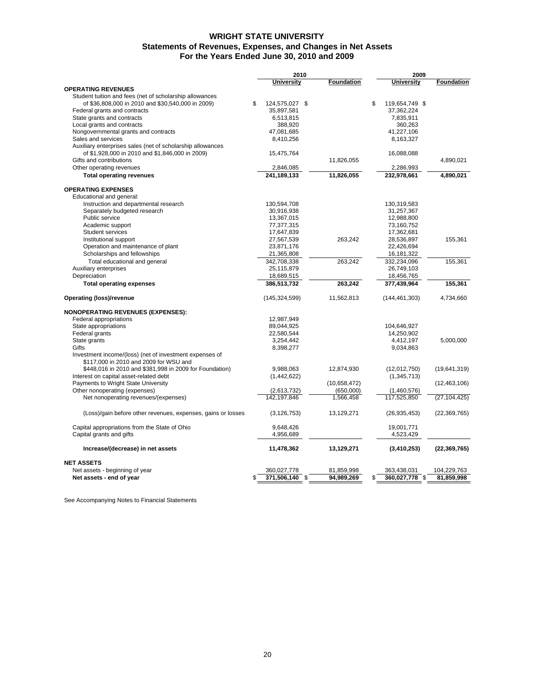# **WRIGHT STATE UNIVERSITY For the Years Ended June 30, 2010 and 2009 Statements of Revenues, Expenses, and Changes in Net Assets**

|                                                              | 2010                   |  | 2009              |                      |                |
|--------------------------------------------------------------|------------------------|--|-------------------|----------------------|----------------|
|                                                              | <b>University</b>      |  | <b>Foundation</b> | <b>University</b>    | Foundation     |
| <b>OPERATING REVENUES</b>                                    |                        |  |                   |                      |                |
| Student tuition and fees (net of scholarship allowances      |                        |  |                   |                      |                |
| of \$36,808,000 in 2010 and \$30,540,000 in 2009)            | \$<br>124,575,027 \$   |  |                   | \$<br>119,654,749 \$ |                |
| Federal grants and contracts                                 | 35,897,581             |  |                   | 37,362,224           |                |
| State grants and contracts                                   | 6,513,815              |  |                   | 7,835,911            |                |
| Local grants and contracts                                   | 388,920                |  |                   | 360,263              |                |
| Nongovernmental grants and contracts                         | 47,081,685             |  |                   | 41,227,106           |                |
| Sales and services                                           | 8,410,256              |  |                   | 8,163,327            |                |
| Auxiliary enterprises sales (net of scholarship allowances   |                        |  |                   |                      |                |
| of \$1,928,000 in 2010 and \$1,846,000 in 2009)              | 15,475,764             |  |                   | 16,088,088           |                |
| Gifts and contributions                                      |                        |  | 11,826,055        |                      | 4,890,021      |
| Other operating revenues                                     | 2,846,085              |  |                   | 2,286,993            |                |
| <b>Total operating revenues</b>                              | 241,189,133            |  | 11,826,055        | 232,978,661          | 4,890,021      |
| <b>OPERATING EXPENSES</b>                                    |                        |  |                   |                      |                |
| Educational and general:                                     |                        |  |                   |                      |                |
| Instruction and departmental research                        | 130,594,708            |  |                   | 130,319,583          |                |
| Separately budgeted research                                 | 30,916,938             |  |                   | 31,257,367           |                |
| Public service                                               | 13,367,015             |  |                   | 12,988,800           |                |
| Academic support                                             | 77,377,315             |  |                   | 73,160,752           |                |
| Student services                                             | 17,647,839             |  |                   | 17,362,681           |                |
| Institutional support                                        | 27,567,539             |  | 263,242           | 28,536,897           | 155,361        |
| Operation and maintenance of plant                           | 23,871,176             |  |                   | 22,426,694           |                |
| Scholarships and fellowships                                 | 21,365,808             |  |                   | 16, 181, 322         |                |
|                                                              | 342,708,338            |  | 263,242           | 332,234,096          | 155,361        |
| Total educational and general                                | 25,115,879             |  |                   | 26,749,103           |                |
| Auxiliary enterprises<br>Depreciation                        | 18,689,515             |  |                   | 18,456,765           |                |
|                                                              |                        |  |                   |                      |                |
| <b>Total operating expenses</b>                              | 386,513,732            |  | 263,242           | 377,439,964          | 155,361        |
| Operating (loss)/revenue                                     | (145,324,599)          |  | 11,562,813        | (144, 461, 303)      | 4,734,660      |
| <b>NONOPERATING REVENUES (EXPENSES):</b>                     |                        |  |                   |                      |                |
| Federal appropriations                                       | 12,987,949             |  |                   |                      |                |
| State appropriations                                         | 89,044,925             |  |                   | 104,646,927          |                |
| Federal grants                                               | 22,580,544             |  |                   | 14,250,902           |                |
| State grants                                                 | 3,254,442              |  |                   | 4,412,197            | 5,000,000      |
| Gifts                                                        | 8,398,277              |  |                   | 9,034,863            |                |
| Investment income/(loss) (net of investment expenses of      |                        |  |                   |                      |                |
| \$117,000 in 2010 and 2009 for WSU and                       |                        |  |                   |                      |                |
| \$448,016 in 2010 and \$381,998 in 2009 for Foundation)      | 9,988,063              |  | 12,874,930        | (12,012,750)         | (19,641,319)   |
| Interest on capital asset-related debt                       | (1,442,622)            |  |                   | (1,345,713)          |                |
| Payments to Wright State University                          |                        |  | (10,658,472)      |                      | (12, 463, 106) |
| Other nonoperating (expenses)                                | (2,613,732)            |  | (650,000)         | (1,460,576)          |                |
| Net nonoperating revenues/(expenses)                         | 142,197,846            |  | 1,566,458         | 117,525,850          | (27, 104, 425) |
| (Loss)/gain before other revenues, expenses, gains or losses | (3, 126, 753)          |  | 13,129,271        | (26, 935, 453)       | (22, 369, 765) |
| Capital appropriations from the State of Ohio                |                        |  |                   | 19,001,771           |                |
| Capital grants and gifts                                     | 9,648,426<br>4,956,689 |  |                   | 4,523,429            |                |
|                                                              |                        |  |                   |                      |                |
| Increase/(decrease) in net assets                            | 11,478,362             |  | 13,129,271        | (3, 410, 253)        | (22, 369, 765) |
| <b>NET ASSETS</b>                                            |                        |  |                   |                      |                |
| Net assets - beginning of year                               | 360,027,778            |  | 81,859,998        | 363,438,031          | 104,229,763    |
| Net assets - end of year                                     | \$<br>371,506,140 \$   |  | 94,989,269        | \$<br>360,027,778 \$ | 81,859,998     |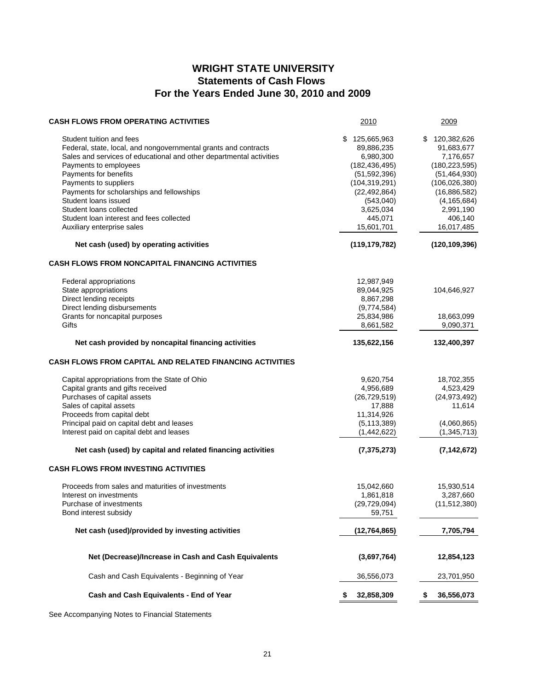# **WRIGHT STATE UNIVERSITY Statements of Cash Flows For the Years Ended June 30, 2010 and 2009**

| <b>CASH FLOWS FROM OPERATING ACTIVITIES</b>                                                                                                                                                 | 2010                                                      | 2009                                                      |
|---------------------------------------------------------------------------------------------------------------------------------------------------------------------------------------------|-----------------------------------------------------------|-----------------------------------------------------------|
| Student tuition and fees<br>Federal, state, local, and nongovernmental grants and contracts<br>Sales and services of educational and other departmental activities<br>Payments to employees | 125,665,963<br>89,886,235<br>6,980,300<br>(182, 436, 495) | 120,382,626<br>91,683,677<br>7,176,657<br>(180, 223, 595) |
| Payments for benefits                                                                                                                                                                       | (51, 592, 396)                                            | (51, 464, 930)                                            |
| Payments to suppliers                                                                                                                                                                       | (104, 319, 291)                                           | (106, 026, 380)                                           |
| Payments for scholarships and fellowships                                                                                                                                                   | (22, 492, 864)                                            | (16,886,582)                                              |
| Student loans issued                                                                                                                                                                        | (543,040)                                                 | (4, 165, 684)                                             |
| Student loans collected                                                                                                                                                                     | 3,625,034<br>445,071                                      | 2,991,190<br>406,140                                      |
| Student loan interest and fees collected<br>Auxiliary enterprise sales                                                                                                                      | 15,601,701                                                | 16,017,485                                                |
| Net cash (used) by operating activities                                                                                                                                                     | (119, 179, 782)                                           | (120, 109, 396)                                           |
| <b>CASH FLOWS FROM NONCAPITAL FINANCING ACTIVITIES</b>                                                                                                                                      |                                                           |                                                           |
| Federal appropriations                                                                                                                                                                      | 12,987,949                                                |                                                           |
| State appropriations                                                                                                                                                                        | 89,044,925                                                | 104,646,927                                               |
| Direct lending receipts                                                                                                                                                                     | 8,867,298                                                 |                                                           |
| Direct lending disbursements                                                                                                                                                                | (9,774,584)                                               |                                                           |
| Grants for noncapital purposes                                                                                                                                                              | 25,834,986                                                | 18,663,099                                                |
| Gifts                                                                                                                                                                                       | 8,661,582                                                 | 9,090,371                                                 |
| Net cash provided by noncapital financing activities                                                                                                                                        | 135,622,156                                               | 132,400,397                                               |
| CASH FLOWS FROM CAPITAL AND RELATED FINANCING ACTIVITIES                                                                                                                                    |                                                           |                                                           |
| Capital appropriations from the State of Ohio                                                                                                                                               | 9,620,754                                                 | 18,702,355                                                |
| Capital grants and gifts received                                                                                                                                                           | 4,956,689                                                 | 4,523,429                                                 |
| Purchases of capital assets                                                                                                                                                                 | (26, 729, 519)                                            | (24, 973, 492)                                            |
| Sales of capital assets                                                                                                                                                                     | 17,888                                                    | 11,614                                                    |
| Proceeds from capital debt                                                                                                                                                                  | 11,314,926                                                |                                                           |
| Principal paid on capital debt and leases                                                                                                                                                   | (5, 113, 389)                                             | (4,060,865)                                               |
| Interest paid on capital debt and leases                                                                                                                                                    | (1,442,622)                                               | (1, 345, 713)                                             |
| Net cash (used) by capital and related financing activities                                                                                                                                 | (7, 375, 273)                                             | (7, 142, 672)                                             |
| <b>CASH FLOWS FROM INVESTING ACTIVITIES</b>                                                                                                                                                 |                                                           |                                                           |
| Proceeds from sales and maturities of investments                                                                                                                                           | 15,042,660                                                | 15,930,514                                                |
| Interest on investments                                                                                                                                                                     | 1,861,818                                                 | 3,287,660                                                 |
| Purchase of investments                                                                                                                                                                     | (29, 729, 094)                                            | (11, 512, 380)                                            |
| Bond interest subsidy                                                                                                                                                                       | 59,751                                                    |                                                           |
| Net cash (used)/provided by investing activities                                                                                                                                            | (12, 764, 865)                                            | 7,705,794                                                 |
| Net (Decrease)/Increase in Cash and Cash Equivalents                                                                                                                                        | (3,697,764)                                               | 12,854,123                                                |
| Cash and Cash Equivalents - Beginning of Year                                                                                                                                               | 36,556,073                                                | 23,701,950                                                |
| Cash and Cash Equivalents - End of Year                                                                                                                                                     | 32,858,309                                                | 36,556,073                                                |
|                                                                                                                                                                                             |                                                           |                                                           |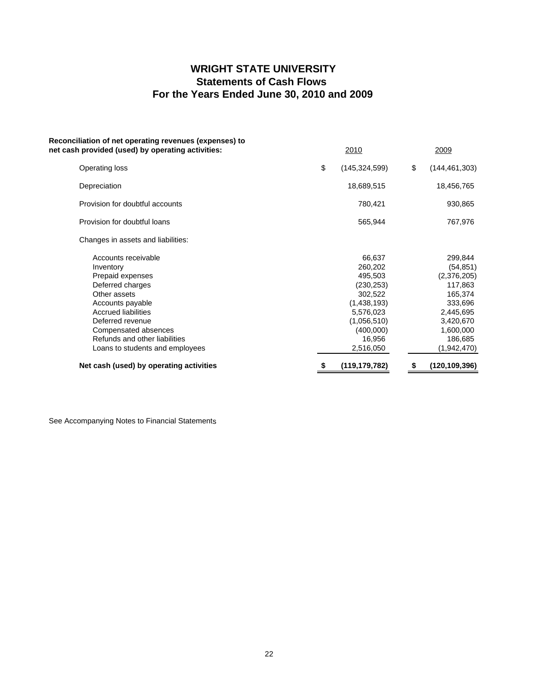# **WRIGHT STATE UNIVERSITY Statements of Cash Flows For the Years Ended June 30, 2010 and 2009**

| Reconciliation of net operating revenues (expenses) to<br>net cash provided (used) by operating activities: | 2010                  | 2009                     |
|-------------------------------------------------------------------------------------------------------------|-----------------------|--------------------------|
| Operating loss                                                                                              | \$<br>(145, 324, 599) | \$<br>(144, 461, 303)    |
| Depreciation                                                                                                | 18,689,515            | 18,456,765               |
| Provision for doubtful accounts                                                                             | 780,421               | 930,865                  |
| Provision for doubtful loans                                                                                | 565,944               | 767,976                  |
| Changes in assets and liabilities:                                                                          |                       |                          |
| Accounts receivable                                                                                         | 66,637                | 299,844                  |
| Inventory<br>Prepaid expenses                                                                               | 260,202<br>495,503    | (54, 851)<br>(2,376,205) |
| Deferred charges                                                                                            | (230, 253)            | 117,863                  |
| Other assets                                                                                                | 302,522               | 165,374                  |
| Accounts payable                                                                                            | (1,438,193)           | 333,696                  |
| <b>Accrued liabilities</b>                                                                                  | 5,576,023             | 2,445,695                |
| Deferred revenue                                                                                            | (1,056,510)           | 3,420,670                |
| Compensated absences                                                                                        | (400,000)             | 1,600,000                |
| Refunds and other liabilities                                                                               | 16,956                | 186,685                  |
| Loans to students and employees                                                                             | 2,516,050             | (1,942,470)              |
| Net cash (used) by operating activities                                                                     | (119, 179, 782)       | \$<br>(120, 109, 396)    |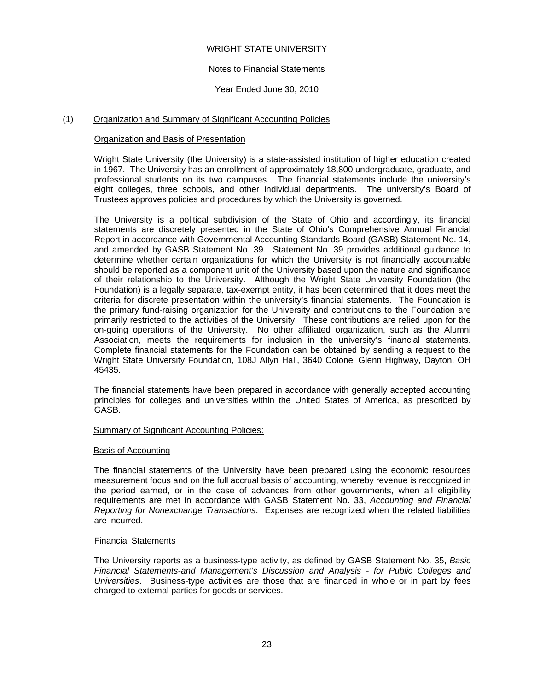# WRIGHT STATE UNIVERSITY

# Notes to Financial Statements

# Year Ended June 30, 2010

# (1) Organization and Summary of Significant Accounting Policies

## Organization and Basis of Presentation

Wright State University (the University) is a state-assisted institution of higher education created in 1967. The University has an enrollment of approximately 18,800 undergraduate, graduate, and professional students on its two campuses. The financial statements include the university's eight colleges, three schools, and other individual departments. The university's Board of Trustees approves policies and procedures by which the University is governed.

The University is a political subdivision of the State of Ohio and accordingly, its financial statements are discretely presented in the State of Ohio's Comprehensive Annual Financial Report in accordance with Governmental Accounting Standards Board (GASB) Statement No. 14, and amended by GASB Statement No. 39. Statement No. 39 provides additional guidance to determine whether certain organizations for which the University is not financially accountable should be reported as a component unit of the University based upon the nature and significance of their relationship to the University. Although the Wright State University Foundation (the Foundation) is a legally separate, tax-exempt entity, it has been determined that it does meet the criteria for discrete presentation within the university's financial statements. The Foundation is the primary fund-raising organization for the University and contributions to the Foundation are primarily restricted to the activities of the University. These contributions are relied upon for the on-going operations of the University. No other affiliated organization, such as the Alumni Association, meets the requirements for inclusion in the university's financial statements. Complete financial statements for the Foundation can be obtained by sending a request to the Wright State University Foundation, 108J Allyn Hall, 3640 Colonel Glenn Highway, Dayton, OH 45435.

The financial statements have been prepared in accordance with generally accepted accounting principles for colleges and universities within the United States of America, as prescribed by GASB.

### Summary of Significant Accounting Policies:

### Basis of Accounting

The financial statements of the University have been prepared using the economic resources measurement focus and on the full accrual basis of accounting, whereby revenue is recognized in the period earned, or in the case of advances from other governments, when all eligibility requirements are met in accordance with GASB Statement No. 33, *Accounting and Financial Reporting for Nonexchange Transactions*. Expenses are recognized when the related liabilities are incurred.

### Financial Statements

The University reports as a business-type activity, as defined by GASB Statement No. 35, *Basic Financial Statements-and Management's Discussion and Analysis - for Public Colleges and Universities*. Business-type activities are those that are financed in whole or in part by fees charged to external parties for goods or services.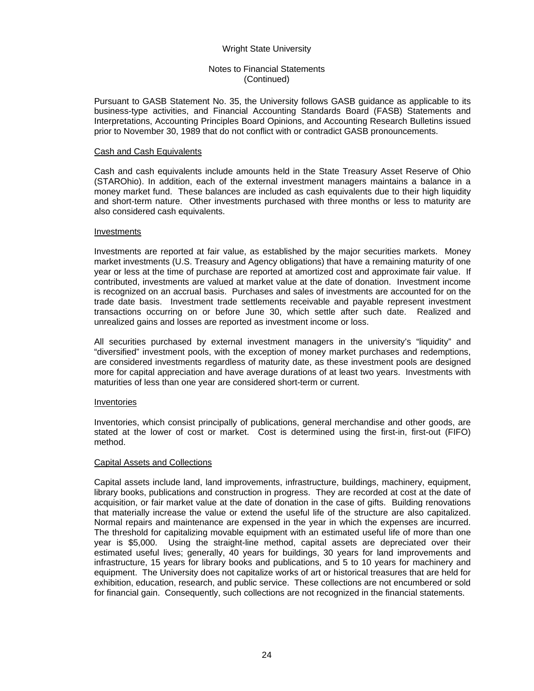## Notes to Financial Statements (Continued)

Pursuant to GASB Statement No. 35, the University follows GASB guidance as applicable to its business-type activities, and Financial Accounting Standards Board (FASB) Statements and Interpretations, Accounting Principles Board Opinions, and Accounting Research Bulletins issued prior to November 30, 1989 that do not conflict with or contradict GASB pronouncements.

### Cash and Cash Equivalents

Cash and cash equivalents include amounts held in the State Treasury Asset Reserve of Ohio (STAROhio). In addition, each of the external investment managers maintains a balance in a money market fund. These balances are included as cash equivalents due to their high liquidity and short-term nature. Other investments purchased with three months or less to maturity are also considered cash equivalents.

### Investments

Investments are reported at fair value, as established by the major securities markets. Money market investments (U.S. Treasury and Agency obligations) that have a remaining maturity of one year or less at the time of purchase are reported at amortized cost and approximate fair value. If contributed, investments are valued at market value at the date of donation. Investment income is recognized on an accrual basis. Purchases and sales of investments are accounted for on the trade date basis. Investment trade settlements receivable and payable represent investment transactions occurring on or before June 30, which settle after such date. Realized and unrealized gains and losses are reported as investment income or loss.

All securities purchased by external investment managers in the university's "liquidity" and "diversified" investment pools, with the exception of money market purchases and redemptions, are considered investments regardless of maturity date, as these investment pools are designed more for capital appreciation and have average durations of at least two years. Investments with maturities of less than one year are considered short-term or current.

### Inventories

Inventories, which consist principally of publications, general merchandise and other goods, are stated at the lower of cost or market. Cost is determined using the first-in, first-out (FIFO) method.

### Capital Assets and Collections

Capital assets include land, land improvements, infrastructure, buildings, machinery, equipment, library books, publications and construction in progress. They are recorded at cost at the date of acquisition, or fair market value at the date of donation in the case of gifts. Building renovations that materially increase the value or extend the useful life of the structure are also capitalized. Normal repairs and maintenance are expensed in the year in which the expenses are incurred. The threshold for capitalizing movable equipment with an estimated useful life of more than one year is \$5,000. Using the straight-line method, capital assets are depreciated over their estimated useful lives; generally, 40 years for buildings, 30 years for land improvements and infrastructure, 15 years for library books and publications, and 5 to 10 years for machinery and equipment. The University does not capitalize works of art or historical treasures that are held for exhibition, education, research, and public service. These collections are not encumbered or sold for financial gain. Consequently, such collections are not recognized in the financial statements.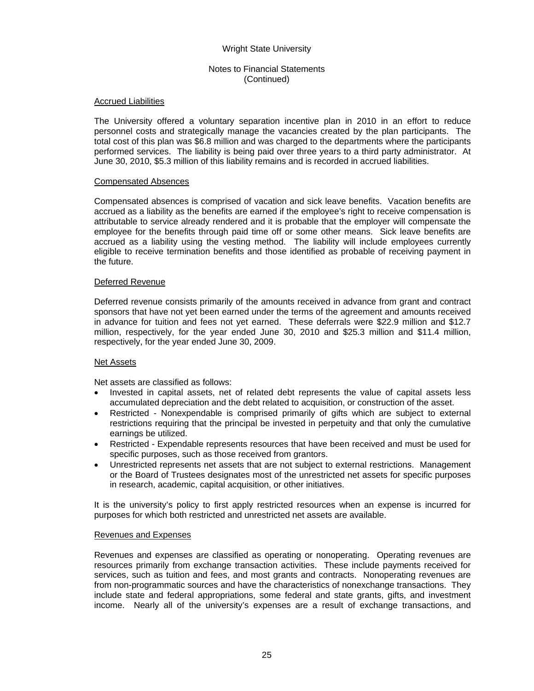# Notes to Financial Statements (Continued)

### **Accrued Liabilities**

The University offered a voluntary separation incentive plan in 2010 in an effort to reduce personnel costs and strategically manage the vacancies created by the plan participants. The total cost of this plan was \$6.8 million and was charged to the departments where the participants performed services. The liability is being paid over three years to a third party administrator. At June 30, 2010, \$5.3 million of this liability remains and is recorded in accrued liabilities.

### Compensated Absences

Compensated absences is comprised of vacation and sick leave benefits. Vacation benefits are accrued as a liability as the benefits are earned if the employee's right to receive compensation is attributable to service already rendered and it is probable that the employer will compensate the employee for the benefits through paid time off or some other means. Sick leave benefits are accrued as a liability using the vesting method. The liability will include employees currently eligible to receive termination benefits and those identified as probable of receiving payment in the future.

### Deferred Revenue

Deferred revenue consists primarily of the amounts received in advance from grant and contract sponsors that have not yet been earned under the terms of the agreement and amounts received in advance for tuition and fees not yet earned. These deferrals were \$22.9 million and \$12.7 million, respectively, for the year ended June 30, 2010 and \$25.3 million and \$11.4 million, respectively, for the year ended June 30, 2009.

## Net Assets

Net assets are classified as follows:

- Invested in capital assets, net of related debt represents the value of capital assets less accumulated depreciation and the debt related to acquisition, or construction of the asset.
- Restricted Nonexpendable is comprised primarily of gifts which are subject to external restrictions requiring that the principal be invested in perpetuity and that only the cumulative earnings be utilized.
- Restricted Expendable represents resources that have been received and must be used for specific purposes, such as those received from grantors.
- Unrestricted represents net assets that are not subject to external restrictions. Management or the Board of Trustees designates most of the unrestricted net assets for specific purposes in research, academic, capital acquisition, or other initiatives.

 It is the university's policy to first apply restricted resources when an expense is incurred for purposes for which both restricted and unrestricted net assets are available.

# Revenues and Expenses

Revenues and expenses are classified as operating or nonoperating. Operating revenues are resources primarily from exchange transaction activities. These include payments received for services, such as tuition and fees, and most grants and contracts. Nonoperating revenues are from non-programmatic sources and have the characteristics of nonexchange transactions. They include state and federal appropriations, some federal and state grants, gifts, and investment income. Nearly all of the university's expenses are a result of exchange transactions, and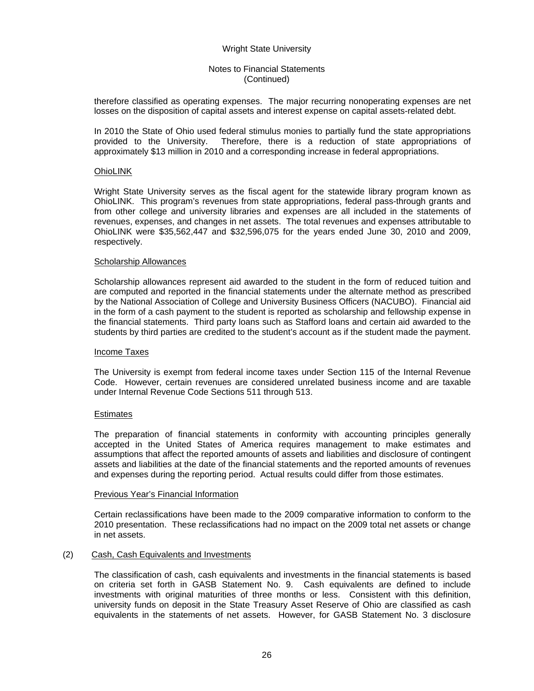## Notes to Financial Statements (Continued)

therefore classified as operating expenses. The major recurring nonoperating expenses are net losses on the disposition of capital assets and interest expense on capital assets-related debt.

In 2010 the State of Ohio used federal stimulus monies to partially fund the state appropriations provided to the University. Therefore, there is a reduction of state appropriations of approximately \$13 million in 2010 and a corresponding increase in federal appropriations.

### **OhioLINK**

Wright State University serves as the fiscal agent for the statewide library program known as OhioLINK. This program's revenues from state appropriations, federal pass-through grants and from other college and university libraries and expenses are all included in the statements of revenues, expenses, and changes in net assets. The total revenues and expenses attributable to OhioLINK were \$35,562,447 and \$32,596,075 for the years ended June 30, 2010 and 2009, respectively.

### Scholarship Allowances

Scholarship allowances represent aid awarded to the student in the form of reduced tuition and are computed and reported in the financial statements under the alternate method as prescribed by the National Association of College and University Business Officers (NACUBO). Financial aid in the form of a cash payment to the student is reported as scholarship and fellowship expense in the financial statements. Third party loans such as Stafford loans and certain aid awarded to the students by third parties are credited to the student's account as if the student made the payment.

### Income Taxes

The University is exempt from federal income taxes under Section 115 of the Internal Revenue Code. However, certain revenues are considered unrelated business income and are taxable under Internal Revenue Code Sections 511 through 513.

## **Estimates**

The preparation of financial statements in conformity with accounting principles generally accepted in the United States of America requires management to make estimates and assumptions that affect the reported amounts of assets and liabilities and disclosure of contingent assets and liabilities at the date of the financial statements and the reported amounts of revenues and expenses during the reporting period. Actual results could differ from those estimates.

### Previous Year's Financial Information

Certain reclassifications have been made to the 2009 comparative information to conform to the 2010 presentation. These reclassifications had no impact on the 2009 total net assets or change in net assets.

## (2) Cash, Cash Equivalents and Investments

The classification of cash, cash equivalents and investments in the financial statements is based on criteria set forth in GASB Statement No. 9. Cash equivalents are defined to include investments with original maturities of three months or less. Consistent with this definition, university funds on deposit in the State Treasury Asset Reserve of Ohio are classified as cash equivalents in the statements of net assets. However, for GASB Statement No. 3 disclosure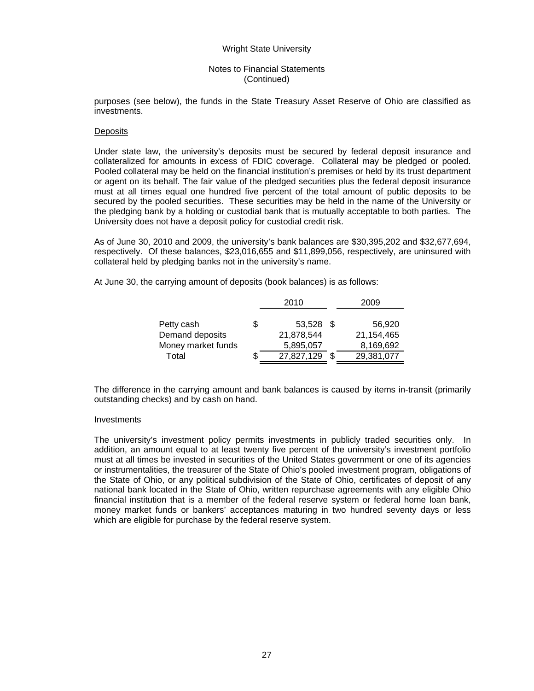### Notes to Financial Statements (Continued)

purposes (see below), the funds in the State Treasury Asset Reserve of Ohio are classified as investments.

### **Deposits**

Under state law, the university's deposits must be secured by federal deposit insurance and collateralized for amounts in excess of FDIC coverage. Collateral may be pledged or pooled. Pooled collateral may be held on the financial institution's premises or held by its trust department or agent on its behalf. The fair value of the pledged securities plus the federal deposit insurance must at all times equal one hundred five percent of the total amount of public deposits to be secured by the pooled securities. These securities may be held in the name of the University or the pledging bank by a holding or custodial bank that is mutually acceptable to both parties. The University does not have a deposit policy for custodial credit risk.

As of June 30, 2010 and 2009, the university's bank balances are \$30,395,202 and \$32,677,694, respectively. Of these balances, \$23,016,655 and \$11,899,056, respectively, are uninsured with collateral held by pledging banks not in the university's name.

At June 30, the carrying amount of deposits (book balances) is as follows:

|                    |   | 2010       | 2009       |
|--------------------|---|------------|------------|
|                    |   |            |            |
| Petty cash         | S | 53,528 \$  | 56,920     |
| Demand deposits    |   | 21,878,544 | 21,154,465 |
| Money market funds |   | 5,895,057  | 8,169,692  |
| Total              |   | 27,827,129 | 29,381,077 |

The difference in the carrying amount and bank balances is caused by items in-transit (primarily outstanding checks) and by cash on hand.

## Investments

The university's investment policy permits investments in publicly traded securities only. In addition, an amount equal to at least twenty five percent of the university's investment portfolio must at all times be invested in securities of the United States government or one of its agencies or instrumentalities, the treasurer of the State of Ohio's pooled investment program, obligations of the State of Ohio, or any political subdivision of the State of Ohio, certificates of deposit of any national bank located in the State of Ohio, written repurchase agreements with any eligible Ohio financial institution that is a member of the federal reserve system or federal home loan bank, money market funds or bankers' acceptances maturing in two hundred seventy days or less which are eligible for purchase by the federal reserve system.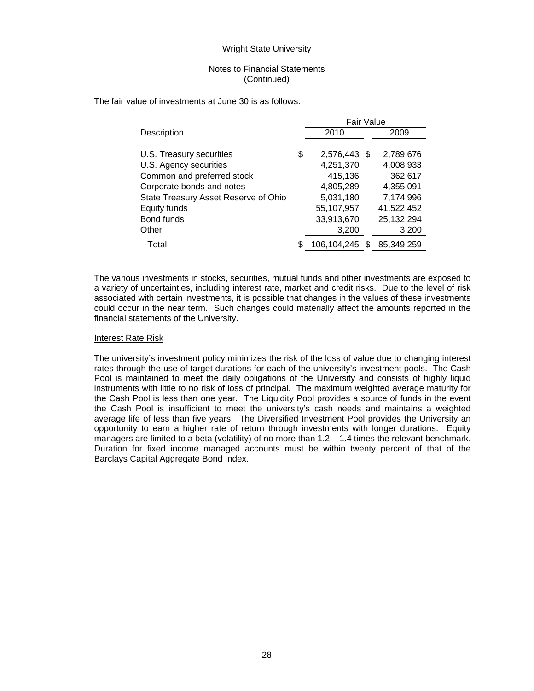### Notes to Financial Statements (Continued)

The fair value of investments at June 30 is as follows:

|                                      | Fair Value         |   |            |
|--------------------------------------|--------------------|---|------------|
| Description                          | 2010               |   | 2009       |
|                                      |                    |   |            |
| U.S. Treasury securities             | \$<br>2,576,443 \$ |   | 2,789,676  |
| U.S. Agency securities               | 4,251,370          |   | 4,008,933  |
| Common and preferred stock           | 415,136            |   | 362,617    |
| Corporate bonds and notes            | 4,805,289          |   | 4,355,091  |
| State Treasury Asset Reserve of Ohio | 5,031,180          |   | 7,174,996  |
| Equity funds                         | 55,107,957         |   | 41,522,452 |
| Bond funds                           | 33,913,670         |   | 25,132,294 |
| Other                                | 3,200              |   | 3,200      |
| Total                                | 106,104,245        | S | 85,349,259 |

The various investments in stocks, securities, mutual funds and other investments are exposed to a variety of uncertainties, including interest rate, market and credit risks. Due to the level of risk associated with certain investments, it is possible that changes in the values of these investments could occur in the near term. Such changes could materially affect the amounts reported in the financial statements of the University.

### Interest Rate Risk

The university's investment policy minimizes the risk of the loss of value due to changing interest rates through the use of target durations for each of the university's investment pools. The Cash Pool is maintained to meet the daily obligations of the University and consists of highly liquid instruments with little to no risk of loss of principal. The maximum weighted average maturity for the Cash Pool is less than one year. The Liquidity Pool provides a source of funds in the event the Cash Pool is insufficient to meet the university's cash needs and maintains a weighted average life of less than five years. The Diversified Investment Pool provides the University an opportunity to earn a higher rate of return through investments with longer durations. Equity managers are limited to a beta (volatility) of no more than  $1.2 - 1.4$  times the relevant benchmark. Duration for fixed income managed accounts must be within twenty percent of that of the Barclays Capital Aggregate Bond Index.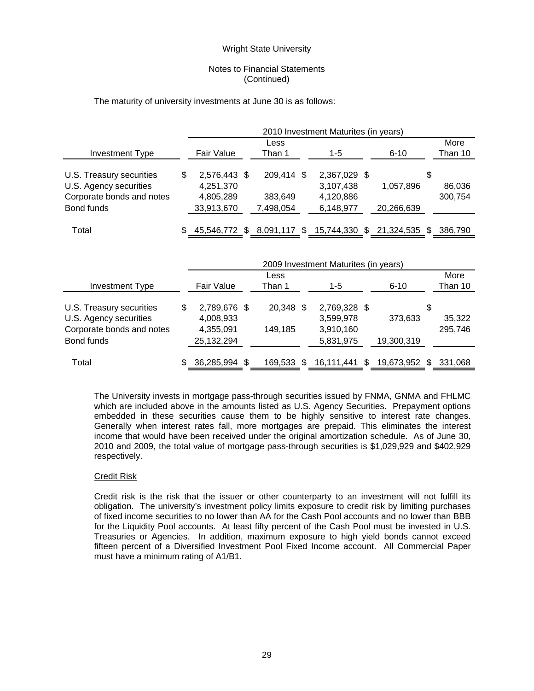## Notes to Financial Statements (Continued)

### The maturity of university investments at June 30 is as follows:

|                                                                                               |                                                            | 2010 Investment Maturites (in years) |                                    |  |                                                     |  |                             |   |                   |  |  |  |  |
|-----------------------------------------------------------------------------------------------|------------------------------------------------------------|--------------------------------------|------------------------------------|--|-----------------------------------------------------|--|-----------------------------|---|-------------------|--|--|--|--|
|                                                                                               |                                                            |                                      | Less                               |  |                                                     |  |                             |   | More              |  |  |  |  |
| <b>Investment Type</b>                                                                        | Fair Value                                                 |                                      | Than 1                             |  | $1 - 5$                                             |  | $6 - 10$                    |   | Than 10           |  |  |  |  |
| U.S. Treasury securities<br>U.S. Agency securities<br>Corporate bonds and notes<br>Bond funds | \$<br>2,576,443 \$<br>4,251,370<br>4,805,289<br>33,913,670 |                                      | 209,414 \$<br>383,649<br>7,498,054 |  | 2,367,029 \$<br>3,107,438<br>4,120,886<br>6,148,977 |  | 1,057,896<br>20,266,639     | S | 86,036<br>300,754 |  |  |  |  |
| Total                                                                                         | 45,546,772 \$ 8,091,117 \$                                 |                                      |                                    |  |                                                     |  | 15,744,330 \$ 21,324,535 \$ |   | 386,790           |  |  |  |  |

|                           |   |              | 2009 Investment Maturites (in years) |            |  |               |  |            |     |         |  |  |  |  |
|---------------------------|---|--------------|--------------------------------------|------------|--|---------------|--|------------|-----|---------|--|--|--|--|
|                           |   |              |                                      | Less       |  |               |  |            |     | More    |  |  |  |  |
| <b>Investment Type</b>    |   | Fair Value   |                                      | Than 1     |  | 1-5           |  | $6 - 10$   |     | Than 10 |  |  |  |  |
|                           |   |              |                                      |            |  |               |  |            |     |         |  |  |  |  |
| U.S. Treasury securities  | S | 2,789,676 \$ |                                      | 20,348 \$  |  | 2,769,328 \$  |  |            | S   |         |  |  |  |  |
| U.S. Agency securities    |   | 4,008,933    |                                      |            |  | 3,599,978     |  | 373,633    |     | 35,322  |  |  |  |  |
| Corporate bonds and notes |   | 4,355,091    |                                      | 149.185    |  | 3,910,160     |  |            |     | 295,746 |  |  |  |  |
| Bond funds                |   | 25,132,294   |                                      |            |  | 5,831,975     |  | 19,300,319 |     |         |  |  |  |  |
|                           |   |              |                                      |            |  |               |  |            |     |         |  |  |  |  |
| Total                     |   | 36,285,994   |                                      | 169,533 \$ |  | 16,111,441 \$ |  | 19,673,952 | -SS | 331,068 |  |  |  |  |

The University invests in mortgage pass-through securities issued by FNMA, GNMA and FHLMC which are included above in the amounts listed as U.S. Agency Securities. Prepayment options embedded in these securities cause them to be highly sensitive to interest rate changes. Generally when interest rates fall, more mortgages are prepaid. This eliminates the interest income that would have been received under the original amortization schedule. As of June 30, 2010 and 2009, the total value of mortgage pass-through securities is \$1,029,929 and \$402,929 respectively.

## Credit Risk

Credit risk is the risk that the issuer or other counterparty to an investment will not fulfill its obligation. The university's investment policy limits exposure to credit risk by limiting purchases of fixed income securities to no lower than AA for the Cash Pool accounts and no lower than BBB for the Liquidity Pool accounts. At least fifty percent of the Cash Pool must be invested in U.S. Treasuries or Agencies. In addition, maximum exposure to high yield bonds cannot exceed fifteen percent of a Diversified Investment Pool Fixed Income account. All Commercial Paper must have a minimum rating of A1/B1.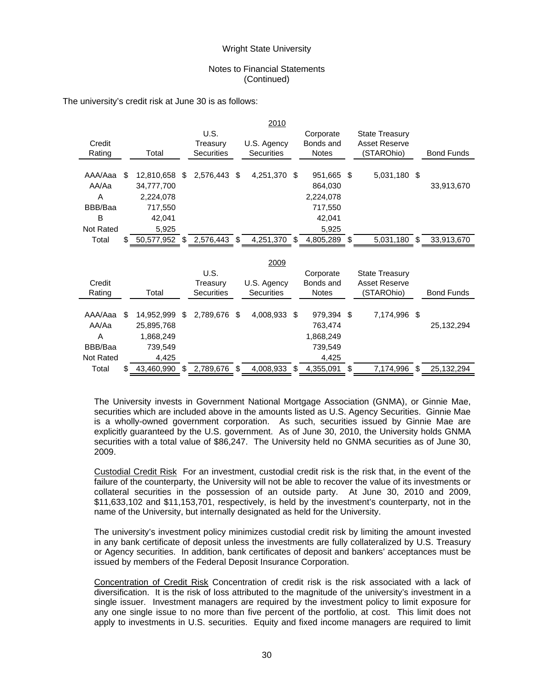### Notes to Financial Statements (Continued)

|                  |    |               |    |                   |      | 2010              |     |              |     |                       |     |                   |
|------------------|----|---------------|----|-------------------|------|-------------------|-----|--------------|-----|-----------------------|-----|-------------------|
|                  |    |               |    | U.S.              |      |                   |     | Corporate    |     | <b>State Treasury</b> |     |                   |
| Credit           |    |               |    | Treasury          |      | U.S. Agency       |     | Bonds and    |     | Asset Reserve         |     |                   |
| Rating           |    | Total         |    | <b>Securities</b> |      | <b>Securities</b> |     | <b>Notes</b> |     | (STAROhio)            |     | <b>Bond Funds</b> |
|                  |    |               |    |                   |      |                   |     |              |     |                       |     |                   |
| AAA/Aaa          | \$ | 12,810,658    | S. | 2,576,443 \$      |      | 4,251,370         | \$  | 951,665      | \$  | 5,031,180 \$          |     |                   |
| AA/Aa            |    | 34,777,700    |    |                   |      |                   |     | 864,030      |     |                       |     | 33,913,670        |
| A                |    | 2,224,078     |    |                   |      |                   |     | 2,224,078    |     |                       |     |                   |
| BBB/Baa          |    | 717,550       |    |                   |      |                   |     | 717,550      |     |                       |     |                   |
| B                |    | 42,041        |    |                   |      |                   |     | 42,041       |     |                       |     |                   |
| <b>Not Rated</b> |    | 5,925         |    |                   |      |                   |     | 5,925        |     |                       |     |                   |
| Total            |    | 50,577,952 \$ |    | 2,576,443 \$      |      | 4,251,370         | \$. | 4,805,289    | \$. | 5,031,180 \$          |     | 33,913,670        |
|                  |    |               |    |                   |      |                   |     |              |     |                       |     |                   |
|                  |    |               |    |                   |      | 2009              |     |              |     |                       |     |                   |
|                  |    |               |    | U.S.              |      |                   |     | Corporate    |     | <b>State Treasury</b> |     |                   |
| Credit           |    |               |    | Treasury          |      | U.S. Agency       |     | Bonds and    |     | Asset Reserve         |     |                   |
| Rating           |    | Total         |    | Securities        |      | <b>Securities</b> |     | <b>Notes</b> |     | (STAROhio)            |     | <b>Bond Funds</b> |
|                  |    |               |    |                   |      |                   |     |              |     |                       |     |                   |
|                  |    |               |    |                   |      |                   |     |              |     |                       |     |                   |
| AAA/Aaa          | S  | 14,952,999    | \$ | 2,789,676         | - \$ | 4,008,933         | \$  | 979,394      | \$  | 7,174,996             | -\$ |                   |
| AA/Aa            |    | 25,895,768    |    |                   |      |                   |     | 763,474      |     |                       |     | 25, 132, 294      |
| A                |    | 1,868,249     |    |                   |      |                   |     | 1,868,249    |     |                       |     |                   |
| BBB/Baa          |    | 739,549       |    |                   |      |                   |     | 739,549      |     |                       |     |                   |
| <b>Not Rated</b> |    | 4,425         |    |                   |      |                   |     | 4,425        |     |                       |     |                   |

The university's credit risk at June 30 is as follows:

The University invests in Government National Mortgage Association (GNMA), or Ginnie Mae, securities which are included above in the amounts listed as U.S. Agency Securities. Ginnie Mae is a wholly-owned government corporation. As such, securities issued by Ginnie Mae are explicitly guaranteed by the U.S. government. As of June 30, 2010, the University holds GNMA securities with a total value of \$86,247. The University held no GNMA securities as of June 30, 2009.

Custodial Credit Risk For an investment, custodial credit risk is the risk that, in the event of the failure of the counterparty, the University will not be able to recover the value of its investments or collateral securities in the possession of an outside party. At June 30, 2010 and 2009, \$11,633,102 and \$11,153,701, respectively, is held by the investment's counterparty, not in the name of the University, but internally designated as held for the University.

The university's investment policy minimizes custodial credit risk by limiting the amount invested in any bank certificate of deposit unless the investments are fully collateralized by U.S. Treasury or Agency securities. In addition, bank certificates of deposit and bankers' acceptances must be issued by members of the Federal Deposit Insurance Corporation.

Concentration of Credit Risk Concentration of credit risk is the risk associated with a lack of diversification. It is the risk of loss attributed to the magnitude of the university's investment in a single issuer. Investment managers are required by the investment policy to limit exposure for any one single issue to no more than five percent of the portfolio, at cost. This limit does not apply to investments in U.S. securities. Equity and fixed income managers are required to limit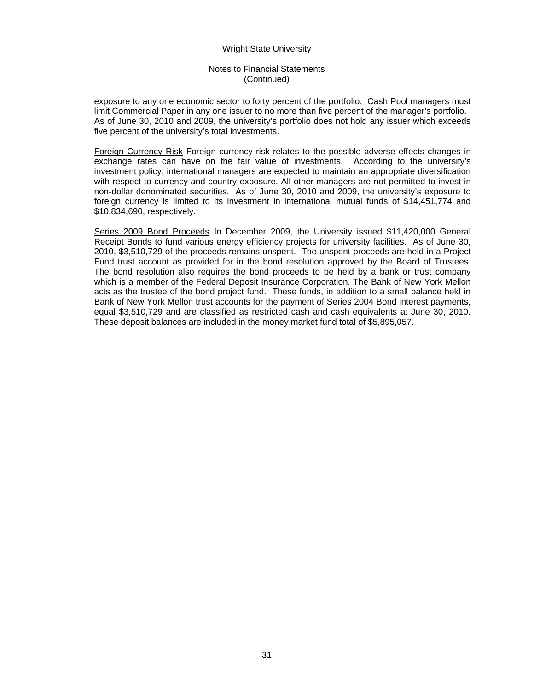### Notes to Financial Statements (Continued)

exposure to any one economic sector to forty percent of the portfolio. Cash Pool managers must limit Commercial Paper in any one issuer to no more than five percent of the manager's portfolio. As of June 30, 2010 and 2009, the university's portfolio does not hold any issuer which exceeds five percent of the university's total investments.

Foreign Currency Risk Foreign currency risk relates to the possible adverse effects changes in exchange rates can have on the fair value of investments. According to the university's investment policy, international managers are expected to maintain an appropriate diversification with respect to currency and country exposure. All other managers are not permitted to invest in non-dollar denominated securities. As of June 30, 2010 and 2009, the university's exposure to foreign currency is limited to its investment in international mutual funds of \$14,451,774 and \$10,834,690, respectively.

Series 2009 Bond Proceeds In December 2009, the University issued \$11,420,000 General Receipt Bonds to fund various energy efficiency projects for university facilities. As of June 30, 2010, \$3,510,729 of the proceeds remains unspent. The unspent proceeds are held in a Project Fund trust account as provided for in the bond resolution approved by the Board of Trustees. The bond resolution also requires the bond proceeds to be held by a bank or trust company which is a member of the Federal Deposit Insurance Corporation. The Bank of New York Mellon acts as the trustee of the bond project fund. These funds, in addition to a small balance held in Bank of New York Mellon trust accounts for the payment of Series 2004 Bond interest payments, equal \$3,510,729 and are classified as restricted cash and cash equivalents at June 30, 2010. These deposit balances are included in the money market fund total of \$5,895,057.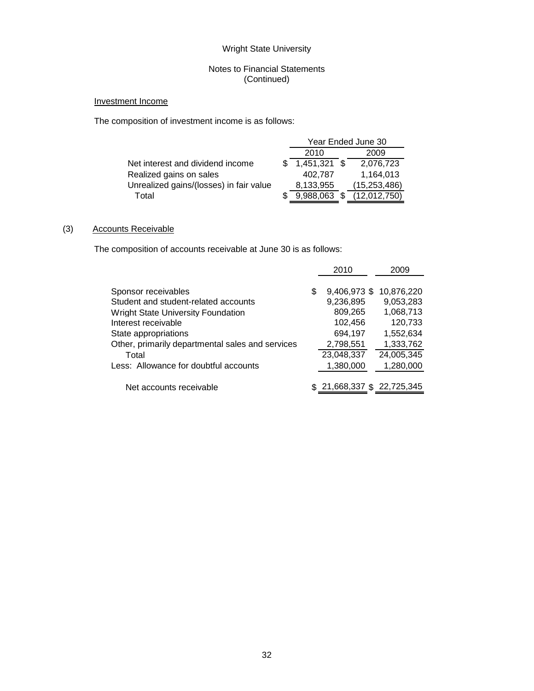# Notes to Financial Statements (Continued)

# Investment Income

The composition of investment income is as follows:

|                                         |              | Year Ended June 30 |
|-----------------------------------------|--------------|--------------------|
|                                         | 2010         | 2009               |
| Net interest and dividend income        | 1,451,321 \$ | 2,076,723          |
| Realized gains on sales                 | 402.787      | 1,164,013          |
| Unrealized gains/(losses) in fair value | 8,133,955    | (15, 253, 486)     |
| Total                                   | 9,988,063    | (12,012,750)       |

# (3) Accounts Receivable

The composition of accounts receivable at June 30 is as follows:

|                                                  | 2010               | 2009       |
|--------------------------------------------------|--------------------|------------|
| Sponsor receivables                              | \$<br>9,406,973 \$ | 10,876,220 |
| Student and student-related accounts             | 9,236,895          | 9,053,283  |
| <b>Wright State University Foundation</b>        | 809,265            | 1,068,713  |
| Interest receivable                              | 102,456            | 120,733    |
| State appropriations                             | 694,197            | 1,552,634  |
| Other, primarily departmental sales and services | 2,798,551          | 1,333,762  |
| Total                                            | 23,048,337         | 24,005,345 |
| Less: Allowance for doubtful accounts            | 1,380,000          | 1,280,000  |
| Net accounts receivable                          | 21,668,337 \$      | 22,725,345 |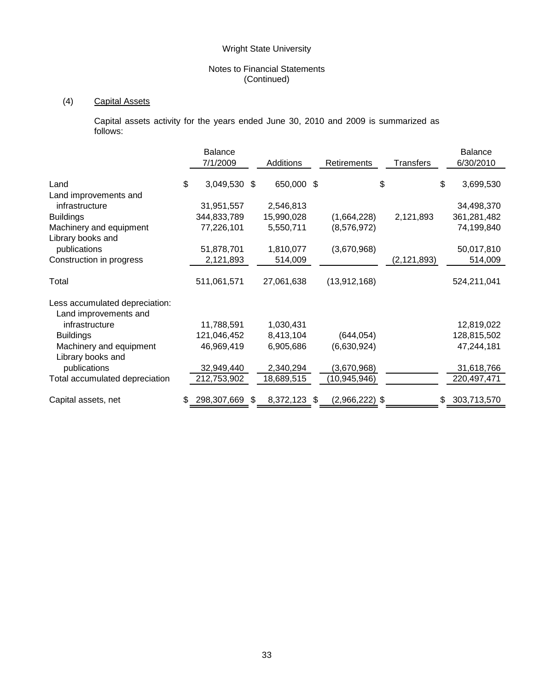# Notes to Financial Statements (Continued)

# (4) Capital Assets

 Capital assets activity for the years ended June 30, 2010 and 2009 is summarized as follows:

|                                                         | Balance<br>7/1/2009 |    | Additions  |     | Retirements      | <b>Transfers</b> | <b>Balance</b><br>6/30/2010 |
|---------------------------------------------------------|---------------------|----|------------|-----|------------------|------------------|-----------------------------|
| Land                                                    | \$<br>3,049,530     | -S | 650,000 \$ |     |                  | \$               | \$<br>3,699,530             |
| Land improvements and                                   |                     |    |            |     |                  |                  |                             |
| infrastructure                                          | 31,951,557          |    | 2,546,813  |     |                  |                  | 34,498,370                  |
| <b>Buildings</b>                                        | 344,833,789         |    | 15,990,028 |     | (1,664,228)      | 2,121,893        | 361,281,482                 |
| Machinery and equipment                                 | 77,226,101          |    | 5,550,711  |     | (8,576,972)      |                  | 74,199,840                  |
| Library books and                                       |                     |    |            |     |                  |                  |                             |
| publications                                            | 51,878,701          |    | 1,810,077  |     | (3,670,968)      |                  | 50,017,810                  |
| Construction in progress                                | 2,121,893           |    | 514,009    |     |                  | (2, 121, 893)    | 514,009                     |
| Total                                                   | 511,061,571         |    | 27,061,638 |     | (13, 912, 168)   |                  | 524,211,041                 |
| Less accumulated depreciation:<br>Land improvements and |                     |    |            |     |                  |                  |                             |
| infrastructure                                          | 11,788,591          |    | 1,030,431  |     |                  |                  | 12,819,022                  |
| <b>Buildings</b>                                        | 121,046,452         |    | 8,413,104  |     | (644, 054)       |                  | 128,815,502                 |
| Machinery and equipment                                 | 46,969,419          |    | 6,905,686  |     | (6,630,924)      |                  | 47,244,181                  |
| Library books and                                       |                     |    |            |     |                  |                  |                             |
| publications                                            | 32,949,440          |    | 2,340,294  |     | (3,670,968)      |                  | 31,618,766                  |
| Total accumulated depreciation                          | 212,753,902         |    | 18,689,515 |     | (10,945,946)     |                  | 220,497,471                 |
| Capital assets, net                                     | \$<br>298,307,669   | \$ | 8,372,123  | \$. | $(2,966,222)$ \$ |                  | \$<br>303,713,570           |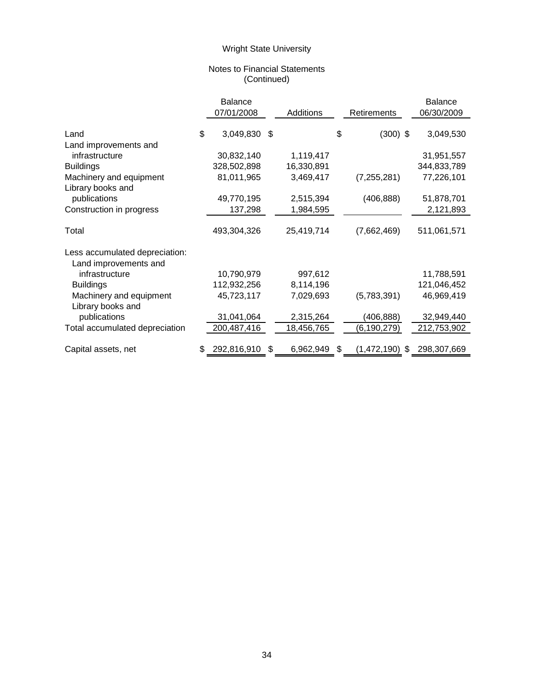# Notes to Financial Statements (Continued)

|                                | <b>Balance</b>    |     |            |                   | <b>Balance</b>    |
|--------------------------------|-------------------|-----|------------|-------------------|-------------------|
|                                | 07/01/2008        |     | Additions  | Retirements       | 06/30/2009        |
|                                |                   |     |            |                   |                   |
| Land                           | \$<br>3,049,830   | -\$ |            | \$<br>$(300)$ \$  | 3,049,530         |
| Land improvements and          |                   |     |            |                   |                   |
| infrastructure                 | 30,832,140        |     | 1,119,417  |                   | 31,951,557        |
| <b>Buildings</b>               | 328,502,898       |     | 16,330,891 |                   | 344,833,789       |
| Machinery and equipment        | 81,011,965        |     | 3,469,417  | (7, 255, 281)     | 77,226,101        |
| Library books and              |                   |     |            |                   |                   |
| publications                   | 49,770,195        |     | 2,515,394  | (406, 888)        | 51,878,701        |
| Construction in progress       | 137,298           |     | 1,984,595  |                   | 2,121,893         |
|                                |                   |     |            |                   |                   |
| Total                          | 493,304,326       |     | 25,419,714 | (7,662,469)       | 511,061,571       |
|                                |                   |     |            |                   |                   |
| Less accumulated depreciation: |                   |     |            |                   |                   |
| Land improvements and          |                   |     |            |                   |                   |
| infrastructure                 | 10,790,979        |     | 997,612    |                   | 11,788,591        |
| <b>Buildings</b>               | 112,932,256       |     | 8,114,196  |                   | 121,046,452       |
| Machinery and equipment        | 45,723,117        |     | 7,029,693  | (5,783,391)       | 46,969,419        |
| Library books and              |                   |     |            |                   |                   |
| publications                   | 31,041,064        |     | 2,315,264  | (406, 888)        | 32,949,440        |
| Total accumulated depreciation | 200,487,416       |     | 18,456,765 | (6, 190, 279)     | 212,753,902       |
|                                |                   |     |            |                   |                   |
| Capital assets, net            | \$<br>292,816,910 | \$  | 6,962,949  | \$<br>(1,472,190) | \$<br>298,307,669 |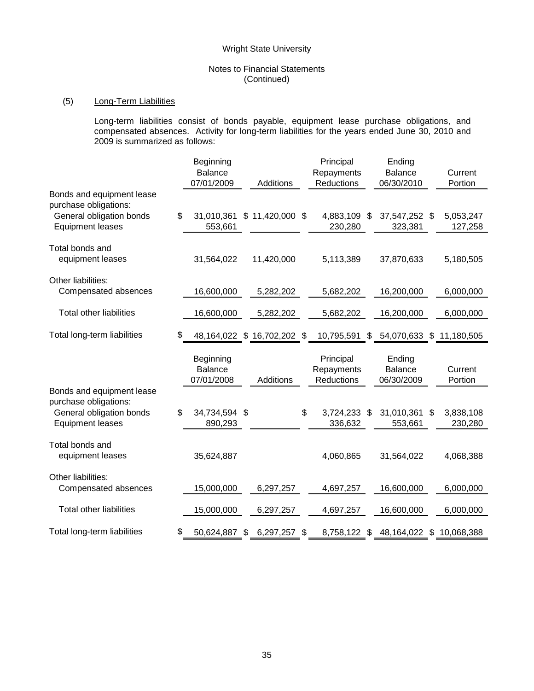# Notes to Financial Statements (Continued)

# (5) Long-Term Liabilities

Long-term liabilities consist of bonds payable, equipment lease purchase obligations, and compensated absences. Activity for long-term liabilities for the years ended June 30, 2010 and 2009 is summarized as follows:

|                                                    | Beginning                                 |                             | Principal                             | Ending                                 |                    |
|----------------------------------------------------|-------------------------------------------|-----------------------------|---------------------------------------|----------------------------------------|--------------------|
|                                                    | Balance                                   |                             | Repayments                            | <b>Balance</b>                         | Current            |
|                                                    | 07/01/2009                                | Additions                   | Reductions                            | 06/30/2010                             | Portion            |
| Bonds and equipment lease<br>purchase obligations: |                                           |                             |                                       |                                        |                    |
| General obligation bonds                           | \$<br>31,010,361                          | $$11,420,000$ \$            | 4,883,109                             | \$<br>37,547,252 \$                    | 5,053,247          |
| <b>Equipment leases</b>                            | 553,661                                   |                             | 230,280                               | 323,381                                | 127,258            |
| Total bonds and                                    |                                           |                             |                                       |                                        |                    |
| equipment leases                                   | 31,564,022                                | 11,420,000                  | 5,113,389                             | 37,870,633                             | 5,180,505          |
| Other liabilities:                                 |                                           |                             |                                       |                                        |                    |
| Compensated absences                               | 16,600,000                                | 5,282,202                   | 5,682,202                             | 16,200,000                             | 6,000,000          |
| <b>Total other liabilities</b>                     | 16,600,000                                | 5,282,202                   | 5,682,202                             | 16,200,000                             | 6,000,000          |
| Total long-term liabilities                        | \$                                        | 48,164,022 \$ 16,702,202 \$ | 10,795,591                            | $$54,070,633$ \$                       | 11,180,505         |
|                                                    | Beginning<br><b>Balance</b><br>07/01/2008 | Additions                   | Principal<br>Repayments<br>Reductions | Ending<br><b>Balance</b><br>06/30/2009 | Current<br>Portion |
| Bonds and equipment lease<br>purchase obligations: |                                           |                             |                                       |                                        |                    |
| General obligation bonds                           | \$<br>34,734,594 \$                       |                             | \$<br>3,724,233 \$                    | 31,010,361                             | \$<br>3,838,108    |
| <b>Equipment leases</b>                            | 890,293                                   |                             | 336,632                               | 553,661                                | 230,280            |
| Total bonds and<br>equipment leases                | 35,624,887                                |                             | 4,060,865                             | 31,564,022                             | 4,068,388          |
| Other liabilities:                                 |                                           |                             |                                       |                                        |                    |
| Compensated absences                               | 15,000,000                                | 6,297,257                   | 4,697,257                             | 16,600,000                             | 6,000,000          |
| <b>Total other liabilities</b>                     | 15,000,000                                | 6,297,257                   | 4,697,257                             | 16,600,000                             | 6,000,000          |
| Total long-term liabilities                        | \$<br>50,624,887                          | \$<br>6,297,257             | \$<br>8,758,122 \$                    | 48,164,022 \$                          | 10,068,388         |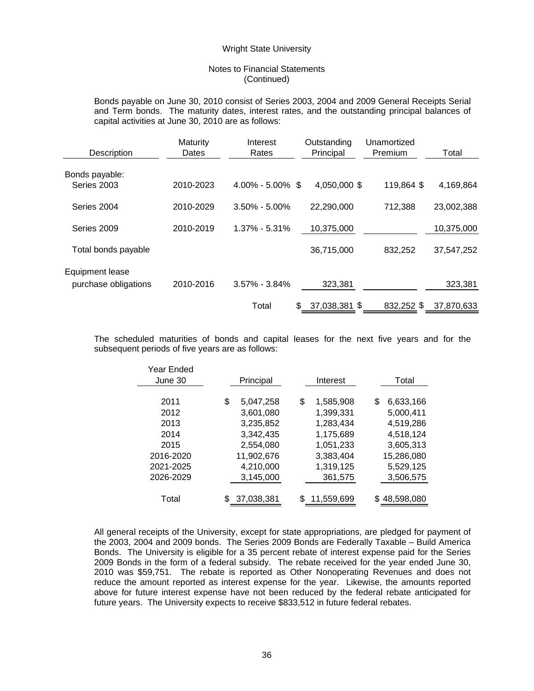### Notes to Financial Statements (Continued)

Bonds payable on June 30, 2010 consist of Series 2003, 2004 and 2009 General Receipts Serial and Term bonds. The maturity dates, interest rates, and the outstanding principal balances of capital activities at June 30, 2010 are as follows:

| Description                             | Maturity<br>Dates | Interest<br>Rates    | Outstanding<br>Principal | Unamortized<br>Premium | Total      |
|-----------------------------------------|-------------------|----------------------|--------------------------|------------------------|------------|
| Bonds payable:<br>Series 2003           | 2010-2023         | $4.00\% - 5.00\%$ \$ | 4,050,000 \$             | 119,864 \$             | 4,169,864  |
| Series 2004                             | 2010-2029         | $3.50\% - 5.00\%$    | 22,290,000               | 712,388                | 23,002,388 |
| Series 2009                             | 2010-2019         | $1.37\% - 5.31\%$    | 10,375,000               |                        | 10,375,000 |
| Total bonds payable                     |                   |                      | 36,715,000               | 832,252                | 37,547,252 |
| Equipment lease<br>purchase obligations | 2010-2016         | $3.57\% - 3.84\%$    | 323,381                  |                        | 323,381    |
|                                         |                   | Total                | 37,038,381 \$<br>\$      | 832,252 \$             | 37,870,633 |

The scheduled maturities of bonds and capital leases for the next five years and for the subsequent periods of five years are as follows:

| Year Ended<br>June 30 | Principal       | Interest        | Total           |
|-----------------------|-----------------|-----------------|-----------------|
|                       |                 |                 |                 |
| 2011                  | \$<br>5,047,258 | \$<br>1,585,908 | \$<br>6,633,166 |
| 2012                  | 3,601,080       | 1,399,331       | 5,000,411       |
| 2013                  | 3,235,852       | 1,283,434       | 4,519,286       |
| 2014                  | 3.342.435       | 1,175,689       | 4.518.124       |
| 2015                  | 2,554,080       | 1,051,233       | 3,605,313       |
| 2016-2020             | 11,902,676      | 3,383,404       | 15,286,080      |
| 2021-2025             | 4,210,000       | 1,319,125       | 5,529,125       |
| 2026-2029             | 3,145,000       | 361,575         | 3,506,575       |
|                       |                 |                 |                 |
| Total                 | 37,038,381      | 11,559,699      | \$48,598,080    |

All general receipts of the University, except for state appropriations, are pledged for payment of the 2003, 2004 and 2009 bonds. The Series 2009 Bonds are Federally Taxable – Build America Bonds. The University is eligible for a 35 percent rebate of interest expense paid for the Series 2009 Bonds in the form of a federal subsidy. The rebate received for the year ended June 30, 2010 was \$59,751. The rebate is reported as Other Nonoperating Revenues and does not reduce the amount reported as interest expense for the year. Likewise, the amounts reported above for future interest expense have not been reduced by the federal rebate anticipated for future years. The University expects to receive \$833,512 in future federal rebates.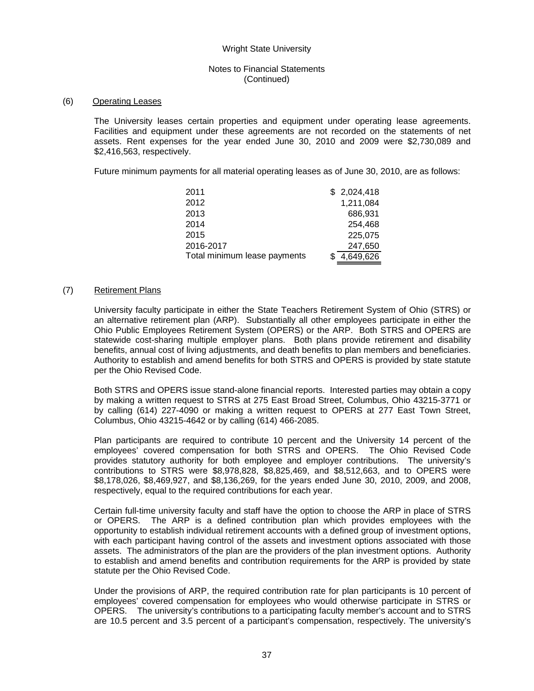# Notes to Financial Statements (Continued)

### (6) Operating Leases

The University leases certain properties and equipment under operating lease agreements. Facilities and equipment under these agreements are not recorded on the statements of net assets. Rent expenses for the year ended June 30, 2010 and 2009 were \$2,730,089 and \$2,416,563, respectively.

Future minimum payments for all material operating leases as of June 30, 2010, are as follows:

| 2011                         | \$2,024,418 |
|------------------------------|-------------|
| 2012                         | 1,211,084   |
| 2013                         | 686,931     |
| 2014                         | 254,468     |
| 2015                         | 225,075     |
| 2016-2017                    | 247,650     |
| Total minimum lease payments | 4,649,626   |

### (7) Retirement Plans

University faculty participate in either the State Teachers Retirement System of Ohio (STRS) or an alternative retirement plan (ARP). Substantially all other employees participate in either the Ohio Public Employees Retirement System (OPERS) or the ARP. Both STRS and OPERS are statewide cost-sharing multiple employer plans. Both plans provide retirement and disability benefits, annual cost of living adjustments, and death benefits to plan members and beneficiaries. Authority to establish and amend benefits for both STRS and OPERS is provided by state statute per the Ohio Revised Code.

Both STRS and OPERS issue stand-alone financial reports. Interested parties may obtain a copy by making a written request to STRS at 275 East Broad Street, Columbus, Ohio 43215-3771 or by calling (614) 227-4090 or making a written request to OPERS at 277 East Town Street, Columbus, Ohio 43215-4642 or by calling (614) 466-2085.

Plan participants are required to contribute 10 percent and the University 14 percent of the employees' covered compensation for both STRS and OPERS. The Ohio Revised Code provides statutory authority for both employee and employer contributions. The university's contributions to STRS were \$8,978,828, \$8,825,469, and \$8,512,663, and to OPERS were \$8,178,026, \$8,469,927, and \$8,136,269, for the years ended June 30, 2010, 2009, and 2008, respectively, equal to the required contributions for each year.

Certain full-time university faculty and staff have the option to choose the ARP in place of STRS or OPERS. The ARP is a defined contribution plan which provides employees with the opportunity to establish individual retirement accounts with a defined group of investment options, with each participant having control of the assets and investment options associated with those assets. The administrators of the plan are the providers of the plan investment options. Authority to establish and amend benefits and contribution requirements for the ARP is provided by state statute per the Ohio Revised Code.

Under the provisions of ARP, the required contribution rate for plan participants is 10 percent of employees' covered compensation for employees who would otherwise participate in STRS or OPERS. The university's contributions to a participating faculty member's account and to STRS are 10.5 percent and 3.5 percent of a participant's compensation, respectively. The university's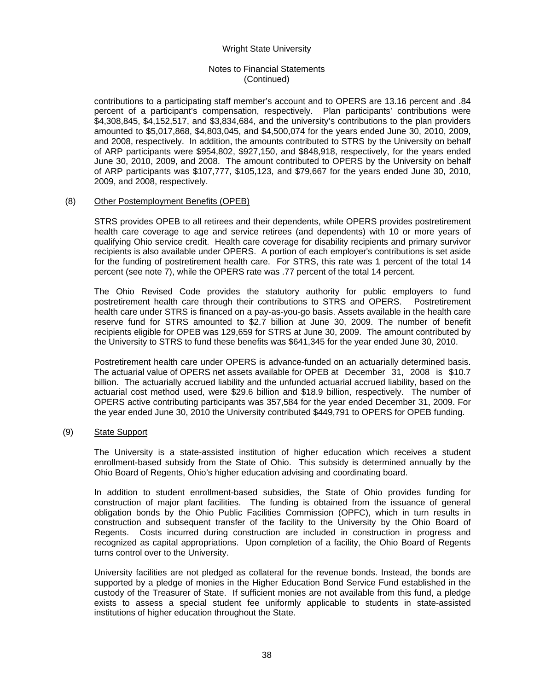# Notes to Financial Statements (Continued)

contributions to a participating staff member's account and to OPERS are 13.16 percent and .84 percent of a participant's compensation, respectively. Plan participants' contributions were \$4,308,845, \$4,152,517, and \$3,834,684, and the university's contributions to the plan providers amounted to \$5,017,868, \$4,803,045, and \$4,500,074 for the years ended June 30, 2010, 2009, and 2008, respectively. In addition, the amounts contributed to STRS by the University on behalf of ARP participants were \$954,802, \$927,150, and \$848,918, respectively, for the years ended June 30, 2010, 2009, and 2008. The amount contributed to OPERS by the University on behalf of ARP participants was \$107,777, \$105,123, and \$79,667 for the years ended June 30, 2010, 2009, and 2008, respectively.

### (8) Other Postemployment Benefits (OPEB)

STRS provides OPEB to all retirees and their dependents, while OPERS provides postretirement health care coverage to age and service retirees (and dependents) with 10 or more years of qualifying Ohio service credit. Health care coverage for disability recipients and primary survivor recipients is also available under OPERS. A portion of each employer's contributions is set aside for the funding of postretirement health care. For STRS, this rate was 1 percent of the total 14 percent (see note 7), while the OPERS rate was .77 percent of the total 14 percent.

The Ohio Revised Code provides the statutory authority for public employers to fund postretirement health care through their contributions to STRS and OPERS. Postretirement health care under STRS is financed on a pay-as-you-go basis. Assets available in the health care reserve fund for STRS amounted to \$2.7 billion at June 30, 2009. The number of benefit recipients eligible for OPEB was 129,659 for STRS at June 30, 2009. The amount contributed by the University to STRS to fund these benefits was \$641,345 for the year ended June 30, 2010.

Postretirement health care under OPERS is advance-funded on an actuarially determined basis. The actuarial value of OPERS net assets available for OPEB at December 31, 2008 is \$10.7 billion. The actuarially accrued liability and the unfunded actuarial accrued liability, based on the actuarial cost method used, were \$29.6 billion and \$18.9 billion, respectively. The number of OPERS active contributing participants was 357,584 for the year ended December 31, 2009. For the year ended June 30, 2010 the University contributed \$449,791 to OPERS for OPEB funding.

# (9) State Support

The University is a state-assisted institution of higher education which receives a student enrollment-based subsidy from the State of Ohio. This subsidy is determined annually by the Ohio Board of Regents, Ohio's higher education advising and coordinating board.

In addition to student enrollment-based subsidies, the State of Ohio provides funding for construction of major plant facilities. The funding is obtained from the issuance of general obligation bonds by the Ohio Public Facilities Commission (OPFC), which in turn results in construction and subsequent transfer of the facility to the University by the Ohio Board of Regents. Costs incurred during construction are included in construction in progress and recognized as capital appropriations. Upon completion of a facility, the Ohio Board of Regents turns control over to the University.

University facilities are not pledged as collateral for the revenue bonds. Instead, the bonds are supported by a pledge of monies in the Higher Education Bond Service Fund established in the custody of the Treasurer of State. If sufficient monies are not available from this fund, a pledge exists to assess a special student fee uniformly applicable to students in state-assisted institutions of higher education throughout the State.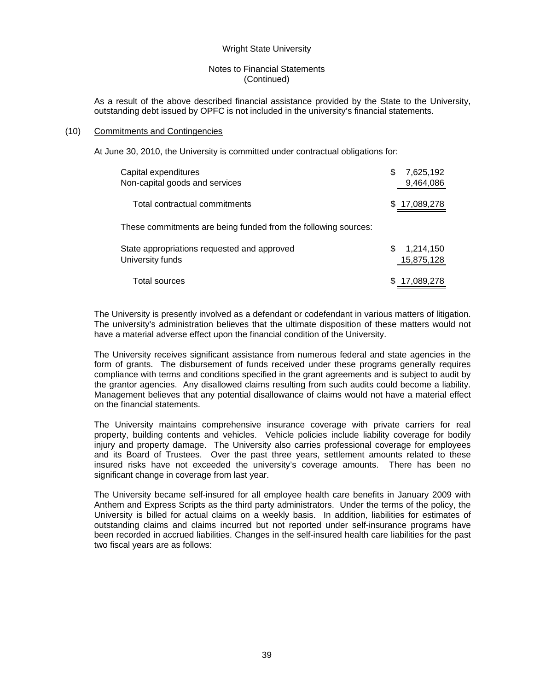## Notes to Financial Statements (Continued)

As a result of the above described financial assistance provided by the State to the University, outstanding debt issued by OPFC is not included in the university's financial statements.

### (10) Commitments and Contingencies

At June 30, 2010, the University is committed under contractual obligations for:

| Capital expenditures<br>Non-capital goods and services          | \$<br>7,625,192<br>9,464,086 |
|-----------------------------------------------------------------|------------------------------|
| Total contractual commitments                                   | \$17,089,278                 |
| These commitments are being funded from the following sources:  |                              |
| State appropriations requested and approved<br>University funds | 1,214,150<br>S<br>15,875,128 |
| Total sources                                                   | 17,089,278                   |

The University is presently involved as a defendant or codefendant in various matters of litigation. The university's administration believes that the ultimate disposition of these matters would not have a material adverse effect upon the financial condition of the University.

The University receives significant assistance from numerous federal and state agencies in the form of grants. The disbursement of funds received under these programs generally requires compliance with terms and conditions specified in the grant agreements and is subject to audit by the grantor agencies. Any disallowed claims resulting from such audits could become a liability. Management believes that any potential disallowance of claims would not have a material effect on the financial statements.

The University maintains comprehensive insurance coverage with private carriers for real property, building contents and vehicles. Vehicle policies include liability coverage for bodily injury and property damage. The University also carries professional coverage for employees and its Board of Trustees. Over the past three years, settlement amounts related to these insured risks have not exceeded the university's coverage amounts. There has been no significant change in coverage from last year.

The University became self-insured for all employee health care benefits in January 2009 with Anthem and Express Scripts as the third party administrators. Under the terms of the policy, the University is billed for actual claims on a weekly basis. In addition, liabilities for estimates of outstanding claims and claims incurred but not reported under self-insurance programs have been recorded in accrued liabilities. Changes in the self-insured health care liabilities for the past two fiscal years are as follows: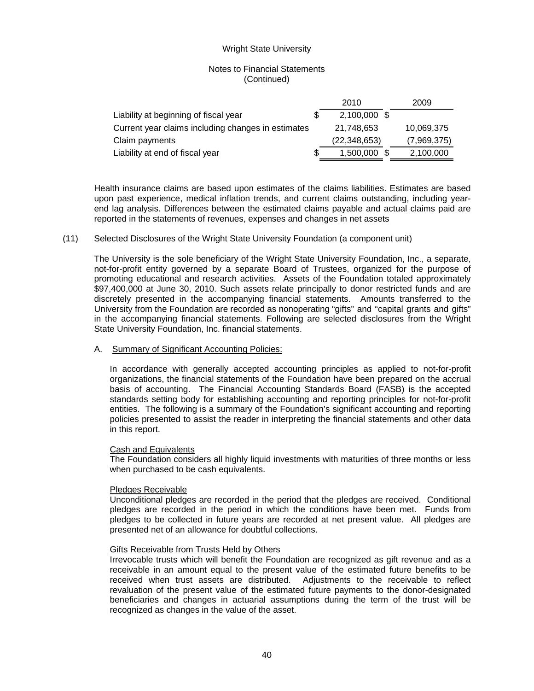# Notes to Financial Statements (Continued)

|                                                    | 2010         | 2009        |
|----------------------------------------------------|--------------|-------------|
| Liability at beginning of fiscal year              | 2,100,000 \$ |             |
| Current year claims including changes in estimates | 21.748.653   | 10,069,375  |
| Claim payments                                     | (22,348,653) | (7,969,375) |
| Liability at end of fiscal year                    | 1,500,000 \$ | 2,100,000   |

Health insurance claims are based upon estimates of the claims liabilities. Estimates are based upon past experience, medical inflation trends, and current claims outstanding, including yearend lag analysis. Differences between the estimated claims payable and actual claims paid are reported in the statements of revenues, expenses and changes in net assets

## (11) Selected Disclosures of the Wright State University Foundation (a component unit)

The University is the sole beneficiary of the Wright State University Foundation, Inc., a separate, not-for-profit entity governed by a separate Board of Trustees, organized for the purpose of promoting educational and research activities. Assets of the Foundation totaled approximately \$97,400,000 at June 30, 2010. Such assets relate principally to donor restricted funds and are discretely presented in the accompanying financial statements. Amounts transferred to the University from the Foundation are recorded as nonoperating "gifts" and "capital grants and gifts" in the accompanying financial statements. Following are selected disclosures from the Wright State University Foundation, Inc. financial statements.

## A. Summary of Significant Accounting Policies:

In accordance with generally accepted accounting principles as applied to not-for-profit organizations, the financial statements of the Foundation have been prepared on the accrual basis of accounting. The Financial Accounting Standards Board (FASB) is the accepted standards setting body for establishing accounting and reporting principles for not-for-profit entities. The following is a summary of the Foundation's significant accounting and reporting policies presented to assist the reader in interpreting the financial statements and other data in this report.

## Cash and Equivalents

The Foundation considers all highly liquid investments with maturities of three months or less when purchased to be cash equivalents.

## Pledges Receivable

Unconditional pledges are recorded in the period that the pledges are received. Conditional pledges are recorded in the period in which the conditions have been met. Funds from pledges to be collected in future years are recorded at net present value. All pledges are presented net of an allowance for doubtful collections.

## Gifts Receivable from Trusts Held by Others

Irrevocable trusts which will benefit the Foundation are recognized as gift revenue and as a receivable in an amount equal to the present value of the estimated future benefits to be received when trust assets are distributed. Adjustments to the receivable to reflect revaluation of the present value of the estimated future payments to the donor-designated beneficiaries and changes in actuarial assumptions during the term of the trust will be recognized as changes in the value of the asset.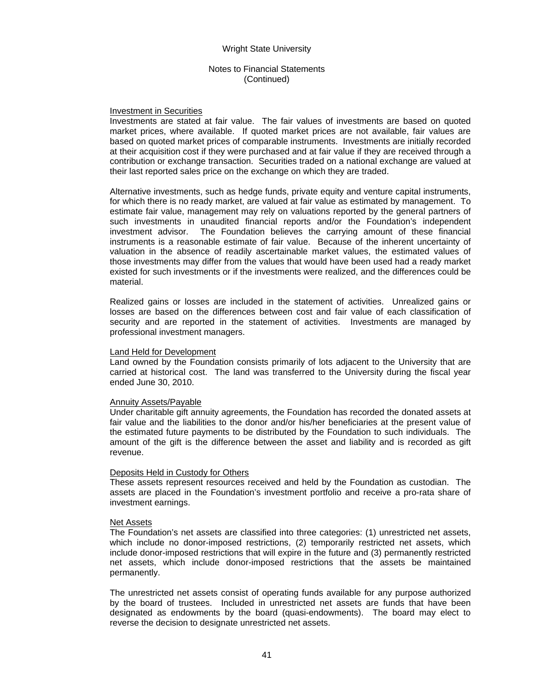### Notes to Financial Statements (Continued)

### Investment in Securities

Investments are stated at fair value. The fair values of investments are based on quoted market prices, where available. If quoted market prices are not available, fair values are based on quoted market prices of comparable instruments. Investments are initially recorded at their acquisition cost if they were purchased and at fair value if they are received through a contribution or exchange transaction. Securities traded on a national exchange are valued at their last reported sales price on the exchange on which they are traded.

Alternative investments, such as hedge funds, private equity and venture capital instruments, for which there is no ready market, are valued at fair value as estimated by management. To estimate fair value, management may rely on valuations reported by the general partners of such investments in unaudited financial reports and/or the Foundation's independent investment advisor. The Foundation believes the carrying amount of these financial instruments is a reasonable estimate of fair value. Because of the inherent uncertainty of valuation in the absence of readily ascertainable market values, the estimated values of those investments may differ from the values that would have been used had a ready market existed for such investments or if the investments were realized, and the differences could be material.

Realized gains or losses are included in the statement of activities. Unrealized gains or losses are based on the differences between cost and fair value of each classification of security and are reported in the statement of activities. Investments are managed by professional investment managers.

### Land Held for Development

Land owned by the Foundation consists primarily of lots adjacent to the University that are carried at historical cost. The land was transferred to the University during the fiscal year ended June 30, 2010.

### Annuity Assets/Payable

Under charitable gift annuity agreements, the Foundation has recorded the donated assets at fair value and the liabilities to the donor and/or his/her beneficiaries at the present value of the estimated future payments to be distributed by the Foundation to such individuals. The amount of the gift is the difference between the asset and liability and is recorded as gift revenue.

## Deposits Held in Custody for Others

These assets represent resources received and held by the Foundation as custodian. The assets are placed in the Foundation's investment portfolio and receive a pro-rata share of investment earnings.

### Net Assets

The Foundation's net assets are classified into three categories: (1) unrestricted net assets, which include no donor-imposed restrictions, (2) temporarily restricted net assets, which include donor-imposed restrictions that will expire in the future and (3) permanently restricted net assets, which include donor-imposed restrictions that the assets be maintained permanently.

The unrestricted net assets consist of operating funds available for any purpose authorized by the board of trustees. Included in unrestricted net assets are funds that have been designated as endowments by the board (quasi-endowments). The board may elect to reverse the decision to designate unrestricted net assets.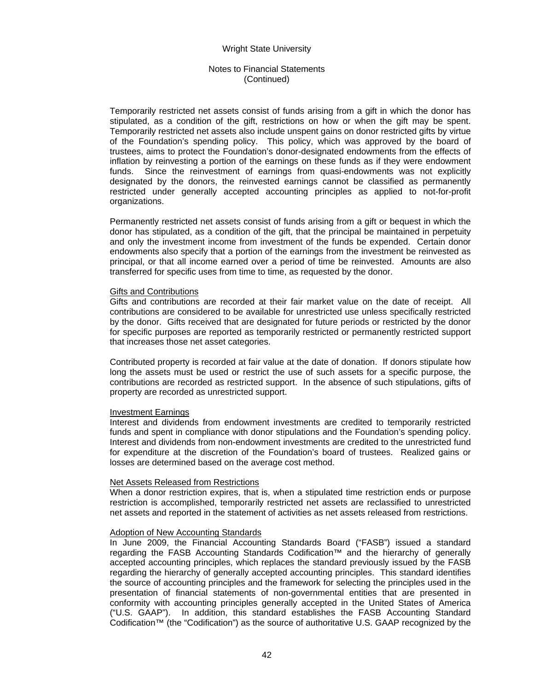## Notes to Financial Statements (Continued)

Temporarily restricted net assets consist of funds arising from a gift in which the donor has stipulated, as a condition of the gift, restrictions on how or when the gift may be spent. Temporarily restricted net assets also include unspent gains on donor restricted gifts by virtue of the Foundation's spending policy. This policy, which was approved by the board of trustees, aims to protect the Foundation's donor-designated endowments from the effects of inflation by reinvesting a portion of the earnings on these funds as if they were endowment funds. Since the reinvestment of earnings from quasi-endowments was not explicitly designated by the donors, the reinvested earnings cannot be classified as permanently restricted under generally accepted accounting principles as applied to not-for-profit organizations.

Permanently restricted net assets consist of funds arising from a gift or bequest in which the donor has stipulated, as a condition of the gift, that the principal be maintained in perpetuity and only the investment income from investment of the funds be expended. Certain donor endowments also specify that a portion of the earnings from the investment be reinvested as principal, or that all income earned over a period of time be reinvested. Amounts are also transferred for specific uses from time to time, as requested by the donor.

### Gifts and Contributions

Gifts and contributions are recorded at their fair market value on the date of receipt. All contributions are considered to be available for unrestricted use unless specifically restricted by the donor. Gifts received that are designated for future periods or restricted by the donor for specific purposes are reported as temporarily restricted or permanently restricted support that increases those net asset categories.

Contributed property is recorded at fair value at the date of donation. If donors stipulate how long the assets must be used or restrict the use of such assets for a specific purpose, the contributions are recorded as restricted support. In the absence of such stipulations, gifts of property are recorded as unrestricted support.

### Investment Earnings

Interest and dividends from endowment investments are credited to temporarily restricted funds and spent in compliance with donor stipulations and the Foundation's spending policy. Interest and dividends from non-endowment investments are credited to the unrestricted fund for expenditure at the discretion of the Foundation's board of trustees. Realized gains or losses are determined based on the average cost method.

### Net Assets Released from Restrictions

When a donor restriction expires, that is, when a stipulated time restriction ends or purpose restriction is accomplished, temporarily restricted net assets are reclassified to unrestricted net assets and reported in the statement of activities as net assets released from restrictions.

### Adoption of New Accounting Standards

In June 2009, the Financial Accounting Standards Board ("FASB") issued a standard regarding the FASB Accounting Standards Codification™ and the hierarchy of generally accepted accounting principles, which replaces the standard previously issued by the FASB regarding the hierarchy of generally accepted accounting principles. This standard identifies the source of accounting principles and the framework for selecting the principles used in the presentation of financial statements of non-governmental entities that are presented in conformity with accounting principles generally accepted in the United States of America ("U.S. GAAP"). In addition, this standard establishes the FASB Accounting Standard Codification™ (the "Codification") as the source of authoritative U.S. GAAP recognized by the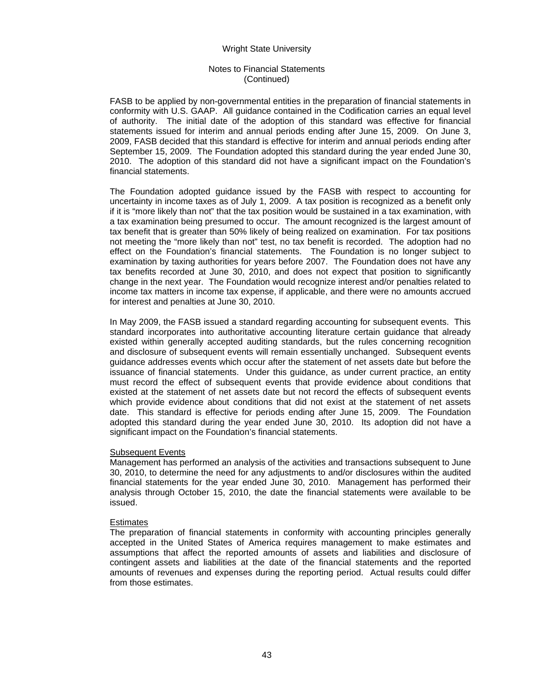# Notes to Financial Statements (Continued)

FASB to be applied by non-governmental entities in the preparation of financial statements in conformity with U.S. GAAP. All guidance contained in the Codification carries an equal level of authority. The initial date of the adoption of this standard was effective for financial statements issued for interim and annual periods ending after June 15, 2009. On June 3, 2009, FASB decided that this standard is effective for interim and annual periods ending after September 15, 2009. The Foundation adopted this standard during the year ended June 30, 2010. The adoption of this standard did not have a significant impact on the Foundation's financial statements.

The Foundation adopted guidance issued by the FASB with respect to accounting for uncertainty in income taxes as of July 1, 2009. A tax position is recognized as a benefit only if it is "more likely than not" that the tax position would be sustained in a tax examination, with a tax examination being presumed to occur. The amount recognized is the largest amount of tax benefit that is greater than 50% likely of being realized on examination. For tax positions not meeting the "more likely than not" test, no tax benefit is recorded. The adoption had no effect on the Foundation's financial statements. The Foundation is no longer subject to examination by taxing authorities for years before 2007. The Foundation does not have any tax benefits recorded at June 30, 2010, and does not expect that position to significantly change in the next year. The Foundation would recognize interest and/or penalties related to income tax matters in income tax expense, if applicable, and there were no amounts accrued for interest and penalties at June 30, 2010.

In May 2009, the FASB issued a standard regarding accounting for subsequent events. This standard incorporates into authoritative accounting literature certain guidance that already existed within generally accepted auditing standards, but the rules concerning recognition and disclosure of subsequent events will remain essentially unchanged. Subsequent events guidance addresses events which occur after the statement of net assets date but before the issuance of financial statements. Under this guidance, as under current practice, an entity must record the effect of subsequent events that provide evidence about conditions that existed at the statement of net assets date but not record the effects of subsequent events which provide evidence about conditions that did not exist at the statement of net assets date. This standard is effective for periods ending after June 15, 2009. The Foundation adopted this standard during the year ended June 30, 2010. Its adoption did not have a significant impact on the Foundation's financial statements.

# Subsequent Events

Management has performed an analysis of the activities and transactions subsequent to June 30, 2010, to determine the need for any adjustments to and/or disclosures within the audited financial statements for the year ended June 30, 2010. Management has performed their analysis through October 15, 2010, the date the financial statements were available to be issued.

## **Estimates**

The preparation of financial statements in conformity with accounting principles generally accepted in the United States of America requires management to make estimates and assumptions that affect the reported amounts of assets and liabilities and disclosure of contingent assets and liabilities at the date of the financial statements and the reported amounts of revenues and expenses during the reporting period. Actual results could differ from those estimates.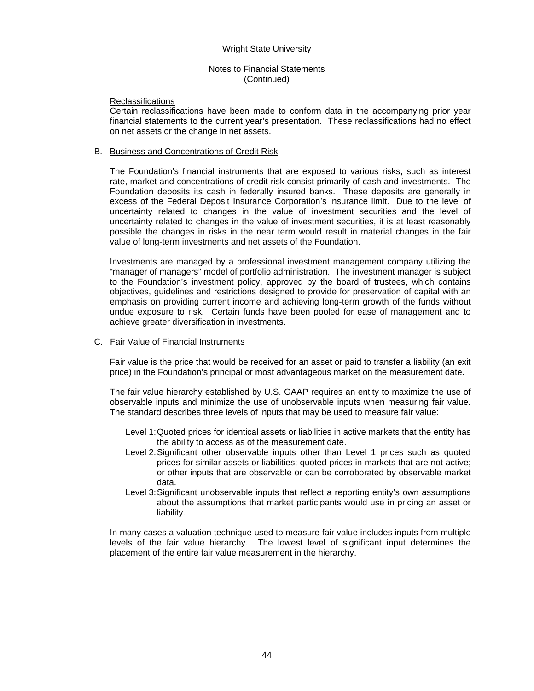### Notes to Financial Statements (Continued)

### **Reclassifications**

Certain reclassifications have been made to conform data in the accompanying prior year financial statements to the current year's presentation. These reclassifications had no effect on net assets or the change in net assets.

### B. Business and Concentrations of Credit Risk

The Foundation's financial instruments that are exposed to various risks, such as interest rate, market and concentrations of credit risk consist primarily of cash and investments. The Foundation deposits its cash in federally insured banks. These deposits are generally in excess of the Federal Deposit Insurance Corporation's insurance limit. Due to the level of uncertainty related to changes in the value of investment securities and the level of uncertainty related to changes in the value of investment securities, it is at least reasonably possible the changes in risks in the near term would result in material changes in the fair value of long-term investments and net assets of the Foundation.

Investments are managed by a professional investment management company utilizing the "manager of managers" model of portfolio administration. The investment manager is subject to the Foundation's investment policy, approved by the board of trustees, which contains objectives, guidelines and restrictions designed to provide for preservation of capital with an emphasis on providing current income and achieving long-term growth of the funds without undue exposure to risk. Certain funds have been pooled for ease of management and to achieve greater diversification in investments.

### C. Fair Value of Financial Instruments

Fair value is the price that would be received for an asset or paid to transfer a liability (an exit price) in the Foundation's principal or most advantageous market on the measurement date.

The fair value hierarchy established by U.S. GAAP requires an entity to maximize the use of observable inputs and minimize the use of unobservable inputs when measuring fair value. The standard describes three levels of inputs that may be used to measure fair value:

- Level 1: Quoted prices for identical assets or liabilities in active markets that the entity has the ability to access as of the measurement date.
- Level 2: Significant other observable inputs other than Level 1 prices such as quoted prices for similar assets or liabilities; quoted prices in markets that are not active; or other inputs that are observable or can be corroborated by observable market data.
- Level 3: Significant unobservable inputs that reflect a reporting entity's own assumptions about the assumptions that market participants would use in pricing an asset or liability.

In many cases a valuation technique used to measure fair value includes inputs from multiple levels of the fair value hierarchy. The lowest level of significant input determines the placement of the entire fair value measurement in the hierarchy.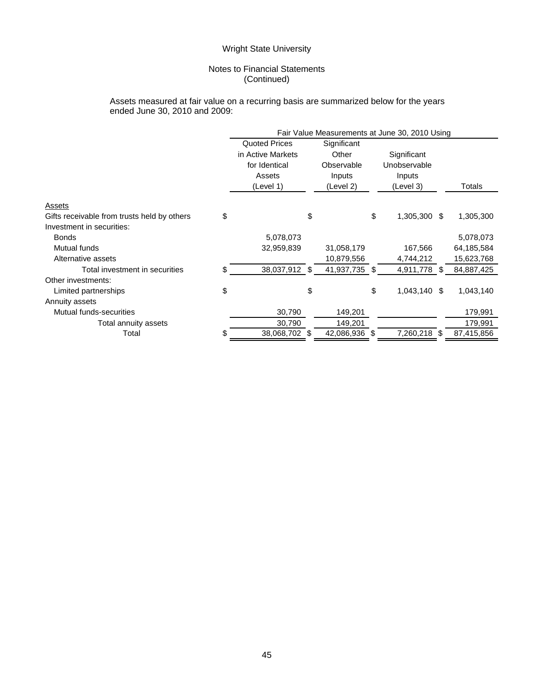# Notes to Financial Statements (Continued)

### Assets measured at fair value on a recurring basis are summarized below for the years ended June 30, 2010 and 2009:

|                                             | Fair Value Measurements at June 30, 2010 Using |                      |    |               |    |              |    |            |
|---------------------------------------------|------------------------------------------------|----------------------|----|---------------|----|--------------|----|------------|
|                                             |                                                | <b>Quoted Prices</b> |    | Significant   |    |              |    |            |
|                                             |                                                | in Active Markets    |    | Other         |    | Significant  |    |            |
|                                             |                                                | for Identical        |    | Observable    |    | Unobservable |    |            |
|                                             |                                                | Assets               |    | Inputs        |    | Inputs       |    |            |
|                                             |                                                | (Level 1)            |    | (Level 2)     |    | (Level 3)    |    | Totals     |
| Assets                                      |                                                |                      |    |               |    |              |    |            |
| Gifts receivable from trusts held by others | \$                                             |                      | \$ |               | \$ | 1,305,300 \$ |    | 1,305,300  |
| Investment in securities:                   |                                                |                      |    |               |    |              |    |            |
| <b>Bonds</b>                                |                                                | 5,078,073            |    |               |    |              |    | 5,078,073  |
| Mutual funds                                |                                                | 32,959,839           |    | 31,058,179    |    | 167,566      |    | 64,185,584 |
| Alternative assets                          |                                                |                      |    | 10,879,556    |    | 4,744,212    |    | 15,623,768 |
| Total investment in securities              | \$                                             | 38,037,912 \$        |    | 41,937,735 \$ |    | 4,911,778 \$ |    | 84,887,425 |
| Other investments:                          |                                                |                      |    |               |    |              |    |            |
| Limited partnerships                        | \$                                             |                      | \$ |               | \$ | 1,043,140    | S. | 1,043,140  |
| Annuity assets                              |                                                |                      |    |               |    |              |    |            |
| Mutual funds-securities                     |                                                | 30,790               |    | 149,201       |    |              |    | 179,991    |
| Total annuity assets                        |                                                | 30,790               |    | 149,201       |    |              |    | 179,991    |
| Total                                       | S                                              | 38,068,702 \$        |    | 42,086,936 \$ |    | 7,260,218 \$ |    | 87,415,856 |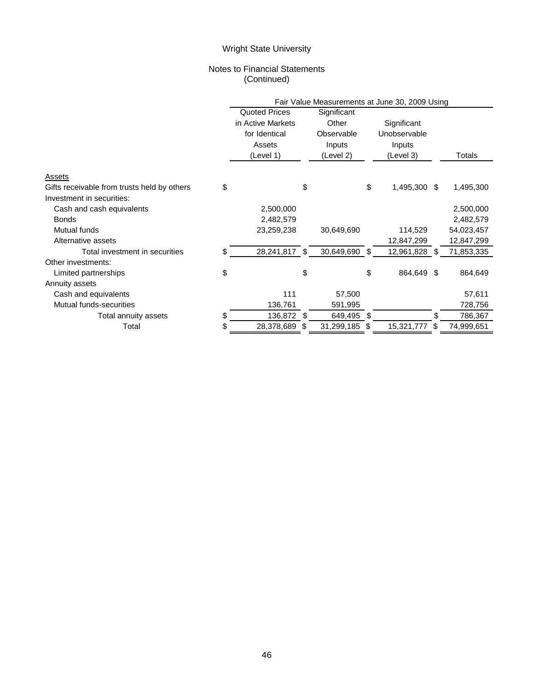# Notes to Financial Statements (Continued)

|                                                   | Fair Value Measurements at June 30, 2009 Using |     |               |    |               |     |            |  |
|---------------------------------------------------|------------------------------------------------|-----|---------------|----|---------------|-----|------------|--|
|                                                   | <b>Quoted Prices</b>                           |     | Significant   |    |               |     |            |  |
|                                                   | in Active Markets                              |     | Other         |    | Significant   |     |            |  |
|                                                   | for Identical                                  |     | Observable    |    | Unobservable  |     |            |  |
|                                                   | Assets                                         |     | Inputs        |    | Inputs        |     |            |  |
|                                                   | (Level 1)                                      |     | (Level 2)     |    | (Level 3)     |     | Totals     |  |
| Assets                                            |                                                |     |               |    |               |     |            |  |
| \$<br>Gifts receivable from trusts held by others |                                                | \$  |               | \$ | 1,495,300 \$  |     | 1,495,300  |  |
| Investment in securities:                         |                                                |     |               |    |               |     |            |  |
| Cash and cash equivalents                         | 2,500,000                                      |     |               |    |               |     | 2,500,000  |  |
| <b>Bonds</b>                                      | 2,482,579                                      |     |               |    |               |     | 2,482,579  |  |
| Mutual funds                                      | 23,259,238                                     |     | 30,649,690    |    | 114,529       |     | 54,023,457 |  |
| Alternative assets                                |                                                |     |               |    | 12,847,299    |     | 12,847,299 |  |
| Total investment in securities<br>\$.             | 28,241,817                                     | -\$ | 30,649,690 \$ |    | 12,961,828 \$ |     | 71,853,335 |  |
| Other investments:                                |                                                |     |               |    |               |     |            |  |
| \$<br>Limited partnerships                        |                                                | \$  |               | \$ | 864,649       | -\$ | 864,649    |  |
| Annuity assets                                    |                                                |     |               |    |               |     |            |  |
| Cash and equivalents                              | 111                                            |     | 57,500        |    |               |     | 57,611     |  |
| Mutual funds-securities                           | 136,761                                        |     | 591,995       |    |               |     | 728,756    |  |
| \$<br>Total annuity assets                        | 136,872                                        | \$  | 649,495 \$    |    |               |     | 786,367    |  |
| Total<br>\$                                       | 28,378,689                                     | S   | 31,299,185    | \$ | 15,321,777    | S   | 74,999,651 |  |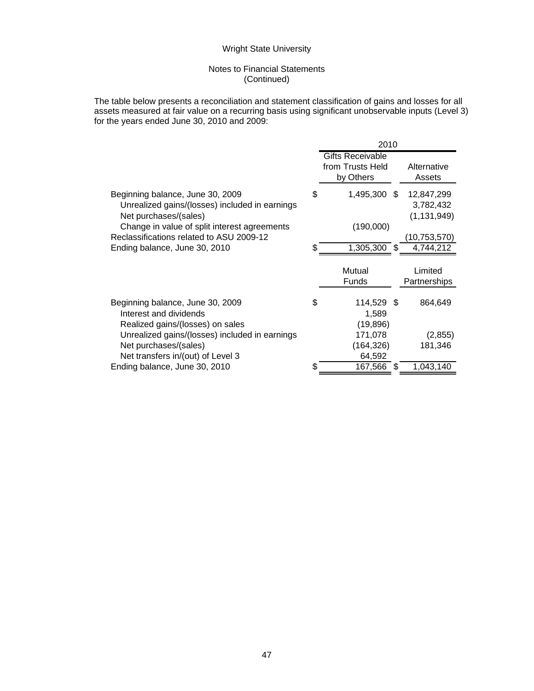# Notes to Financial Statements (Continued)

The table below presents a reconciliation and statement classification of gains and losses for all assets measured at fair value on a recurring basis using significant unobservable inputs (Level 3) for the years ended June 30, 2010 and 2009:

|                                                                                                             | 2010 |                                                          |    |                                          |  |
|-------------------------------------------------------------------------------------------------------------|------|----------------------------------------------------------|----|------------------------------------------|--|
|                                                                                                             |      | <b>Gifts Receivable</b><br>from Trusts Held<br>by Others |    | Alternative<br>Assets                    |  |
| Beginning balance, June 30, 2009<br>Unrealized gains/(losses) included in earnings<br>Net purchases/(sales) | \$   | 1,495,300 \$                                             |    | 12,847,299<br>3,782,432<br>(1, 131, 949) |  |
| Change in value of split interest agreements                                                                |      | (190,000)                                                |    |                                          |  |
| Reclassifications related to ASU 2009-12                                                                    |      |                                                          |    | (10,753,570)                             |  |
| Ending balance, June 30, 2010                                                                               | S    | 1,305,300                                                | -S | 4,744,212                                |  |
|                                                                                                             |      | Mutual<br><b>Funds</b>                                   |    | Limited<br>Partnerships                  |  |
| Beginning balance, June 30, 2009<br>Interest and dividends<br>Realized gains/(losses) on sales              | \$   | 114,529 \$<br>1,589<br>(19, 896)                         |    | 864,649                                  |  |
| Unrealized gains/(losses) included in earnings                                                              |      | 171,078                                                  |    | (2,855)                                  |  |
| Net purchases/(sales)                                                                                       |      | (164, 326)                                               |    | 181,346                                  |  |
| Net transfers in/(out) of Level 3                                                                           |      | 64,592                                                   |    |                                          |  |
| Ending balance, June 30, 2010                                                                               |      | 167,566                                                  | -S | 1,043,140                                |  |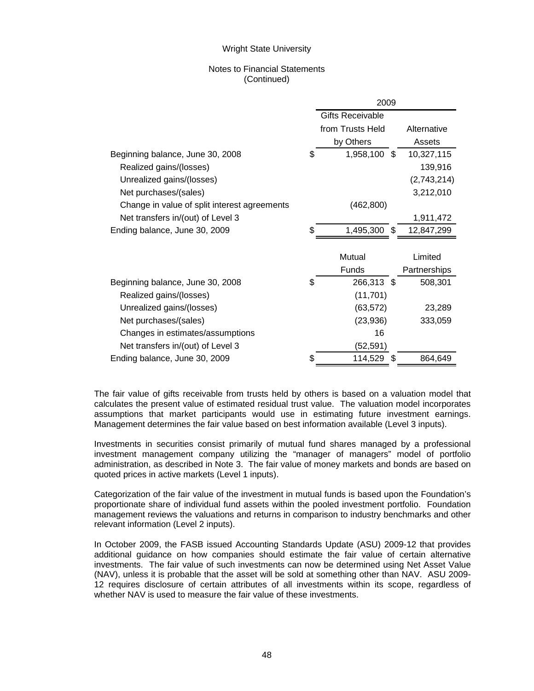## Notes to Financial Statements (Continued)

|                                              | 2009 |                         |              |  |  |
|----------------------------------------------|------|-------------------------|--------------|--|--|
|                                              |      | <b>Gifts Receivable</b> |              |  |  |
|                                              |      | from Trusts Held        | Alternative  |  |  |
|                                              |      | by Others               | Assets       |  |  |
| Beginning balance, June 30, 2008             | \$   | 1,958,100 \$            | 10,327,115   |  |  |
| Realized gains/(losses)                      |      |                         | 139,916      |  |  |
| Unrealized gains/(losses)                    |      |                         | (2,743,214)  |  |  |
| Net purchases/(sales)                        |      |                         | 3,212,010    |  |  |
| Change in value of split interest agreements |      | (462, 800)              |              |  |  |
| Net transfers in/(out) of Level 3            |      |                         | 1,911,472    |  |  |
| Ending balance, June 30, 2009                |      | 1,495,300<br>-S         | 12,847,299   |  |  |
|                                              |      |                         |              |  |  |
|                                              |      | Mutual                  | Limited      |  |  |
|                                              |      | Funds                   | Partnerships |  |  |
| Beginning balance, June 30, 2008             | \$   | 266,313 \$              | 508,301      |  |  |
| Realized gains/(losses)                      |      | (11, 701)               |              |  |  |
| Unrealized gains/(losses)                    |      | (63, 572)               | 23,289       |  |  |
| Net purchases/(sales)                        |      | (23,936)                | 333,059      |  |  |
| Changes in estimates/assumptions             |      | 16                      |              |  |  |
| Net transfers in/(out) of Level 3            |      | (52, 591)               |              |  |  |
| Ending balance, June 30, 2009                | \$   | 114,529                 | 864,649      |  |  |

The fair value of gifts receivable from trusts held by others is based on a valuation model that calculates the present value of estimated residual trust value. The valuation model incorporates assumptions that market participants would use in estimating future investment earnings. Management determines the fair value based on best information available (Level 3 inputs).

Investments in securities consist primarily of mutual fund shares managed by a professional investment management company utilizing the "manager of managers" model of portfolio administration, as described in Note 3. The fair value of money markets and bonds are based on quoted prices in active markets (Level 1 inputs).

Categorization of the fair value of the investment in mutual funds is based upon the Foundation's proportionate share of individual fund assets within the pooled investment portfolio. Foundation management reviews the valuations and returns in comparison to industry benchmarks and other relevant information (Level 2 inputs).

In October 2009, the FASB issued Accounting Standards Update (ASU) 2009-12 that provides additional guidance on how companies should estimate the fair value of certain alternative investments. The fair value of such investments can now be determined using Net Asset Value (NAV), unless it is probable that the asset will be sold at something other than NAV. ASU 2009- 12 requires disclosure of certain attributes of all investments within its scope, regardless of whether NAV is used to measure the fair value of these investments.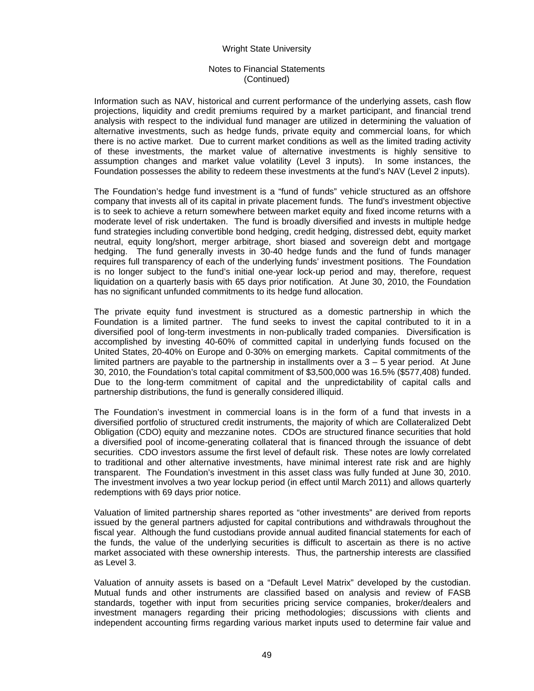## Notes to Financial Statements (Continued)

Information such as NAV, historical and current performance of the underlying assets, cash flow projections, liquidity and credit premiums required by a market participant, and financial trend analysis with respect to the individual fund manager are utilized in determining the valuation of alternative investments, such as hedge funds, private equity and commercial loans, for which there is no active market. Due to current market conditions as well as the limited trading activity of these investments, the market value of alternative investments is highly sensitive to assumption changes and market value volatility (Level 3 inputs). In some instances, the Foundation possesses the ability to redeem these investments at the fund's NAV (Level 2 inputs).

The Foundation's hedge fund investment is a "fund of funds" vehicle structured as an offshore company that invests all of its capital in private placement funds. The fund's investment objective is to seek to achieve a return somewhere between market equity and fixed income returns with a moderate level of risk undertaken. The fund is broadly diversified and invests in multiple hedge fund strategies including convertible bond hedging, credit hedging, distressed debt, equity market neutral, equity long/short, merger arbitrage, short biased and sovereign debt and mortgage hedging. The fund generally invests in 30-40 hedge funds and the fund of funds manager requires full transparency of each of the underlying funds' investment positions. The Foundation is no longer subject to the fund's initial one-year lock-up period and may, therefore, request liquidation on a quarterly basis with 65 days prior notification. At June 30, 2010, the Foundation has no significant unfunded commitments to its hedge fund allocation.

The private equity fund investment is structured as a domestic partnership in which the Foundation is a limited partner. The fund seeks to invest the capital contributed to it in a diversified pool of long-term investments in non-publically traded companies. Diversification is accomplished by investing 40-60% of committed capital in underlying funds focused on the United States, 20-40% on Europe and 0-30% on emerging markets. Capital commitments of the limited partners are payable to the partnership in installments over a  $3 - 5$  year period. At June 30, 2010, the Foundation's total capital commitment of \$3,500,000 was 16.5% (\$577,408) funded. Due to the long-term commitment of capital and the unpredictability of capital calls and partnership distributions, the fund is generally considered illiquid.

The Foundation's investment in commercial loans is in the form of a fund that invests in a diversified portfolio of structured credit instruments, the majority of which are Collateralized Debt Obligation (CDO) equity and mezzanine notes. CDOs are structured finance securities that hold a diversified pool of income-generating collateral that is financed through the issuance of debt securities. CDO investors assume the first level of default risk. These notes are lowly correlated to traditional and other alternative investments, have minimal interest rate risk and are highly transparent. The Foundation's investment in this asset class was fully funded at June 30, 2010. The investment involves a two year lockup period (in effect until March 2011) and allows quarterly redemptions with 69 days prior notice.

Valuation of limited partnership shares reported as "other investments" are derived from reports issued by the general partners adjusted for capital contributions and withdrawals throughout the fiscal year. Although the fund custodians provide annual audited financial statements for each of the funds, the value of the underlying securities is difficult to ascertain as there is no active market associated with these ownership interests. Thus, the partnership interests are classified as Level 3.

Valuation of annuity assets is based on a "Default Level Matrix" developed by the custodian. Mutual funds and other instruments are classified based on analysis and review of FASB standards, together with input from securities pricing service companies, broker/dealers and investment managers regarding their pricing methodologies; discussions with clients and independent accounting firms regarding various market inputs used to determine fair value and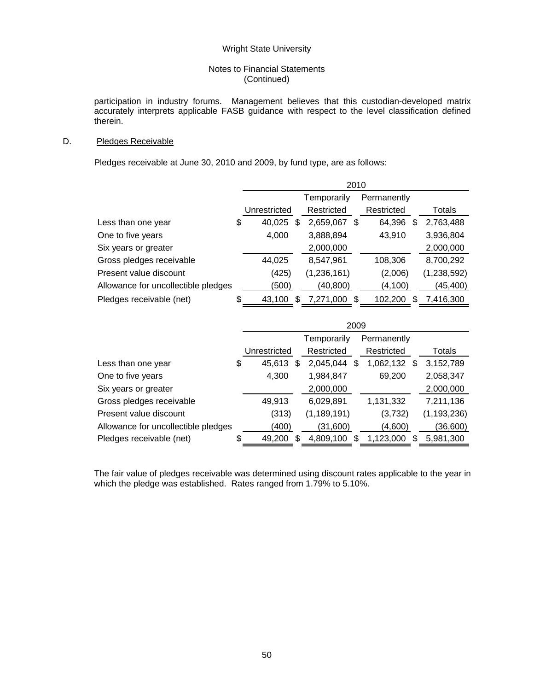## Notes to Financial Statements (Continued)

participation in industry forums. Management believes that this custodian-developed matrix accurately interprets applicable FASB guidance with respect to the level classification defined therein.

# D. Pledges Receivable

Pledges receivable at June 30, 2010 and 2009, by fund type, are as follows:

|                                     | 2010               |              |    |             |    |             |  |
|-------------------------------------|--------------------|--------------|----|-------------|----|-------------|--|
|                                     |                    | Temporarily  |    | Permanently |    |             |  |
|                                     | Unrestricted       | Restricted   |    | Restricted  |    | Totals      |  |
| Less than one year                  | \$<br>40,025<br>S  | 2,659,067    | \$ | 64,396      | æ. | 2,763,488   |  |
| One to five years                   | 4,000              | 3,888,894    |    | 43,910      |    | 3,936,804   |  |
| Six years or greater                |                    | 2,000,000    |    |             |    | 2,000,000   |  |
| Gross pledges receivable            | 44,025             | 8,547,961    |    | 108,306     |    | 8,700,292   |  |
| Present value discount              | (425)              | (1,236,161)  |    | (2,006)     |    | (1,238,592) |  |
| Allowance for uncollectible pledges | (500)              | (40, 800)    |    | (4, 100)    |    | (45,400)    |  |
| Pledges receivable (net)            | \$<br>\$<br>43,100 | 7,271,000 \$ |    | 102.200     | S  | 7.416.300   |  |

|                                     | 2009                |               |     |             |    |               |  |
|-------------------------------------|---------------------|---------------|-----|-------------|----|---------------|--|
|                                     |                     | Temporarily   |     | Permanently |    |               |  |
|                                     | Unrestricted        | Restricted    |     | Restricted  |    | Totals        |  |
| Less than one year                  | \$<br>45,613<br>S   | 2,045,044     | \$  | 1,062,132   | £. | 3,152,789     |  |
| One to five years                   | 4,300               | 1,984,847     |     | 69,200      |    | 2,058,347     |  |
| Six years or greater                |                     | 2,000,000     |     |             |    | 2,000,000     |  |
| Gross pledges receivable            | 49,913              | 6,029,891     |     | 1,131,332   |    | 7,211,136     |  |
| Present value discount              | (313)               | (1, 189, 191) |     | (3,732)     |    | (1, 193, 236) |  |
| Allowance for uncollectible pledges | (400)               | (31,600)      |     | (4,600)     |    | (36, 600)     |  |
| Pledges receivable (net)            | \$<br>49,200<br>\$. | 4,809,100     | \$. | 1,123,000   |    | 5,981,300     |  |

The fair value of pledges receivable was determined using discount rates applicable to the year in which the pledge was established. Rates ranged from 1.79% to 5.10%.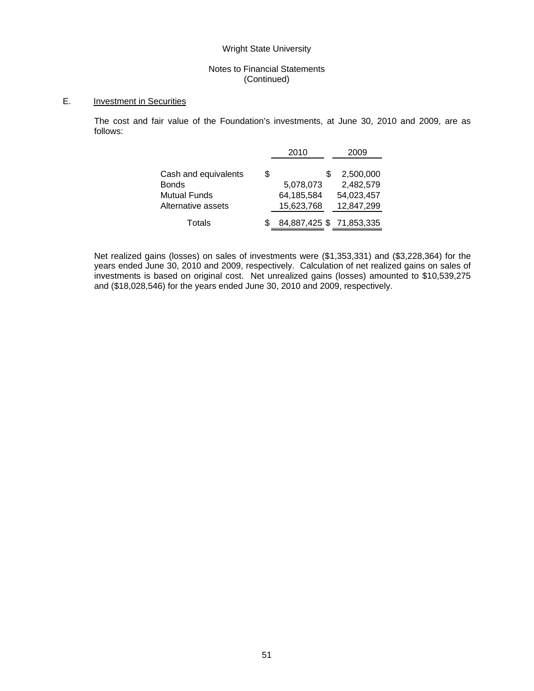# Notes to Financial Statements (Continued)

# E. Investment in Securities

The cost and fair value of the Foundation's investments, at June 30, 2010 and 2009, are as follows:

|                                                                                   |   | 2010                                       | 2009                                               |
|-----------------------------------------------------------------------------------|---|--------------------------------------------|----------------------------------------------------|
| Cash and equivalents<br><b>Bonds</b><br><b>Mutual Funds</b><br>Alternative assets | S | S<br>5,078,073<br>64,185,584<br>15,623,768 | 2,500,000<br>2,482,579<br>54,023,457<br>12,847,299 |
| Totals                                                                            |   | 84,887,425 \$71,853,335                    |                                                    |

Net realized gains (losses) on sales of investments were (\$1,353,331) and (\$3,228,364) for the years ended June 30, 2010 and 2009, respectively. Calculation of net realized gains on sales of investments is based on original cost. Net unrealized gains (losses) amounted to \$10,539,275 and (\$18,028,546) for the years ended June 30, 2010 and 2009, respectively.